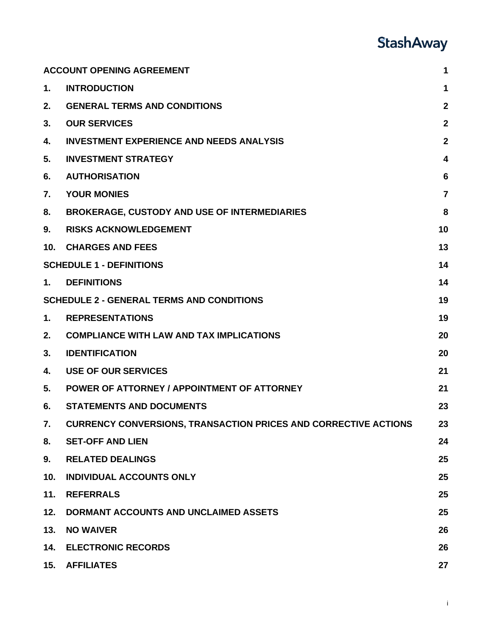## **StashAway**

|                 | <b>ACCOUNT OPENING AGREEMENT</b>                                       | 1              |
|-----------------|------------------------------------------------------------------------|----------------|
| $\mathbf 1$ .   | <b>INTRODUCTION</b>                                                    | 1              |
| 2.              | <b>GENERAL TERMS AND CONDITIONS</b>                                    | $\mathbf{2}$   |
| 3.              | <b>OUR SERVICES</b>                                                    | $\overline{2}$ |
| 4.              | <b>INVESTMENT EXPERIENCE AND NEEDS ANALYSIS</b>                        | $\overline{2}$ |
| 5.              | <b>INVESTMENT STRATEGY</b>                                             | 4              |
| 6.              | <b>AUTHORISATION</b>                                                   | 6              |
| 7.              | <b>YOUR MONIES</b>                                                     | $\overline{7}$ |
| 8.              | <b>BROKERAGE, CUSTODY AND USE OF INTERMEDIARIES</b>                    | 8              |
| 9.              | <b>RISKS ACKNOWLEDGEMENT</b>                                           | 10             |
| 10 <sub>1</sub> | <b>CHARGES AND FEES</b>                                                | 13             |
|                 | <b>SCHEDULE 1 - DEFINITIONS</b>                                        | 14             |
| 1.              | <b>DEFINITIONS</b>                                                     | 14             |
|                 | <b>SCHEDULE 2 - GENERAL TERMS AND CONDITIONS</b>                       | 19             |
| 1.              | <b>REPRESENTATIONS</b>                                                 | 19             |
| 2.              | <b>COMPLIANCE WITH LAW AND TAX IMPLICATIONS</b>                        | 20             |
| 3.              | <b>IDENTIFICATION</b>                                                  | 20             |
| 4.              | <b>USE OF OUR SERVICES</b>                                             | 21             |
| 5.              | POWER OF ATTORNEY / APPOINTMENT OF ATTORNEY                            | 21             |
| 6.              | <b>STATEMENTS AND DOCUMENTS</b>                                        | 23             |
| 7.              | <b>CURRENCY CONVERSIONS, TRANSACTION PRICES AND CORRECTIVE ACTIONS</b> | 23             |
| 8.              | <b>SET-OFF AND LIEN</b>                                                | 24             |
| 9.              | <b>RELATED DEALINGS</b>                                                | 25             |
| 10.             | <b>INDIVIDUAL ACCOUNTS ONLY</b>                                        | 25             |
| 11.             | <b>REFERRALS</b>                                                       | 25             |
| 12.             | DORMANT ACCOUNTS AND UNCLAIMED ASSETS                                  | 25             |
| 13.             | <b>NO WAIVER</b>                                                       | 26             |
| 14.             | <b>ELECTRONIC RECORDS</b>                                              | 26             |
| 15.             | <b>AFFILIATES</b>                                                      | 27             |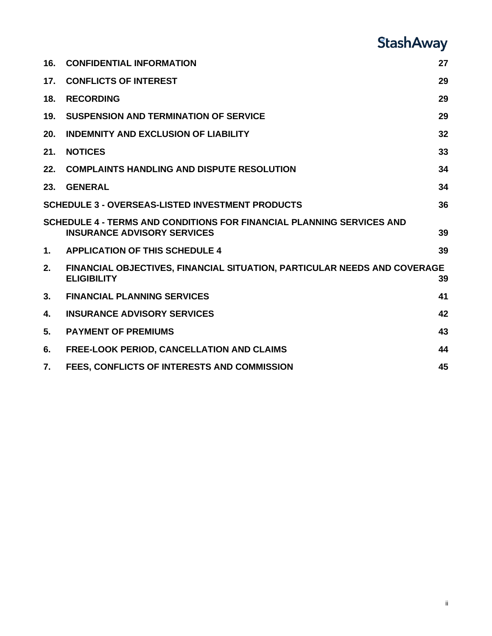# **StashAway**

| 16.           | <b>CONFIDENTIAL INFORMATION</b>                                                                             | 27 |
|---------------|-------------------------------------------------------------------------------------------------------------|----|
| 17.           | <b>CONFLICTS OF INTEREST</b>                                                                                | 29 |
| 18.           | <b>RECORDING</b>                                                                                            | 29 |
| 19.           | <b>SUSPENSION AND TERMINATION OF SERVICE</b>                                                                | 29 |
| 20.           | <b>INDEMNITY AND EXCLUSION OF LIABILITY</b>                                                                 | 32 |
| 21.           | <b>NOTICES</b>                                                                                              | 33 |
| 22.           | <b>COMPLAINTS HANDLING AND DISPUTE RESOLUTION</b>                                                           | 34 |
| 23.           | <b>GENERAL</b>                                                                                              | 34 |
|               | <b>SCHEDULE 3 - OVERSEAS-LISTED INVESTMENT PRODUCTS</b>                                                     | 36 |
|               | SCHEDULE 4 - TERMS AND CONDITIONS FOR FINANCIAL PLANNING SERVICES AND<br><b>INSURANCE ADVISORY SERVICES</b> | 39 |
| $\mathbf 1$ . | <b>APPLICATION OF THIS SCHEDULE 4</b>                                                                       | 39 |
| 2.            | <b>FINANCIAL OBJECTIVES, FINANCIAL SITUATION, PARTICULAR NEEDS AND COVERAGE</b><br><b>ELIGIBILITY</b>       | 39 |
| 3.            | <b>FINANCIAL PLANNING SERVICES</b>                                                                          | 41 |
| 4.            | <b>INSURANCE ADVISORY SERVICES</b>                                                                          | 42 |
| 5.            | <b>PAYMENT OF PREMIUMS</b>                                                                                  | 43 |
| 6.            | <b>FREE-LOOK PERIOD, CANCELLATION AND CLAIMS</b>                                                            | 44 |
| 7.            | FEES, CONFLICTS OF INTERESTS AND COMMISSION                                                                 | 45 |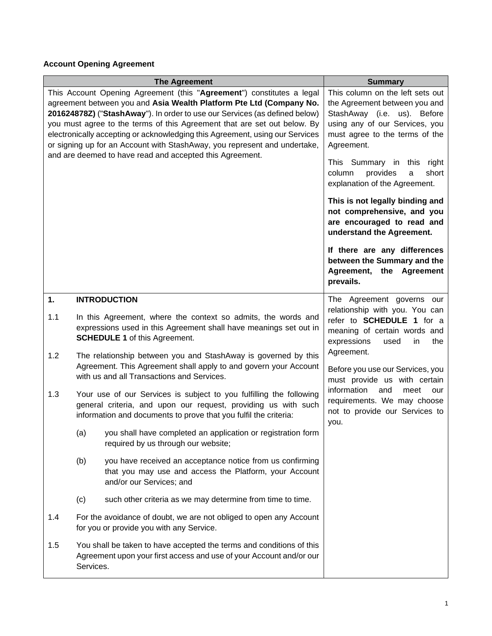## <span id="page-2-0"></span>**Account Opening Agreement**

<span id="page-2-1"></span>

| <b>The Agreement</b>                                                                                                                                                                                                                                                                                                                                                                                                                                                                                                            |           |                                                                                                                                                                                                           | <b>Summary</b>                                                                                                                                                                                                                                                                        |  |
|---------------------------------------------------------------------------------------------------------------------------------------------------------------------------------------------------------------------------------------------------------------------------------------------------------------------------------------------------------------------------------------------------------------------------------------------------------------------------------------------------------------------------------|-----------|-----------------------------------------------------------------------------------------------------------------------------------------------------------------------------------------------------------|---------------------------------------------------------------------------------------------------------------------------------------------------------------------------------------------------------------------------------------------------------------------------------------|--|
| This Account Opening Agreement (this "Agreement") constitutes a legal<br>agreement between you and Asia Wealth Platform Pte Ltd (Company No.<br>201624878Z) ("StashAway"). In order to use our Services (as defined below)<br>you must agree to the terms of this Agreement that are set out below. By<br>electronically accepting or acknowledging this Agreement, using our Services<br>or signing up for an Account with StashAway, you represent and undertake,<br>and are deemed to have read and accepted this Agreement. |           |                                                                                                                                                                                                           | This column on the left sets out<br>the Agreement between you and<br>StashAway (i.e. us). Before<br>using any of our Services, you<br>must agree to the terms of the<br>Agreement.<br>This Summary in this right<br>provides<br>short<br>column<br>a<br>explanation of the Agreement. |  |
|                                                                                                                                                                                                                                                                                                                                                                                                                                                                                                                                 |           |                                                                                                                                                                                                           | This is not legally binding and<br>not comprehensive, and you<br>are encouraged to read and<br>understand the Agreement.                                                                                                                                                              |  |
|                                                                                                                                                                                                                                                                                                                                                                                                                                                                                                                                 |           |                                                                                                                                                                                                           | If there are any differences<br>between the Summary and the<br>Agreement, the Agreement<br>prevails.                                                                                                                                                                                  |  |
| 1.                                                                                                                                                                                                                                                                                                                                                                                                                                                                                                                              |           | <b>INTRODUCTION</b>                                                                                                                                                                                       | The Agreement governs our                                                                                                                                                                                                                                                             |  |
| 1.1                                                                                                                                                                                                                                                                                                                                                                                                                                                                                                                             |           | In this Agreement, where the context so admits, the words and<br>expressions used in this Agreement shall have meanings set out in<br><b>SCHEDULE 1</b> of this Agreement.                                | relationship with you. You can<br>refer to SCHEDULE 1 for a<br>meaning of certain words and<br>expressions<br>used<br>the<br>in                                                                                                                                                       |  |
| 1.2                                                                                                                                                                                                                                                                                                                                                                                                                                                                                                                             |           | The relationship between you and StashAway is governed by this<br>Agreement. This Agreement shall apply to and govern your Account<br>with us and all Transactions and Services.                          | Agreement.<br>Before you use our Services, you<br>must provide us with certain                                                                                                                                                                                                        |  |
| 1.3                                                                                                                                                                                                                                                                                                                                                                                                                                                                                                                             |           | Your use of our Services is subject to you fulfilling the following<br>general criteria, and upon our request, providing us with such<br>information and documents to prove that you fulfil the criteria: | information<br>and<br>meet<br>our<br>requirements. We may choose<br>not to provide our Services to<br>you.                                                                                                                                                                            |  |
|                                                                                                                                                                                                                                                                                                                                                                                                                                                                                                                                 | (a)       | you shall have completed an application or registration form<br>required by us through our website;                                                                                                       |                                                                                                                                                                                                                                                                                       |  |
|                                                                                                                                                                                                                                                                                                                                                                                                                                                                                                                                 | (b)       | you have received an acceptance notice from us confirming<br>that you may use and access the Platform, your Account<br>and/or our Services; and                                                           |                                                                                                                                                                                                                                                                                       |  |
|                                                                                                                                                                                                                                                                                                                                                                                                                                                                                                                                 | (c)       | such other criteria as we may determine from time to time.                                                                                                                                                |                                                                                                                                                                                                                                                                                       |  |
| 1.4                                                                                                                                                                                                                                                                                                                                                                                                                                                                                                                             |           | For the avoidance of doubt, we are not obliged to open any Account<br>for you or provide you with any Service.                                                                                            |                                                                                                                                                                                                                                                                                       |  |
| 1.5                                                                                                                                                                                                                                                                                                                                                                                                                                                                                                                             | Services. | You shall be taken to have accepted the terms and conditions of this<br>Agreement upon your first access and use of your Account and/or our                                                               |                                                                                                                                                                                                                                                                                       |  |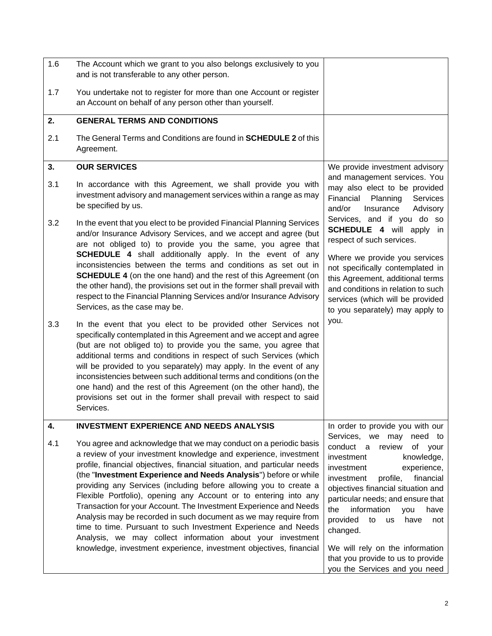<span id="page-3-3"></span><span id="page-3-2"></span><span id="page-3-1"></span><span id="page-3-0"></span>

| 1.6 | The Account which we grant to you also belongs exclusively to you<br>and is not transferable to any other person.                                                                                                                                                                                                                                                                                                                                                                                                                                                                                                                                                                                                                                                             |                                                                                                                                                                                                                                                                                                                                                                                                                                               |
|-----|-------------------------------------------------------------------------------------------------------------------------------------------------------------------------------------------------------------------------------------------------------------------------------------------------------------------------------------------------------------------------------------------------------------------------------------------------------------------------------------------------------------------------------------------------------------------------------------------------------------------------------------------------------------------------------------------------------------------------------------------------------------------------------|-----------------------------------------------------------------------------------------------------------------------------------------------------------------------------------------------------------------------------------------------------------------------------------------------------------------------------------------------------------------------------------------------------------------------------------------------|
| 1.7 | You undertake not to register for more than one Account or register<br>an Account on behalf of any person other than yourself.                                                                                                                                                                                                                                                                                                                                                                                                                                                                                                                                                                                                                                                |                                                                                                                                                                                                                                                                                                                                                                                                                                               |
| 2.  | <b>GENERAL TERMS AND CONDITIONS</b>                                                                                                                                                                                                                                                                                                                                                                                                                                                                                                                                                                                                                                                                                                                                           |                                                                                                                                                                                                                                                                                                                                                                                                                                               |
| 2.1 | The General Terms and Conditions are found in <b>SCHEDULE 2</b> of this<br>Agreement.                                                                                                                                                                                                                                                                                                                                                                                                                                                                                                                                                                                                                                                                                         |                                                                                                                                                                                                                                                                                                                                                                                                                                               |
| 3.  | <b>OUR SERVICES</b>                                                                                                                                                                                                                                                                                                                                                                                                                                                                                                                                                                                                                                                                                                                                                           | We provide investment advisory                                                                                                                                                                                                                                                                                                                                                                                                                |
| 3.1 | In accordance with this Agreement, we shall provide you with<br>investment advisory and management services within a range as may<br>be specified by us.                                                                                                                                                                                                                                                                                                                                                                                                                                                                                                                                                                                                                      | and management services. You<br>may also elect to be provided<br>Financial<br>Planning<br>Services<br>and/or<br>Insurance<br>Advisory                                                                                                                                                                                                                                                                                                         |
| 3.2 | In the event that you elect to be provided Financial Planning Services<br>and/or Insurance Advisory Services, and we accept and agree (but<br>are not obliged to) to provide you the same, you agree that<br><b>SCHEDULE 4</b> shall additionally apply. In the event of any<br>inconsistencies between the terms and conditions as set out in<br><b>SCHEDULE 4</b> (on the one hand) and the rest of this Agreement (on<br>the other hand), the provisions set out in the former shall prevail with<br>respect to the Financial Planning Services and/or Insurance Advisory<br>Services, as the case may be.                                                                                                                                                                 | Services, and if you do so<br><b>SCHEDULE 4</b> will apply in<br>respect of such services.<br>Where we provide you services<br>not specifically contemplated in<br>this Agreement, additional terms<br>and conditions in relation to such<br>services (which will be provided<br>to you separately) may apply to                                                                                                                              |
| 3.3 | In the event that you elect to be provided other Services not<br>specifically contemplated in this Agreement and we accept and agree<br>(but are not obliged to) to provide you the same, you agree that<br>additional terms and conditions in respect of such Services (which<br>will be provided to you separately) may apply. In the event of any<br>inconsistencies between such additional terms and conditions (on the<br>one hand) and the rest of this Agreement (on the other hand), the<br>provisions set out in the former shall prevail with respect to said<br>Services.                                                                                                                                                                                         | you.                                                                                                                                                                                                                                                                                                                                                                                                                                          |
| 4.  | <b>INVESTMENT EXPERIENCE AND NEEDS ANALYSIS</b>                                                                                                                                                                                                                                                                                                                                                                                                                                                                                                                                                                                                                                                                                                                               | In order to provide you with our                                                                                                                                                                                                                                                                                                                                                                                                              |
| 4.1 | You agree and acknowledge that we may conduct on a periodic basis<br>a review of your investment knowledge and experience, investment<br>profile, financial objectives, financial situation, and particular needs<br>(the "Investment Experience and Needs Analysis") before or while<br>providing any Services (including before allowing you to create a<br>Flexible Portfolio), opening any Account or to entering into any<br>Transaction for your Account. The Investment Experience and Needs<br>Analysis may be recorded in such document as we may require from<br>time to time. Pursuant to such Investment Experience and Needs<br>Analysis, we may collect information about your investment<br>knowledge, investment experience, investment objectives, financial | Services, we may<br>need to<br>conduct a review<br>of your<br>investment<br>knowledge,<br>investment<br>experience,<br>financial<br>investment<br>profile,<br>objectives financial situation and<br>particular needs; and ensure that<br>information<br>the<br>have<br>you<br>provided<br>to<br>have<br><b>us</b><br>not<br>changed.<br>We will rely on the information<br>that you provide to us to provide<br>you the Services and you need |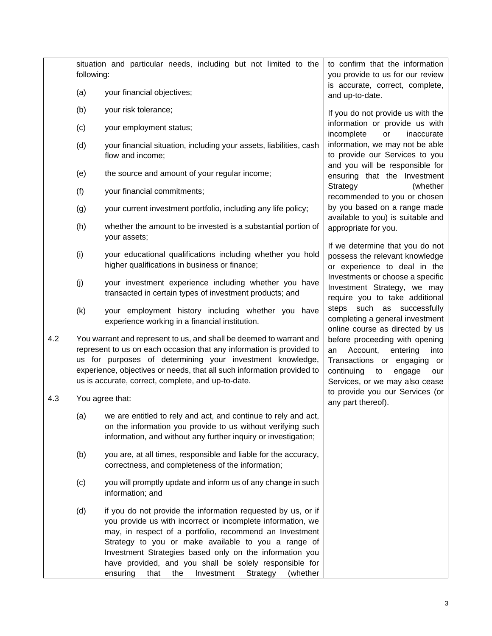|     | situation and particular needs, including but not limited to the<br>following: |                                                                                                                                                                                                                                                                                                                                                                                                                                     | to confirm that the information<br>you provide to us for our review                                                                                                           |
|-----|--------------------------------------------------------------------------------|-------------------------------------------------------------------------------------------------------------------------------------------------------------------------------------------------------------------------------------------------------------------------------------------------------------------------------------------------------------------------------------------------------------------------------------|-------------------------------------------------------------------------------------------------------------------------------------------------------------------------------|
|     | (a)                                                                            | your financial objectives;                                                                                                                                                                                                                                                                                                                                                                                                          | is accurate, correct, complete,<br>and up-to-date.                                                                                                                            |
|     | (b)                                                                            | your risk tolerance;                                                                                                                                                                                                                                                                                                                                                                                                                | If you do not provide us with the                                                                                                                                             |
|     | (c)                                                                            | your employment status;                                                                                                                                                                                                                                                                                                                                                                                                             | information or provide us with<br>incomplete<br>$\mathsf{or}\,$<br>inaccurate                                                                                                 |
|     | (d)                                                                            | your financial situation, including your assets, liabilities, cash<br>flow and income;                                                                                                                                                                                                                                                                                                                                              | information, we may not be able<br>to provide our Services to you<br>and you will be responsible for                                                                          |
|     | (e)                                                                            | the source and amount of your regular income;                                                                                                                                                                                                                                                                                                                                                                                       | ensuring that the Investment                                                                                                                                                  |
|     | (f)                                                                            | your financial commitments;                                                                                                                                                                                                                                                                                                                                                                                                         | Strategy<br>(whether<br>recommended to you or chosen                                                                                                                          |
|     | (g)                                                                            | your current investment portfolio, including any life policy;                                                                                                                                                                                                                                                                                                                                                                       | by you based on a range made<br>available to you) is suitable and                                                                                                             |
|     | (h)                                                                            | whether the amount to be invested is a substantial portion of<br>your assets;                                                                                                                                                                                                                                                                                                                                                       | appropriate for you.                                                                                                                                                          |
|     | (i)                                                                            | your educational qualifications including whether you hold<br>higher qualifications in business or finance;                                                                                                                                                                                                                                                                                                                         | If we determine that you do not<br>possess the relevant knowledge<br>or experience to deal in the                                                                             |
|     | (j)                                                                            | your investment experience including whether you have<br>transacted in certain types of investment products; and                                                                                                                                                                                                                                                                                                                    | Investments or choose a specific<br>Investment Strategy, we may<br>require you to take additional                                                                             |
|     | (k)                                                                            | your employment history including whether you have<br>experience working in a financial institution.                                                                                                                                                                                                                                                                                                                                | steps such as successfully<br>completing a general investment<br>online course as directed by us                                                                              |
| 4.2 |                                                                                | You warrant and represent to us, and shall be deemed to warrant and<br>represent to us on each occasion that any information is provided to<br>us for purposes of determining your investment knowledge,<br>experience, objectives or needs, that all such information provided to<br>us is accurate, correct, complete, and up-to-date.                                                                                            | before proceeding with opening<br>Account,<br>an<br>entering<br>into<br>Transactions or engaging<br>or<br>continuing<br>to<br>engage<br>our<br>Services, or we may also cease |
| 4.3 |                                                                                | You agree that:                                                                                                                                                                                                                                                                                                                                                                                                                     | to provide you our Services (or<br>any part thereof).                                                                                                                         |
|     | (a)                                                                            | we are entitled to rely and act, and continue to rely and act,<br>on the information you provide to us without verifying such<br>information, and without any further inquiry or investigation;                                                                                                                                                                                                                                     |                                                                                                                                                                               |
|     | (b)                                                                            | you are, at all times, responsible and liable for the accuracy,<br>correctness, and completeness of the information;                                                                                                                                                                                                                                                                                                                |                                                                                                                                                                               |
|     | (c)                                                                            | you will promptly update and inform us of any change in such<br>information; and                                                                                                                                                                                                                                                                                                                                                    |                                                                                                                                                                               |
|     | (d)                                                                            | if you do not provide the information requested by us, or if<br>you provide us with incorrect or incomplete information, we<br>may, in respect of a portfolio, recommend an Investment<br>Strategy to you or make available to you a range of<br>Investment Strategies based only on the information you<br>have provided, and you shall be solely responsible for<br>the<br>Investment<br>ensuring<br>that<br>Strategy<br>(whether |                                                                                                                                                                               |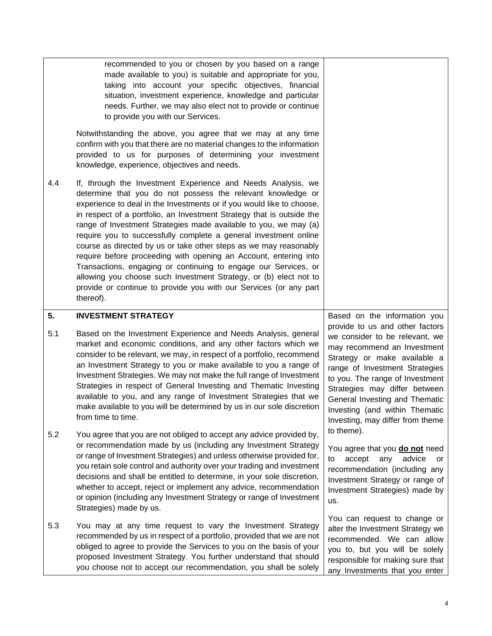<span id="page-5-0"></span>

|     | recommended to you or chosen by you based on a range<br>made available to you) is suitable and appropriate for you,<br>taking into account your specific objectives, financial<br>situation, investment experience, knowledge and particular<br>needs. Further, we may also elect not to provide or continue<br>to provide you with our Services.<br>Notwithstanding the above, you agree that we may at any time<br>confirm with you that there are no material changes to the information<br>provided to us for purposes of determining your investment                                                                                                                                                                                                                                                                                |                                                                                                                                                                                                                                                                                                                                                |
|-----|------------------------------------------------------------------------------------------------------------------------------------------------------------------------------------------------------------------------------------------------------------------------------------------------------------------------------------------------------------------------------------------------------------------------------------------------------------------------------------------------------------------------------------------------------------------------------------------------------------------------------------------------------------------------------------------------------------------------------------------------------------------------------------------------------------------------------------------|------------------------------------------------------------------------------------------------------------------------------------------------------------------------------------------------------------------------------------------------------------------------------------------------------------------------------------------------|
| 4.4 | knowledge, experience, objectives and needs.<br>If, through the Investment Experience and Needs Analysis, we<br>determine that you do not possess the relevant knowledge or<br>experience to deal in the Investments or if you would like to choose,<br>in respect of a portfolio, an Investment Strategy that is outside the<br>range of Investment Strategies made available to you, we may (a)<br>require you to successfully complete a general investment online<br>course as directed by us or take other steps as we may reasonably<br>require before proceeding with opening an Account, entering into<br>Transactions, engaging or continuing to engage our Services, or<br>allowing you choose such Investment Strategy, or (b) elect not to<br>provide or continue to provide you with our Services (or any part<br>thereof). |                                                                                                                                                                                                                                                                                                                                                |
| 5.  | <b>INVESTMENT STRATEGY</b>                                                                                                                                                                                                                                                                                                                                                                                                                                                                                                                                                                                                                                                                                                                                                                                                               | Based on the information you                                                                                                                                                                                                                                                                                                                   |
| 5.1 | Based on the Investment Experience and Needs Analysis, general<br>market and economic conditions, and any other factors which we<br>consider to be relevant, we may, in respect of a portfolio, recommend<br>an Investment Strategy to you or make available to you a range of<br>Investment Strategies. We may not make the full range of Investment<br>Strategies in respect of General Investing and Thematic Investing<br>available to you, and any range of Investment Strategies that we<br>make available to you will be determined by us in our sole discretion<br>from time to time.                                                                                                                                                                                                                                            | provide to us and other factors<br>we consider to be relevant, we<br>may recommend an Investment<br>Strategy or make available a<br>range of Investment Strategies<br>to you. The range of Investment<br>Strategies may differ between<br>General Investing and Thematic<br>Investing (and within Thematic<br>Investing, may differ from theme |
| 5.2 | You agree that you are not obliged to accept any advice provided by,<br>or recommendation made by us (including any Investment Strategy<br>or range of Investment Strategies) and unless otherwise provided for,<br>you retain sole control and authority over your trading and investment<br>decisions and shall be entitled to determine, in your sole discretion,<br>whether to accept, reject or implement any advice, recommendation<br>or opinion (including any Investment Strategy or range of Investment<br>Strategies) made by us.                                                                                                                                                                                                                                                                                             | to theme).<br>You agree that you <b>do not</b> need<br>any advice<br>accept<br>to<br>or<br>recommendation (including any<br>Investment Strategy or range of<br>Investment Strategies) made by<br>us.                                                                                                                                           |
| 5.3 | You may at any time request to vary the Investment Strategy<br>recommended by us in respect of a portfolio, provided that we are not<br>obliged to agree to provide the Services to you on the basis of your<br>proposed Investment Strategy. You further understand that should<br>you choose not to accept our recommendation, you shall be solely                                                                                                                                                                                                                                                                                                                                                                                                                                                                                     | You can request to change or<br>alter the Investment Strategy we<br>recommended. We can allow<br>you to, but you will be solely<br>responsible for making sure that<br>any Investments that you enter                                                                                                                                          |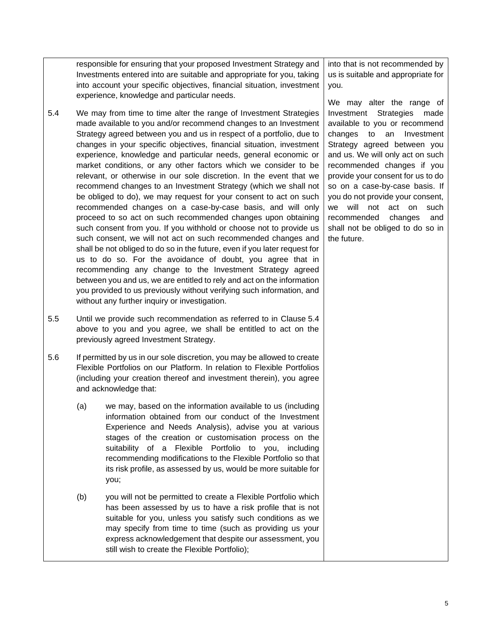responsible for ensuring that your proposed Investment Strategy and Investments entered into are suitable and appropriate for you, taking into account your specific objectives, financial situation, investment experience, knowledge and particular needs.

- <span id="page-6-0"></span>5.4 We may from time to time alter the range of Investment Strategies made available to you and/or recommend changes to an Investment Strategy agreed between you and us in respect of a portfolio, due to changes in your specific objectives, financial situation, investment experience, knowledge and particular needs, general economic or market conditions, or any other factors which we consider to be relevant, or otherwise in our sole discretion. In the event that we recommend changes to an Investment Strategy (which we shall not be obliged to do), we may request for your consent to act on such recommended changes on a case-by-case basis, and will only proceed to so act on such recommended changes upon obtaining such consent from you. If you withhold or choose not to provide us such consent, we will not act on such recommended changes and shall be not obliged to do so in the future, even if you later request for us to do so. For the avoidance of doubt, you agree that in recommending any change to the Investment Strategy agreed between you and us, we are entitled to rely and act on the information you provided to us previously without verifying such information, and without any further inquiry or investigation.
- 5.5 Until we provide such recommendation as referred to in Clause [5.4](#page-6-0) above to you and you agree, we shall be entitled to act on the previously agreed Investment Strategy.
- 5.6 If permitted by us in our sole discretion, you may be allowed to create Flexible Portfolios on our Platform. In relation to Flexible Portfolios (including your creation thereof and investment therein), you agree and acknowledge that:
	- (a) we may, based on the information available to us (including information obtained from our conduct of the Investment Experience and Needs Analysis), advise you at various stages of the creation or customisation process on the suitability of a Flexible Portfolio to you, including recommending modifications to the Flexible Portfolio so that its risk profile, as assessed by us, would be more suitable for you;
	- (b) you will not be permitted to create a Flexible Portfolio which has been assessed by us to have a risk profile that is not suitable for you, unless you satisfy such conditions as we may specify from time to time (such as providing us your express acknowledgement that despite our assessment, you still wish to create the Flexible Portfolio);

into that is not recommended by us is suitable and appropriate for you.

We may alter the range of Investment Strategies made available to you or recommend changes to an Investment Strategy agreed between you and us. We will only act on such recommended changes if you provide your consent for us to do so on a case-by-case basis. If you do not provide your consent, we will not act on such recommended changes and shall not be obliged to do so in the future.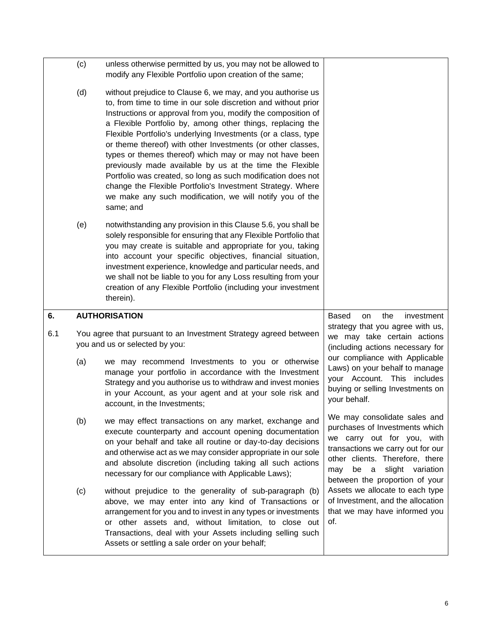<span id="page-7-0"></span>

|     | (c) | unless otherwise permitted by us, you may not be allowed to<br>modify any Flexible Portfolio upon creation of the same;                                                                                                                                                                                                                                                                                                                                                                                                                                                                                                                                                                                                   |                                                                                                                                                                                                                                           |
|-----|-----|---------------------------------------------------------------------------------------------------------------------------------------------------------------------------------------------------------------------------------------------------------------------------------------------------------------------------------------------------------------------------------------------------------------------------------------------------------------------------------------------------------------------------------------------------------------------------------------------------------------------------------------------------------------------------------------------------------------------------|-------------------------------------------------------------------------------------------------------------------------------------------------------------------------------------------------------------------------------------------|
|     | (d) | without prejudice to Clause 6, we may, and you authorise us<br>to, from time to time in our sole discretion and without prior<br>Instructions or approval from you, modify the composition of<br>a Flexible Portfolio by, among other things, replacing the<br>Flexible Portfolio's underlying Investments (or a class, type<br>or theme thereof) with other Investments (or other classes,<br>types or themes thereof) which may or may not have been<br>previously made available by us at the time the Flexible<br>Portfolio was created, so long as such modification does not<br>change the Flexible Portfolio's Investment Strategy. Where<br>we make any such modification, we will notify you of the<br>same; and |                                                                                                                                                                                                                                           |
|     | (e) | notwithstanding any provision in this Clause 5.6, you shall be<br>solely responsible for ensuring that any Flexible Portfolio that<br>you may create is suitable and appropriate for you, taking<br>into account your specific objectives, financial situation,<br>investment experience, knowledge and particular needs, and<br>we shall not be liable to you for any Loss resulting from your<br>creation of any Flexible Portfolio (including your investment<br>therein).                                                                                                                                                                                                                                             |                                                                                                                                                                                                                                           |
| 6.  |     |                                                                                                                                                                                                                                                                                                                                                                                                                                                                                                                                                                                                                                                                                                                           |                                                                                                                                                                                                                                           |
| 6.1 |     | <b>AUTHORISATION</b>                                                                                                                                                                                                                                                                                                                                                                                                                                                                                                                                                                                                                                                                                                      | <b>Based</b><br>the<br>on<br>investment                                                                                                                                                                                                   |
|     |     | You agree that pursuant to an Investment Strategy agreed between<br>you and us or selected by you:                                                                                                                                                                                                                                                                                                                                                                                                                                                                                                                                                                                                                        | strategy that you agree with us,<br>we may take certain actions<br>(including actions necessary for                                                                                                                                       |
|     | (a) | we may recommend Investments to you or otherwise<br>manage your portfolio in accordance with the Investment<br>Strategy and you authorise us to withdraw and invest monies<br>in your Account, as your agent and at your sole risk and<br>account, in the Investments;                                                                                                                                                                                                                                                                                                                                                                                                                                                    | our compliance with Applicable<br>Laws) on your behalf to manage<br>your Account. This includes<br>buying or selling Investments on<br>your behalf.                                                                                       |
|     | (b) | we may effect transactions on any market, exchange and<br>execute counterparty and account opening documentation<br>on your behalf and take all routine or day-to-day decisions<br>and otherwise act as we may consider appropriate in our sole<br>and absolute discretion (including taking all such actions<br>necessary for our compliance with Applicable Laws);                                                                                                                                                                                                                                                                                                                                                      | We may consolidate sales and<br>purchases of Investments which<br>we carry out for you, with<br>transactions we carry out for our<br>other clients. Therefore, there<br>slight variation<br>be a<br>may<br>between the proportion of your |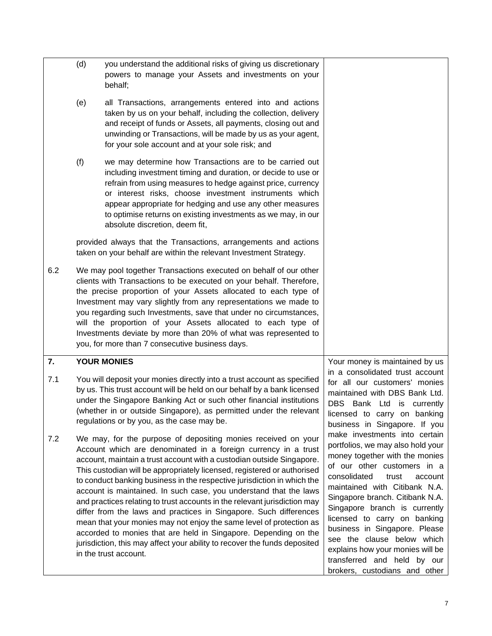<span id="page-8-0"></span>

|     | (d) | you understand the additional risks of giving us discretionary<br>powers to manage your Assets and investments on your<br>behalf;                                                                                                                                                                                                                                                                                                                                                                                                                                                                                                                                                                                                                                                                                                     |                                                                                                                                                                                                                                                                                                                                                                                                                                                                                 |
|-----|-----|---------------------------------------------------------------------------------------------------------------------------------------------------------------------------------------------------------------------------------------------------------------------------------------------------------------------------------------------------------------------------------------------------------------------------------------------------------------------------------------------------------------------------------------------------------------------------------------------------------------------------------------------------------------------------------------------------------------------------------------------------------------------------------------------------------------------------------------|---------------------------------------------------------------------------------------------------------------------------------------------------------------------------------------------------------------------------------------------------------------------------------------------------------------------------------------------------------------------------------------------------------------------------------------------------------------------------------|
|     | (e) | all Transactions, arrangements entered into and actions<br>taken by us on your behalf, including the collection, delivery<br>and receipt of funds or Assets, all payments, closing out and<br>unwinding or Transactions, will be made by us as your agent,<br>for your sole account and at your sole risk; and                                                                                                                                                                                                                                                                                                                                                                                                                                                                                                                        |                                                                                                                                                                                                                                                                                                                                                                                                                                                                                 |
|     | (f) | we may determine how Transactions are to be carried out<br>including investment timing and duration, or decide to use or<br>refrain from using measures to hedge against price, currency<br>or interest risks, choose investment instruments which<br>appear appropriate for hedging and use any other measures<br>to optimise returns on existing investments as we may, in our<br>absolute discretion, deem fit,                                                                                                                                                                                                                                                                                                                                                                                                                    |                                                                                                                                                                                                                                                                                                                                                                                                                                                                                 |
|     |     | provided always that the Transactions, arrangements and actions<br>taken on your behalf are within the relevant Investment Strategy.                                                                                                                                                                                                                                                                                                                                                                                                                                                                                                                                                                                                                                                                                                  |                                                                                                                                                                                                                                                                                                                                                                                                                                                                                 |
| 6.2 |     | We may pool together Transactions executed on behalf of our other<br>clients with Transactions to be executed on your behalf. Therefore,<br>the precise proportion of your Assets allocated to each type of<br>Investment may vary slightly from any representations we made to<br>you regarding such Investments, save that under no circumstances,<br>will the proportion of your Assets allocated to each type of<br>Investments deviate by more than 20% of what was represented to<br>you, for more than 7 consecutive business days.                                                                                                                                                                                                                                                                                            |                                                                                                                                                                                                                                                                                                                                                                                                                                                                                 |
| 7.  |     | <b>YOUR MONIES</b>                                                                                                                                                                                                                                                                                                                                                                                                                                                                                                                                                                                                                                                                                                                                                                                                                    | Your money is maintained by us                                                                                                                                                                                                                                                                                                                                                                                                                                                  |
| 7.1 |     | You will deposit your monies directly into a trust account as specified<br>by us. This trust account will be held on our behalf by a bank licensed<br>under the Singapore Banking Act or such other financial institutions<br>(whether in or outside Singapore), as permitted under the relevant<br>regulations or by you, as the case may be.                                                                                                                                                                                                                                                                                                                                                                                                                                                                                        | in a consolidated trust account<br>for all our customers' monies<br>maintained with DBS Bank Ltd.<br>DBS Bank Ltd is currently<br>licensed to carry on banking<br>business in Singapore. If you                                                                                                                                                                                                                                                                                 |
| 7.2 |     | We may, for the purpose of depositing monies received on your<br>Account which are denominated in a foreign currency in a trust<br>account, maintain a trust account with a custodian outside Singapore.<br>This custodian will be appropriately licensed, registered or authorised<br>to conduct banking business in the respective jurisdiction in which the<br>account is maintained. In such case, you understand that the laws<br>and practices relating to trust accounts in the relevant jurisdiction may<br>differ from the laws and practices in Singapore. Such differences<br>mean that your monies may not enjoy the same level of protection as<br>accorded to monies that are held in Singapore. Depending on the<br>jurisdiction, this may affect your ability to recover the funds deposited<br>in the trust account. | make investments into certain<br>portfolios, we may also hold your<br>money together with the monies<br>of our other customers in a<br>consolidated<br>trust<br>account<br>maintained with Citibank N.A.<br>Singapore branch. Citibank N.A.<br>Singapore branch is currently<br>licensed to carry on banking<br>business in Singapore. Please<br>see the clause below which<br>explains how your monies will be<br>transferred and held by our<br>brokers, custodians and other |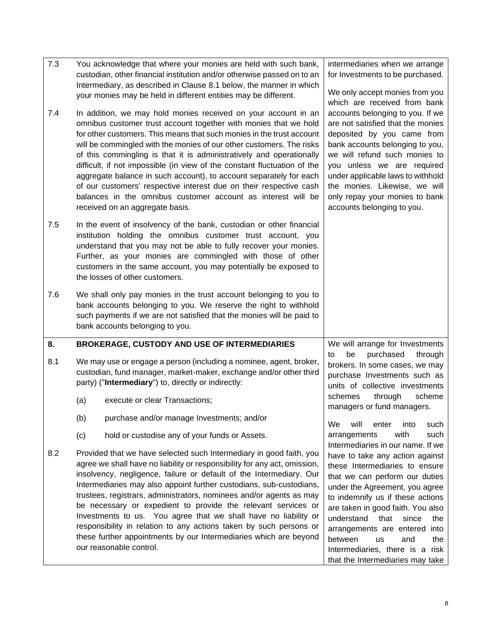<span id="page-9-1"></span><span id="page-9-0"></span>

| 7.3 | You acknowledge that where your monies are held with such bank,<br>custodian, other financial institution and/or otherwise passed on to an<br>Intermediary, as described in Clause 8.1 below, the manner in which<br>your monies may be held in different entities may be different.                                                                                                                                                                                                                                                                                                                                                                                                                                                                                       |                                                                                                                                                                                                                                   | intermediaries when we arrange<br>for Investments to be purchased.<br>We only accept monies from you                                                                                                                                                                                                                                                                        |
|-----|----------------------------------------------------------------------------------------------------------------------------------------------------------------------------------------------------------------------------------------------------------------------------------------------------------------------------------------------------------------------------------------------------------------------------------------------------------------------------------------------------------------------------------------------------------------------------------------------------------------------------------------------------------------------------------------------------------------------------------------------------------------------------|-----------------------------------------------------------------------------------------------------------------------------------------------------------------------------------------------------------------------------------|-----------------------------------------------------------------------------------------------------------------------------------------------------------------------------------------------------------------------------------------------------------------------------------------------------------------------------------------------------------------------------|
| 7.4 | In addition, we may hold monies received on your account in an<br>omnibus customer trust account together with monies that we hold<br>for other customers. This means that such monies in the trust account<br>will be commingled with the monies of our other customers. The risks<br>of this commingling is that it is administratively and operationally<br>difficult, if not impossible (in view of the constant fluctuation of the<br>aggregate balance in such account), to account separately for each<br>of our customers' respective interest due on their respective cash<br>balances in the omnibus customer account as interest will be<br>received on an aggregate basis.                                                                                     |                                                                                                                                                                                                                                   | which are received from bank<br>accounts belonging to you. If we<br>are not satisfied that the monies<br>deposited by you came from<br>bank accounts belonging to you,<br>we will refund such monies to<br>you unless we are required<br>under applicable laws to withhold<br>the monies. Likewise, we will<br>only repay your monies to bank<br>accounts belonging to you. |
| 7.5 | In the event of insolvency of the bank, custodian or other financial<br>institution holding the omnibus customer trust account, you<br>understand that you may not be able to fully recover your monies.<br>Further, as your monies are commingled with those of other<br>customers in the same account, you may potentially be exposed to<br>the losses of other customers.                                                                                                                                                                                                                                                                                                                                                                                               |                                                                                                                                                                                                                                   |                                                                                                                                                                                                                                                                                                                                                                             |
| 7.6 | We shall only pay monies in the trust account belonging to you to<br>bank accounts belonging to you. We reserve the right to withhold<br>such payments if we are not satisfied that the monies will be paid to<br>bank accounts belonging to you.                                                                                                                                                                                                                                                                                                                                                                                                                                                                                                                          |                                                                                                                                                                                                                                   |                                                                                                                                                                                                                                                                                                                                                                             |
| 8.  |                                                                                                                                                                                                                                                                                                                                                                                                                                                                                                                                                                                                                                                                                                                                                                            | <b>BROKERAGE, CUSTODY AND USE OF INTERMEDIARIES</b>                                                                                                                                                                               | We will arrange for Investments                                                                                                                                                                                                                                                                                                                                             |
| 8.1 | (a)                                                                                                                                                                                                                                                                                                                                                                                                                                                                                                                                                                                                                                                                                                                                                                        | We may use or engage a person (including a nominee, agent, broker,<br>custodian, fund manager, market-maker, exchange and/or other third<br>party) ("Intermediary") to, directly or indirectly:<br>execute or clear Transactions; | purchased<br>be<br>through<br>to<br>brokers. In some cases, we may<br>purchase Investments such as<br>units of collective investments<br>schemes<br>through<br>scheme                                                                                                                                                                                                       |
|     |                                                                                                                                                                                                                                                                                                                                                                                                                                                                                                                                                                                                                                                                                                                                                                            |                                                                                                                                                                                                                                   | managers or fund managers.                                                                                                                                                                                                                                                                                                                                                  |
|     | (b)                                                                                                                                                                                                                                                                                                                                                                                                                                                                                                                                                                                                                                                                                                                                                                        | purchase and/or manage Investments; and/or                                                                                                                                                                                        | We<br>will<br>enter<br>into<br>such                                                                                                                                                                                                                                                                                                                                         |
|     | (c)                                                                                                                                                                                                                                                                                                                                                                                                                                                                                                                                                                                                                                                                                                                                                                        | hold or custodise any of your funds or Assets.                                                                                                                                                                                    | with<br>arrangements<br>such<br>Intermediaries in our name. If we                                                                                                                                                                                                                                                                                                           |
| 8.2 | Provided that we have selected such Intermediary in good faith, you<br>agree we shall have no liability or responsibility for any act, omission,<br>insolvency, negligence, failure or default of the Intermediary. Our<br>Intermediaries may also appoint further custodians, sub-custodians,<br>trustees, registrars, administrators, nominees and/or agents as may<br>be necessary or expedient to provide the relevant services or<br>Investments to us. You agree that we shall have no liability or<br>understand<br>that<br>since<br>responsibility in relation to any actions taken by such persons or<br>these further appointments by our Intermediaries which are beyond<br>between<br>and<br>us<br>our reasonable control.<br>that the Intermediaries may take |                                                                                                                                                                                                                                   | have to take any action against<br>these Intermediaries to ensure<br>that we can perform our duties<br>under the Agreement, you agree<br>to indemnify us if these actions<br>are taken in good faith. You also<br>the<br>arrangements are entered<br>into<br>the<br>Intermediaries, there is a risk                                                                         |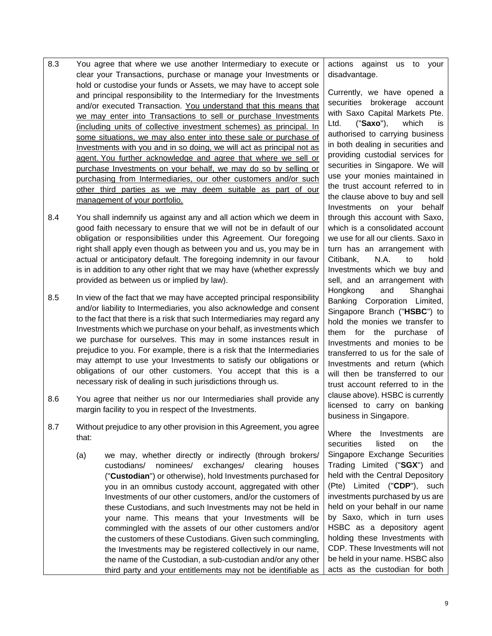- 8.3 You agree that where we use another Intermediary to execute or clear your Transactions, purchase or manage your Investments or hold or custodise your funds or Assets, we may have to accept sole and principal responsibility to the Intermediary for the Investments and/or executed Transaction. You understand that this means that we may enter into Transactions to sell or purchase Investments (including units of collective investment schemes) as principal. In some situations, we may also enter into these sale or purchase of Investments with you and in so doing, we will act as principal not as agent. You further acknowledge and agree that where we sell or purchase Investments on your behalf, we may do so by selling or purchasing from Intermediaries, our other customers and/or such other third parties as we may deem suitable as part of our management of your portfolio.
- 8.4 You shall indemnify us against any and all action which we deem in good faith necessary to ensure that we will not be in default of our obligation or responsibilities under this Agreement. Our foregoing right shall apply even though as between you and us, you may be in actual or anticipatory default. The foregoing indemnity in our favour is in addition to any other right that we may have (whether expressly provided as between us or implied by law).
- 8.5 In view of the fact that we may have accepted principal responsibility and/or liability to Intermediaries, you also acknowledge and consent to the fact that there is a risk that such Intermediaries may regard any Investments which we purchase on your behalf, as investments which we purchase for ourselves. This may in some instances result in prejudice to you. For example, there is a risk that the Intermediaries may attempt to use your Investments to satisfy our obligations or obligations of our other customers. You accept that this is a necessary risk of dealing in such jurisdictions through us.
- 8.6 You agree that neither us nor our Intermediaries shall provide any margin facility to you in respect of the Investments.
- 8.7 Without prejudice to any other provision in this Agreement, you agree that:
	- (a) we may, whether directly or indirectly (through brokers/ custodians/ nominees/ exchanges/ clearing houses ("**Custodian**") or otherwise), hold Investments purchased for you in an omnibus custody account, aggregated with other Investments of our other customers, and/or the customers of these Custodians, and such Investments may not be held in your name. This means that your Investments will be commingled with the assets of our other customers and/or the customers of these Custodians. Given such commingling, the Investments may be registered collectively in our name, the name of the Custodian, a sub-custodian and/or any other third party and your entitlements may not be identifiable as

actions against us to your disadvantage.

Currently, we have opened a securities brokerage account with Saxo Capital Markets Pte. Ltd. ("**Saxo**"), which is authorised to carrying business in both dealing in securities and providing custodial services for securities in Singapore. We will use your monies maintained in the trust account referred to in the clause above to buy and sell Investments on your behalf through this account with Saxo, which is a consolidated account we use for all our clients. Saxo in turn has an arrangement with Citibank, N.A. to hold Investments which we buy and sell, and an arrangement with Hongkong and Shanghai Banking Corporation Limited, Singapore Branch ("**HSBC**") to hold the monies we transfer to them for the purchase of Investments and monies to be transferred to us for the sale of Investments and return (which will then be transferred to our trust account referred to in the clause above). HSBC is currently licensed to carry on banking business in Singapore.

Where the Investments are securities listed on the Singapore Exchange Securities Trading Limited ("**SGX**") and held with the Central Depository (Pte) Limited ("**CDP**"), such investments purchased by us are held on your behalf in our name by Saxo, which in turn uses HSBC as a depository agent holding these Investments with CDP. These Investments will not be held in your name. HSBC also acts as the custodian for both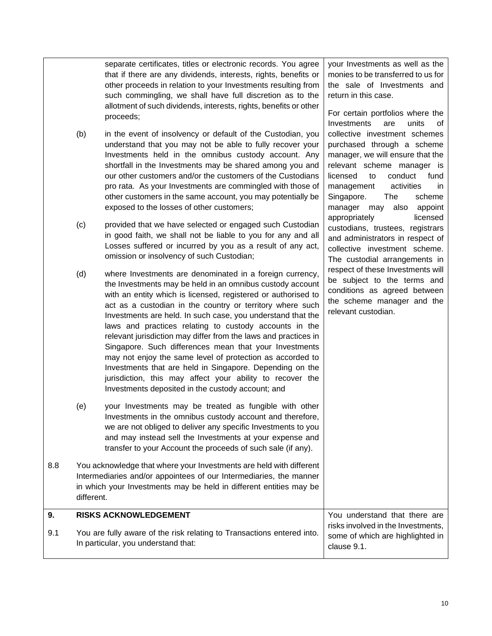separate certificates, titles or electronic records. You agree that if there are any dividends, interests, rights, benefits or other proceeds in relation to your Investments resulting from such commingling, we shall have full discretion as to the allotment of such dividends, interests, rights, benefits or other proceeds;

- (b) in the event of insolvency or default of the Custodian, you understand that you may not be able to fully recover your Investments held in the omnibus custody account. Any shortfall in the Investments may be shared among you and our other customers and/or the customers of the Custodians pro rata. As your Investments are commingled with those of other customers in the same account, you may potentially be exposed to the losses of other customers;
- (c) provided that we have selected or engaged such Custodian in good faith, we shall not be liable to you for any and all Losses suffered or incurred by you as a result of any act, omission or insolvency of such Custodian;
- (d) where Investments are denominated in a foreign currency, the Investments may be held in an omnibus custody account with an entity which is licensed, registered or authorised to act as a custodian in the country or territory where such Investments are held. In such case, you understand that the laws and practices relating to custody accounts in the relevant jurisdiction may differ from the laws and practices in Singapore. Such differences mean that your Investments may not enjoy the same level of protection as accorded to Investments that are held in Singapore. Depending on the jurisdiction, this may affect your ability to recover the Investments deposited in the custody account; and
- (e) your Investments may be treated as fungible with other Investments in the omnibus custody account and therefore, we are not obliged to deliver any specific Investments to you and may instead sell the Investments at your expense and transfer to your Account the proceeds of such sale (if any).
- 8.8 You acknowledge that where your Investments are held with different Intermediaries and/or appointees of our Intermediaries, the manner in which your Investments may be held in different entities may be different.

#### <span id="page-11-1"></span><span id="page-11-0"></span>**9. RISKS ACKNOWLEDGEMENT** 9.1 You are fully aware of the risk relating to Transactions entered into. In particular, you understand that: You understand that there are risks involved in the Investments, some of which are highlighted in clause [9.1.](#page-11-1)

your Investments as well as the monies to be transferred to us for the sale of Investments and return in this case.

For certain portfolios where the Investments are units of collective investment schemes purchased through a scheme manager, we will ensure that the relevant scheme manager is licensed to conduct fund management activities in Singapore. The scheme manager may also appoint appropriately licensed custodians, trustees, registrars and administrators in respect of collective investment scheme. The custodial arrangements in respect of these Investments will be subject to the terms and conditions as agreed between the scheme manager and the relevant custodian.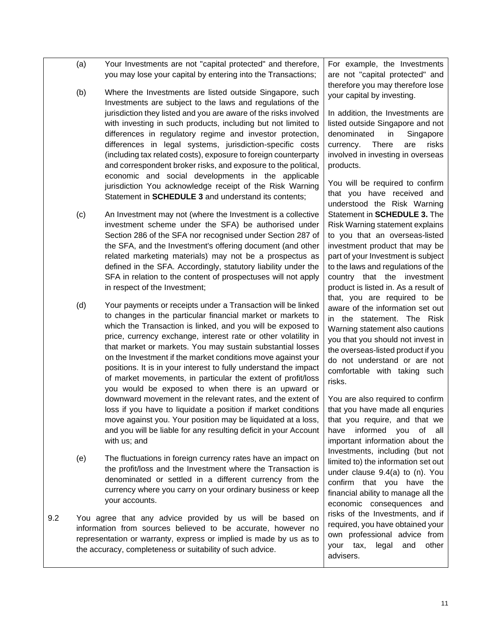- (a) Your Investments are not "capital protected" and therefore, you may lose your capital by entering into the Transactions;
- (b) Where the Investments are listed outside Singapore, such Investments are subject to the laws and regulations of the jurisdiction they listed and you are aware of the risks involved with investing in such products, including but not limited to differences in regulatory regime and investor protection, differences in legal systems, jurisdiction-specific costs (including tax related costs), exposure to foreign counterparty and correspondent broker risks, and exposure to the political, economic and social developments in the applicable jurisdiction You acknowledge receipt of the Risk Warning Statement in **[SCHEDULE 3](#page-37-1)** and understand its contents;
- (c) An Investment may not (where the Investment is a collective investment scheme under the SFA) be authorised under Section 286 of the SFA nor recognised under Section 287 of the SFA, and the Investment's offering document (and other related marketing materials) may not be a prospectus as defined in the SFA. Accordingly, statutory liability under the SFA in relation to the content of prospectuses will not apply in respect of the Investment;
- (d) Your payments or receipts under a Transaction will be linked to changes in the particular financial market or markets to which the Transaction is linked, and you will be exposed to price, currency exchange, interest rate or other volatility in that market or markets. You may sustain substantial losses on the Investment if the market conditions move against your positions. It is in your interest to fully understand the impact of market movements, in particular the extent of profit/loss you would be exposed to when there is an upward or downward movement in the relevant rates, and the extent of loss if you have to liquidate a position if market conditions move against you. Your position may be liquidated at a loss, and you will be liable for any resulting deficit in your Account with us; and
- (e) The fluctuations in foreign currency rates have an impact on the profit/loss and the Investment where the Transaction is denominated or settled in a different currency from the currency where you carry on your ordinary business or keep your accounts.
- 9.2 You agree that any advice provided by us will be based on information from sources believed to be accurate, however no representation or warranty, express or implied is made by us as to the accuracy, completeness or suitability of such advice.

For example, the Investments are not "capital protected" and therefore you may therefore lose your capital by investing.

In addition, the Investments are listed outside Singapore and not denominated in Singapore currency. There are risks involved in investing in overseas products.

You will be required to confirm that you have received and understood the Risk Warning Statement in **[SCHEDULE 3.](#page-37-1)** The Risk Warning statement explains to you that an overseas-listed investment product that may be part of your Investment is subject to the laws and regulations of the country that the investment product is listed in. As a result of that, you are required to be aware of the information set out in the statement. The Risk Warning statement also cautions you that you should not invest in the overseas-listed product if you do not understand or are not comfortable with taking such risks.

You are also required to confirm that you have made all enquries that you require, and that we have informed you of all important information about the Investments, including (but not limited to) the information set out under clause [9.4\(a\)](#page-13-0) to [\(n\).](#page-13-1) You confirm that you have the financial ability to manage all the economic consequences and risks of the Investments, and if required, you have obtained your own professional advice from your tax, legal and other advisers.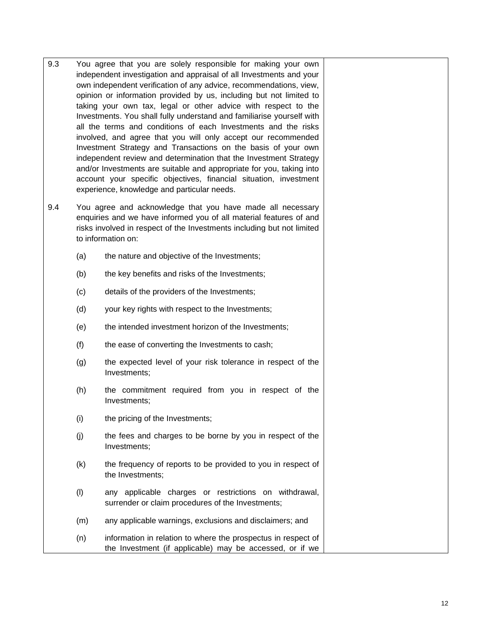<span id="page-13-1"></span><span id="page-13-0"></span>

| 9.3 | You agree that you are solely responsible for making your own<br>independent investigation and appraisal of all Investments and your<br>own independent verification of any advice, recommendations, view,<br>opinion or information provided by us, including but not limited to<br>taking your own tax, legal or other advice with respect to the<br>Investments. You shall fully understand and familiarise yourself with<br>all the terms and conditions of each Investments and the risks<br>involved, and agree that you will only accept our recommended<br>Investment Strategy and Transactions on the basis of your own<br>independent review and determination that the Investment Strategy<br>and/or Investments are suitable and appropriate for you, taking into<br>account your specific objectives, financial situation, investment<br>experience, knowledge and particular needs. |                                                                                                                           |  |
|-----|---------------------------------------------------------------------------------------------------------------------------------------------------------------------------------------------------------------------------------------------------------------------------------------------------------------------------------------------------------------------------------------------------------------------------------------------------------------------------------------------------------------------------------------------------------------------------------------------------------------------------------------------------------------------------------------------------------------------------------------------------------------------------------------------------------------------------------------------------------------------------------------------------|---------------------------------------------------------------------------------------------------------------------------|--|
| 9.4 | You agree and acknowledge that you have made all necessary<br>enquiries and we have informed you of all material features of and<br>risks involved in respect of the Investments including but not limited<br>to information on:                                                                                                                                                                                                                                                                                                                                                                                                                                                                                                                                                                                                                                                                  |                                                                                                                           |  |
|     | (a)                                                                                                                                                                                                                                                                                                                                                                                                                                                                                                                                                                                                                                                                                                                                                                                                                                                                                               | the nature and objective of the Investments;                                                                              |  |
|     | (b)                                                                                                                                                                                                                                                                                                                                                                                                                                                                                                                                                                                                                                                                                                                                                                                                                                                                                               | the key benefits and risks of the Investments;                                                                            |  |
|     | (c)                                                                                                                                                                                                                                                                                                                                                                                                                                                                                                                                                                                                                                                                                                                                                                                                                                                                                               | details of the providers of the Investments;                                                                              |  |
|     | (d)                                                                                                                                                                                                                                                                                                                                                                                                                                                                                                                                                                                                                                                                                                                                                                                                                                                                                               | your key rights with respect to the Investments;                                                                          |  |
|     | (e)                                                                                                                                                                                                                                                                                                                                                                                                                                                                                                                                                                                                                                                                                                                                                                                                                                                                                               | the intended investment horizon of the Investments;                                                                       |  |
|     | (f)                                                                                                                                                                                                                                                                                                                                                                                                                                                                                                                                                                                                                                                                                                                                                                                                                                                                                               | the ease of converting the Investments to cash;                                                                           |  |
|     | (g)                                                                                                                                                                                                                                                                                                                                                                                                                                                                                                                                                                                                                                                                                                                                                                                                                                                                                               | the expected level of your risk tolerance in respect of the<br>Investments;                                               |  |
|     | (h)                                                                                                                                                                                                                                                                                                                                                                                                                                                                                                                                                                                                                                                                                                                                                                                                                                                                                               | the commitment required from you in respect of the<br>Investments;                                                        |  |
|     | (i)                                                                                                                                                                                                                                                                                                                                                                                                                                                                                                                                                                                                                                                                                                                                                                                                                                                                                               | the pricing of the Investments;                                                                                           |  |
|     | (j)                                                                                                                                                                                                                                                                                                                                                                                                                                                                                                                                                                                                                                                                                                                                                                                                                                                                                               | the fees and charges to be borne by you in respect of the<br>Investments;                                                 |  |
|     | (k)                                                                                                                                                                                                                                                                                                                                                                                                                                                                                                                                                                                                                                                                                                                                                                                                                                                                                               | the frequency of reports to be provided to you in respect of<br>the Investments;                                          |  |
|     | (1)                                                                                                                                                                                                                                                                                                                                                                                                                                                                                                                                                                                                                                                                                                                                                                                                                                                                                               | any applicable charges or restrictions on withdrawal,<br>surrender or claim procedures of the Investments;                |  |
|     | (m)                                                                                                                                                                                                                                                                                                                                                                                                                                                                                                                                                                                                                                                                                                                                                                                                                                                                                               | any applicable warnings, exclusions and disclaimers; and                                                                  |  |
|     | (n)                                                                                                                                                                                                                                                                                                                                                                                                                                                                                                                                                                                                                                                                                                                                                                                                                                                                                               | information in relation to where the prospectus in respect of<br>the Investment (if applicable) may be accessed, or if we |  |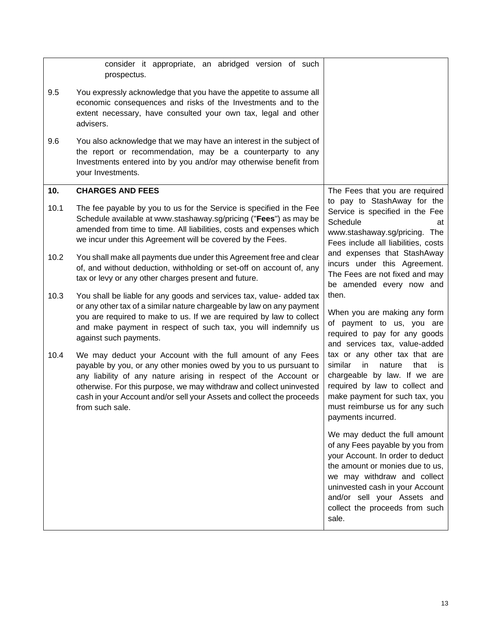<span id="page-14-0"></span>

|      | consider it appropriate, an abridged version of such<br>prospectus.                                                                                                                                                                                                                                                                                                     |                                                                                                                                                                                                                                                                                     |
|------|-------------------------------------------------------------------------------------------------------------------------------------------------------------------------------------------------------------------------------------------------------------------------------------------------------------------------------------------------------------------------|-------------------------------------------------------------------------------------------------------------------------------------------------------------------------------------------------------------------------------------------------------------------------------------|
| 9.5  | You expressly acknowledge that you have the appetite to assume all<br>economic consequences and risks of the Investments and to the<br>extent necessary, have consulted your own tax, legal and other<br>advisers.                                                                                                                                                      |                                                                                                                                                                                                                                                                                     |
| 9.6  | You also acknowledge that we may have an interest in the subject of<br>the report or recommendation, may be a counterparty to any<br>Investments entered into by you and/or may otherwise benefit from<br>your Investments.                                                                                                                                             |                                                                                                                                                                                                                                                                                     |
| 10.  | <b>CHARGES AND FEES</b>                                                                                                                                                                                                                                                                                                                                                 | The Fees that you are required                                                                                                                                                                                                                                                      |
| 10.1 | The fee payable by you to us for the Service is specified in the Fee<br>Schedule available at www.stashaway.sg/pricing ("Fees") as may be<br>amended from time to time. All liabilities, costs and expenses which<br>we incur under this Agreement will be covered by the Fees.                                                                                         | to pay to StashAway for the<br>Service is specified in the Fee<br>Schedule<br>at<br>www.stashaway.sg/pricing. The<br>Fees include all liabilities, costs                                                                                                                            |
| 10.2 | You shall make all payments due under this Agreement free and clear<br>of, and without deduction, withholding or set-off on account of, any<br>tax or levy or any other charges present and future.                                                                                                                                                                     | and expenses that StashAway<br>incurs under this Agreement.<br>The Fees are not fixed and may<br>be amended every now and                                                                                                                                                           |
| 10.3 | You shall be liable for any goods and services tax, value- added tax<br>or any other tax of a similar nature chargeable by law on any payment<br>you are required to make to us. If we are required by law to collect<br>and make payment in respect of such tax, you will indemnify us<br>against such payments.                                                       | then.<br>When you are making any form<br>of payment to us, you are<br>required to pay for any goods<br>and services tax, value-added                                                                                                                                                |
| 10.4 | We may deduct your Account with the full amount of any Fees<br>payable by you, or any other monies owed by you to us pursuant to<br>any liability of any nature arising in respect of the Account or<br>otherwise. For this purpose, we may withdraw and collect uninvested<br>cash in your Account and/or sell your Assets and collect the proceeds<br>from such sale. | tax or any other tax that are<br>similar<br>in<br>nature<br>that<br>İS<br>chargeable by law. If we are<br>required by law to collect and<br>make payment for such tax, you<br>must reimburse us for any such<br>payments incurred.                                                  |
|      |                                                                                                                                                                                                                                                                                                                                                                         | We may deduct the full amount<br>of any Fees payable by you from<br>your Account. In order to deduct<br>the amount or monies due to us,<br>we may withdraw and collect<br>uninvested cash in your Account<br>and/or sell your Assets and<br>collect the proceeds from such<br>sale. |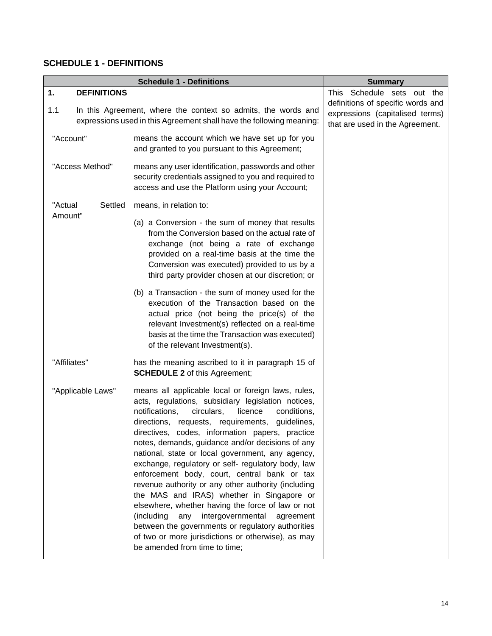## <span id="page-15-0"></span>**SCHEDULE 1 - DEFINITIONS**

<span id="page-15-1"></span>

|                          | <b>Schedule 1 - Definitions</b>                                                                                                                                                                                                                                                                                                                                                                                                                                                                                                                                                                                                                                                                                                                                                                                                                    | <b>Summary</b>                                                                                          |
|--------------------------|----------------------------------------------------------------------------------------------------------------------------------------------------------------------------------------------------------------------------------------------------------------------------------------------------------------------------------------------------------------------------------------------------------------------------------------------------------------------------------------------------------------------------------------------------------------------------------------------------------------------------------------------------------------------------------------------------------------------------------------------------------------------------------------------------------------------------------------------------|---------------------------------------------------------------------------------------------------------|
| 1.<br><b>DEFINITIONS</b> |                                                                                                                                                                                                                                                                                                                                                                                                                                                                                                                                                                                                                                                                                                                                                                                                                                                    | This Schedule sets out the                                                                              |
| 1.1                      | In this Agreement, where the context so admits, the words and<br>expressions used in this Agreement shall have the following meaning:                                                                                                                                                                                                                                                                                                                                                                                                                                                                                                                                                                                                                                                                                                              | definitions of specific words and<br>expressions (capitalised terms)<br>that are used in the Agreement. |
| "Account"                | means the account which we have set up for you<br>and granted to you pursuant to this Agreement;                                                                                                                                                                                                                                                                                                                                                                                                                                                                                                                                                                                                                                                                                                                                                   |                                                                                                         |
| "Access Method"          | means any user identification, passwords and other<br>security credentials assigned to you and required to<br>access and use the Platform using your Account;                                                                                                                                                                                                                                                                                                                                                                                                                                                                                                                                                                                                                                                                                      |                                                                                                         |
| "Actual<br>Settled       | means, in relation to:                                                                                                                                                                                                                                                                                                                                                                                                                                                                                                                                                                                                                                                                                                                                                                                                                             |                                                                                                         |
| Amount"                  | (a) a Conversion - the sum of money that results<br>from the Conversion based on the actual rate of<br>exchange (not being a rate of exchange<br>provided on a real-time basis at the time the<br>Conversion was executed) provided to us by a<br>third party provider chosen at our discretion; or                                                                                                                                                                                                                                                                                                                                                                                                                                                                                                                                                |                                                                                                         |
|                          | (b) a Transaction - the sum of money used for the<br>execution of the Transaction based on the<br>actual price (not being the price(s) of the<br>relevant Investment(s) reflected on a real-time<br>basis at the time the Transaction was executed)<br>of the relevant Investment(s).                                                                                                                                                                                                                                                                                                                                                                                                                                                                                                                                                              |                                                                                                         |
| "Affiliates"             | has the meaning ascribed to it in paragraph 15 of<br><b>SCHEDULE 2</b> of this Agreement;                                                                                                                                                                                                                                                                                                                                                                                                                                                                                                                                                                                                                                                                                                                                                          |                                                                                                         |
| "Applicable Laws"        | means all applicable local or foreign laws, rules,<br>acts, regulations, subsidiary legislation notices,<br>notifications,<br>circulars,<br>licence<br>conditions,<br>directions, requests, requirements, guidelines,<br>directives, codes, information papers, practice<br>notes, demands, guidance and/or decisions of any<br>national, state or local government, any agency,<br>exchange, regulatory or self- regulatory body, law<br>enforcement body, court, central bank or tax<br>revenue authority or any other authority (including<br>the MAS and IRAS) whether in Singapore or<br>elsewhere, whether having the force of law or not<br>intergovernmental<br>(including<br>any<br>agreement<br>between the governments or regulatory authorities<br>of two or more jurisdictions or otherwise), as may<br>be amended from time to time; |                                                                                                         |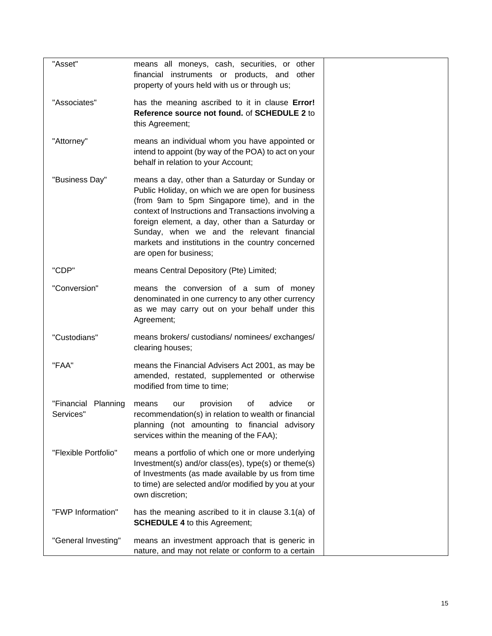| "Asset"                             | means all moneys, cash, securities, or other<br>financial instruments or products, and other<br>property of yours held with us or through us;                                                                                                                                                                                                                                                 |  |
|-------------------------------------|-----------------------------------------------------------------------------------------------------------------------------------------------------------------------------------------------------------------------------------------------------------------------------------------------------------------------------------------------------------------------------------------------|--|
| "Associates"                        | has the meaning ascribed to it in clause Error!<br>Reference source not found. of SCHEDULE 2 to<br>this Agreement;                                                                                                                                                                                                                                                                            |  |
| "Attorney"                          | means an individual whom you have appointed or<br>intend to appoint (by way of the POA) to act on your<br>behalf in relation to your Account;                                                                                                                                                                                                                                                 |  |
| "Business Day"                      | means a day, other than a Saturday or Sunday or<br>Public Holiday, on which we are open for business<br>(from 9am to 5pm Singapore time), and in the<br>context of Instructions and Transactions involving a<br>foreign element, a day, other than a Saturday or<br>Sunday, when we and the relevant financial<br>markets and institutions in the country concerned<br>are open for business; |  |
| "CDP"                               | means Central Depository (Pte) Limited;                                                                                                                                                                                                                                                                                                                                                       |  |
| "Conversion"                        | means the conversion of a sum of money<br>denominated in one currency to any other currency<br>as we may carry out on your behalf under this<br>Agreement;                                                                                                                                                                                                                                    |  |
| "Custodians"                        | means brokers/custodians/nominees/exchanges/<br>clearing houses;                                                                                                                                                                                                                                                                                                                              |  |
| "FAA"                               | means the Financial Advisers Act 2001, as may be<br>amended, restated, supplemented or otherwise<br>modified from time to time;                                                                                                                                                                                                                                                               |  |
| "Financial<br>Planning<br>Services" | provision<br>of<br>advice<br>means<br>our<br>or<br>recommendation(s) in relation to wealth or financial<br>planning (not amounting to financial advisory<br>services within the meaning of the FAA);                                                                                                                                                                                          |  |
| "Flexible Portfolio"                | means a portfolio of which one or more underlying<br>Investment(s) and/or class(es), type(s) or theme(s)<br>of Investments (as made available by us from time<br>to time) are selected and/or modified by you at your<br>own discretion;                                                                                                                                                      |  |
| "FWP Information"                   | has the meaning ascribed to it in clause 3.1(a) of<br><b>SCHEDULE 4 to this Agreement;</b>                                                                                                                                                                                                                                                                                                    |  |
| "General Investing"                 | means an investment approach that is generic in<br>nature, and may not relate or conform to a certain                                                                                                                                                                                                                                                                                         |  |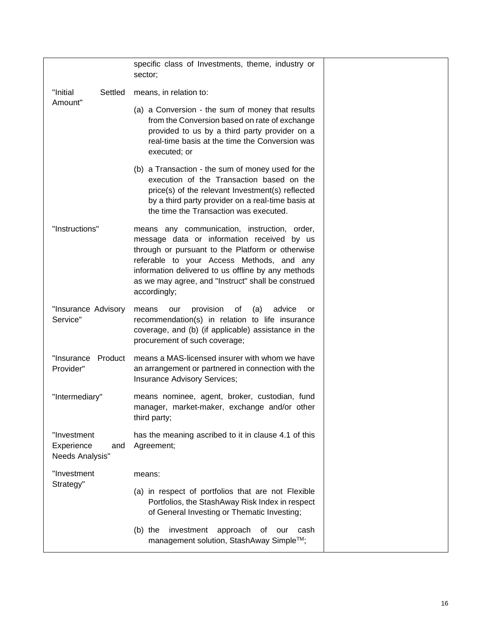|                                                     | specific class of Investments, theme, industry or<br>sector;                                                                                                                                                                                                                                                            |  |
|-----------------------------------------------------|-------------------------------------------------------------------------------------------------------------------------------------------------------------------------------------------------------------------------------------------------------------------------------------------------------------------------|--|
| "Initial<br>Settled                                 | means, in relation to:                                                                                                                                                                                                                                                                                                  |  |
| Amount"                                             | (a) a Conversion - the sum of money that results<br>from the Conversion based on rate of exchange<br>provided to us by a third party provider on a<br>real-time basis at the time the Conversion was<br>executed; or                                                                                                    |  |
|                                                     | (b) a Transaction - the sum of money used for the<br>execution of the Transaction based on the<br>price(s) of the relevant Investment(s) reflected<br>by a third party provider on a real-time basis at<br>the time the Transaction was executed.                                                                       |  |
| "Instructions"                                      | means any communication, instruction, order,<br>message data or information received by us<br>through or pursuant to the Platform or otherwise<br>referable to your Access Methods, and any<br>information delivered to us offline by any methods<br>as we may agree, and "Instruct" shall be construed<br>accordingly; |  |
| "Insurance Advisory<br>Service"                     | advice<br>means<br>provision<br>of<br>(a)<br>our<br>or<br>recommendation(s) in relation to life insurance<br>coverage, and (b) (if applicable) assistance in the<br>procurement of such coverage;                                                                                                                       |  |
| "Insurance<br>Product<br>Provider"                  | means a MAS-licensed insurer with whom we have<br>an arrangement or partnered in connection with the<br>Insurance Advisory Services;                                                                                                                                                                                    |  |
| "Intermediary"                                      | means nominee, agent, broker, custodian, fund<br>manager, market-maker, exchange and/or other<br>third party;                                                                                                                                                                                                           |  |
| "Investment<br>Experience<br>and<br>Needs Analysis" | has the meaning ascribed to it in clause 4.1 of this<br>Agreement;                                                                                                                                                                                                                                                      |  |
| "Investment                                         | means:                                                                                                                                                                                                                                                                                                                  |  |
| Strategy"                                           | (a) in respect of portfolios that are not Flexible<br>Portfolios, the StashAway Risk Index in respect<br>of General Investing or Thematic Investing;                                                                                                                                                                    |  |
|                                                     | $(b)$ the<br>investment<br>approach<br>of<br>cash<br>our<br>management solution, StashAway Simple™;                                                                                                                                                                                                                     |  |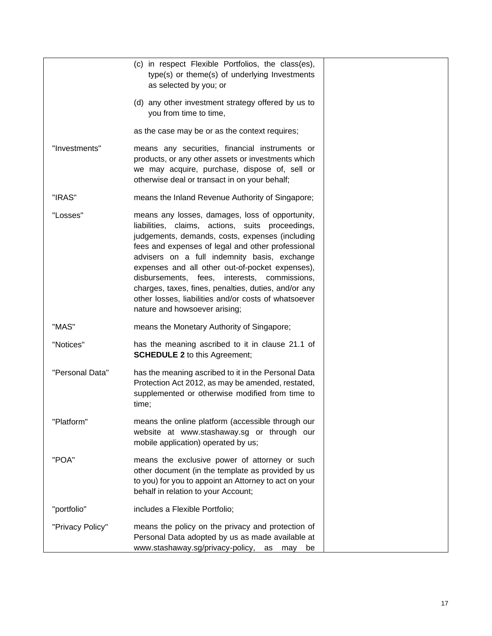|                  | (c) in respect Flexible Portfolios, the class(es),<br>type(s) or theme(s) of underlying Investments                                                                                                                                                                                                                                                                                                                                                                                                             |
|------------------|-----------------------------------------------------------------------------------------------------------------------------------------------------------------------------------------------------------------------------------------------------------------------------------------------------------------------------------------------------------------------------------------------------------------------------------------------------------------------------------------------------------------|
|                  | as selected by you; or<br>(d) any other investment strategy offered by us to<br>you from time to time,                                                                                                                                                                                                                                                                                                                                                                                                          |
|                  | as the case may be or as the context requires;                                                                                                                                                                                                                                                                                                                                                                                                                                                                  |
| "Investments"    | means any securities, financial instruments or<br>products, or any other assets or investments which<br>we may acquire, purchase, dispose of, sell or<br>otherwise deal or transact in on your behalf;                                                                                                                                                                                                                                                                                                          |
| "IRAS"           | means the Inland Revenue Authority of Singapore;                                                                                                                                                                                                                                                                                                                                                                                                                                                                |
| "Losses"         | means any losses, damages, loss of opportunity,<br>liabilities, claims, actions, suits proceedings,<br>judgements, demands, costs, expenses (including<br>fees and expenses of legal and other professional<br>advisers on a full indemnity basis, exchange<br>expenses and all other out-of-pocket expenses),<br>disbursements, fees, interests, commissions,<br>charges, taxes, fines, penalties, duties, and/or any<br>other losses, liabilities and/or costs of whatsoever<br>nature and howsoever arising; |
| "MAS"            | means the Monetary Authority of Singapore;                                                                                                                                                                                                                                                                                                                                                                                                                                                                      |
| "Notices"        | has the meaning ascribed to it in clause 21.1 of<br><b>SCHEDULE 2</b> to this Agreement;                                                                                                                                                                                                                                                                                                                                                                                                                        |
| "Personal Data"  | has the meaning ascribed to it in the Personal Data<br>Protection Act 2012, as may be amended, restated,<br>supplemented or otherwise modified from time to<br>time;                                                                                                                                                                                                                                                                                                                                            |
| "Platform"       | means the online platform (accessible through our<br>website at www.stashaway.sg or through our<br>mobile application) operated by us;                                                                                                                                                                                                                                                                                                                                                                          |
| "POA"            | means the exclusive power of attorney or such<br>other document (in the template as provided by us<br>to you) for you to appoint an Attorney to act on your<br>behalf in relation to your Account;                                                                                                                                                                                                                                                                                                              |
| "portfolio"      | includes a Flexible Portfolio;                                                                                                                                                                                                                                                                                                                                                                                                                                                                                  |
| "Privacy Policy" | means the policy on the privacy and protection of<br>Personal Data adopted by us as made available at<br>www.stashaway.sg/privacy-policy, as<br>may<br>be                                                                                                                                                                                                                                                                                                                                                       |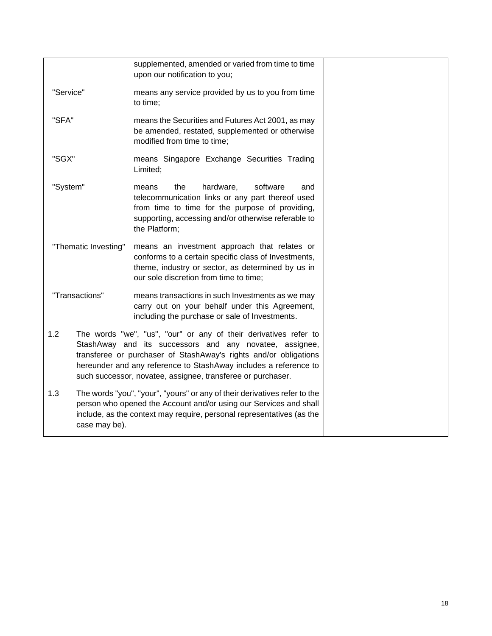|                      |               | supplemented, amended or varied from time to time<br>upon our notification to you;                                                                                                                                                                                                                                                 |  |
|----------------------|---------------|------------------------------------------------------------------------------------------------------------------------------------------------------------------------------------------------------------------------------------------------------------------------------------------------------------------------------------|--|
| "Service"            |               | means any service provided by us to you from time<br>to time;                                                                                                                                                                                                                                                                      |  |
| "SFA"                |               | means the Securities and Futures Act 2001, as may<br>be amended, restated, supplemented or otherwise<br>modified from time to time;                                                                                                                                                                                                |  |
| "SGX"                |               | means Singapore Exchange Securities Trading<br>Limited;                                                                                                                                                                                                                                                                            |  |
| "System"             |               | hardware,<br>software<br>means<br>the<br>and<br>telecommunication links or any part thereof used<br>from time to time for the purpose of providing,<br>supporting, accessing and/or otherwise referable to<br>the Platform;                                                                                                        |  |
| "Thematic Investing" |               | means an investment approach that relates or<br>conforms to a certain specific class of Investments,<br>theme, industry or sector, as determined by us in<br>our sole discretion from time to time;                                                                                                                                |  |
| "Transactions"       |               | means transactions in such Investments as we may<br>carry out on your behalf under this Agreement,<br>including the purchase or sale of Investments.                                                                                                                                                                               |  |
| 1.2                  |               | The words "we", "us", "our" or any of their derivatives refer to<br>StashAway and its successors and any novatee, assignee,<br>transferee or purchaser of StashAway's rights and/or obligations<br>hereunder and any reference to StashAway includes a reference to<br>such successor, novatee, assignee, transferee or purchaser. |  |
| 1.3                  | case may be). | The words "you", "your", "yours" or any of their derivatives refer to the<br>person who opened the Account and/or using our Services and shall<br>include, as the context may require, personal representatives (as the                                                                                                            |  |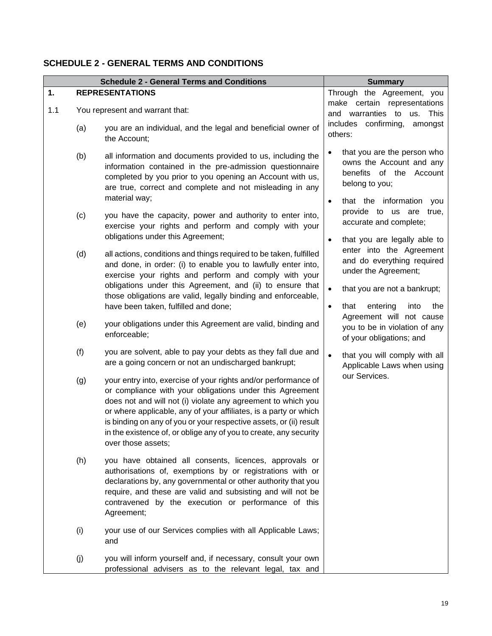## <span id="page-20-2"></span><span id="page-20-0"></span>**SCHEDULE 2 - GENERAL TERMS AND CONDITIONS**

<span id="page-20-1"></span>

|     |     | <b>Schedule 2 - General Terms and Conditions</b>                                                                                                                                                                                                                                                                                                                                                                                | <b>Summary</b>                                                                                          |
|-----|-----|---------------------------------------------------------------------------------------------------------------------------------------------------------------------------------------------------------------------------------------------------------------------------------------------------------------------------------------------------------------------------------------------------------------------------------|---------------------------------------------------------------------------------------------------------|
| 1.  |     | <b>REPRESENTATIONS</b>                                                                                                                                                                                                                                                                                                                                                                                                          | Through the Agreement, you                                                                              |
| 1.1 |     | You represent and warrant that:                                                                                                                                                                                                                                                                                                                                                                                                 | make certain representations                                                                            |
|     |     |                                                                                                                                                                                                                                                                                                                                                                                                                                 | and warranties to<br>us.<br>This<br>includes confirming,                                                |
|     | (a) | you are an individual, and the legal and beneficial owner of<br>the Account;                                                                                                                                                                                                                                                                                                                                                    | amongst<br>others:                                                                                      |
|     | (b) | all information and documents provided to us, including the<br>information contained in the pre-admission questionnaire<br>completed by you prior to you opening an Account with us,<br>are true, correct and complete and not misleading in any<br>material way;                                                                                                                                                               | that you are the person who<br>owns the Account and any<br>benefits of the<br>Account<br>belong to you; |
|     | (c) | you have the capacity, power and authority to enter into,<br>exercise your rights and perform and comply with your                                                                                                                                                                                                                                                                                                              | that the information<br>you<br>$\bullet$<br>provide to us are<br>true,<br>accurate and complete;        |
|     |     | obligations under this Agreement;                                                                                                                                                                                                                                                                                                                                                                                               | that you are legally able to<br>$\bullet$                                                               |
|     | (d) | all actions, conditions and things required to be taken, fulfilled<br>and done, in order: (i) to enable you to lawfully enter into,<br>exercise your rights and perform and comply with your                                                                                                                                                                                                                                    | enter into the Agreement<br>and do everything required<br>under the Agreement;                          |
|     |     | obligations under this Agreement, and (ii) to ensure that<br>those obligations are valid, legally binding and enforceable,<br>have been taken, fulfilled and done;                                                                                                                                                                                                                                                              | that you are not a bankrupt;<br>$\bullet$<br>entering<br>that<br>into<br>the<br>$\bullet$               |
|     | (e) | your obligations under this Agreement are valid, binding and<br>enforceable;                                                                                                                                                                                                                                                                                                                                                    | Agreement will not cause<br>you to be in violation of any<br>of your obligations; and                   |
|     | (f) | you are solvent, able to pay your debts as they fall due and<br>are a going concern or not an undischarged bankrupt;                                                                                                                                                                                                                                                                                                            | that you will comply with all<br>$\bullet$<br>Applicable Laws when using                                |
|     | (g) | your entry into, exercise of your rights and/or performance of<br>or compliance with your obligations under this Agreement<br>does not and will not (i) violate any agreement to which you<br>or where applicable, any of your affiliates, is a party or which<br>is binding on any of you or your respective assets, or (ii) result<br>in the existence of, or oblige any of you to create, any security<br>over those assets; | our Services.                                                                                           |
|     | (h) | you have obtained all consents, licences, approvals or<br>authorisations of, exemptions by or registrations with or<br>declarations by, any governmental or other authority that you<br>require, and these are valid and subsisting and will not be<br>contravened by the execution or performance of this<br>Agreement;                                                                                                        |                                                                                                         |
|     | (i) | your use of our Services complies with all Applicable Laws;<br>and                                                                                                                                                                                                                                                                                                                                                              |                                                                                                         |
|     | (j) | you will inform yourself and, if necessary, consult your own<br>professional advisers as to the relevant legal, tax and                                                                                                                                                                                                                                                                                                         |                                                                                                         |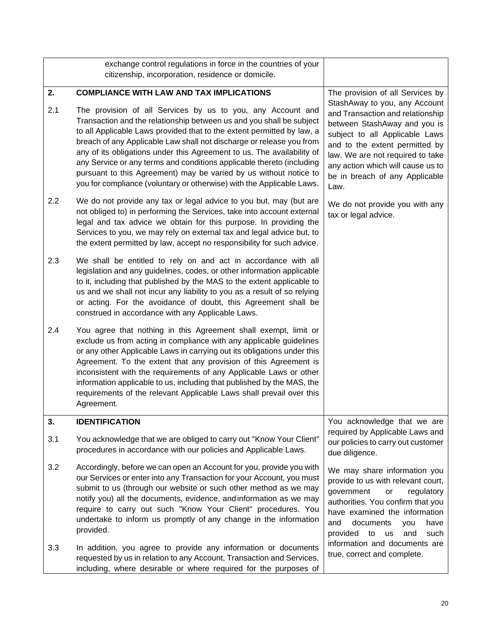<span id="page-21-2"></span><span id="page-21-1"></span><span id="page-21-0"></span>

|     | exchange control regulations in force in the countries of your<br>citizenship, incorporation, residence or domicile.                                                                                                                                                                                                                                                                                                                                                                                                                                                                   |                                                                                                                                                                                                                                                                                              |  |
|-----|----------------------------------------------------------------------------------------------------------------------------------------------------------------------------------------------------------------------------------------------------------------------------------------------------------------------------------------------------------------------------------------------------------------------------------------------------------------------------------------------------------------------------------------------------------------------------------------|----------------------------------------------------------------------------------------------------------------------------------------------------------------------------------------------------------------------------------------------------------------------------------------------|--|
| 2.  | <b>COMPLIANCE WITH LAW AND TAX IMPLICATIONS</b>                                                                                                                                                                                                                                                                                                                                                                                                                                                                                                                                        | The provision of all Services by                                                                                                                                                                                                                                                             |  |
| 2.1 | The provision of all Services by us to you, any Account and<br>Transaction and the relationship between us and you shall be subject<br>to all Applicable Laws provided that to the extent permitted by law, a<br>breach of any Applicable Law shall not discharge or release you from<br>any of its obligations under this Agreement to us. The availability of<br>any Service or any terms and conditions applicable thereto (including<br>pursuant to this Agreement) may be varied by us without notice to<br>you for compliance (voluntary or otherwise) with the Applicable Laws. | StashAway to you, any Account<br>and Transaction and relationship<br>between StashAway and you is<br>subject to all Applicable Laws<br>and to the extent permitted by<br>law. We are not required to take<br>any action which will cause us to<br>be in breach of any Applicable<br>Law.     |  |
| 2.2 | We do not provide any tax or legal advice to you but, may (but are<br>not obliged to) in performing the Services, take into account external<br>legal and tax advice we obtain for this purpose. In providing the<br>Services to you, we may rely on external tax and legal advice but, to<br>the extent permitted by law, accept no responsibility for such advice.                                                                                                                                                                                                                   | We do not provide you with any<br>tax or legal advice.                                                                                                                                                                                                                                       |  |
| 2.3 | We shall be entitled to rely on and act in accordance with all<br>legislation and any guidelines, codes, or other information applicable<br>to it, including that published by the MAS to the extent applicable to<br>us and we shall not incur any liability to you as a result of so relying<br>or acting. For the avoidance of doubt, this Agreement shall be<br>construed in accordance with any Applicable Laws.                                                                                                                                                                  |                                                                                                                                                                                                                                                                                              |  |
| 2.4 | You agree that nothing in this Agreement shall exempt, limit or<br>exclude us from acting in compliance with any applicable guidelines<br>or any other Applicable Laws in carrying out its obligations under this<br>Agreement. To the extent that any provision of this Agreement is<br>inconsistent with the requirements of any Applicable Laws or other<br>information applicable to us, including that published by the MAS, the<br>requirements of the relevant Applicable Laws shall prevail over this<br>Agreement.                                                            |                                                                                                                                                                                                                                                                                              |  |
| 3.  | <b>IDENTIFICATION</b>                                                                                                                                                                                                                                                                                                                                                                                                                                                                                                                                                                  | You acknowledge that we are                                                                                                                                                                                                                                                                  |  |
| 3.1 | You acknowledge that we are obliged to carry out "Know Your Client"<br>procedures in accordance with our policies and Applicable Laws.                                                                                                                                                                                                                                                                                                                                                                                                                                                 | required by Applicable Laws and<br>our policies to carry out customer<br>due diligence.                                                                                                                                                                                                      |  |
| 3.2 | Accordingly, before we can open an Account for you, provide you with<br>our Services or enter into any Transaction for your Account, you must<br>submit to us (through our website or such other method as we may<br>notify you) all the documents, evidence, and information as we may<br>require to carry out such "Know Your Client" procedures. You<br>undertake to inform us promptly of any change in the information<br>provided.                                                                                                                                               | We may share information you<br>provide to us with relevant court,<br>government<br>regulatory<br>or<br>authorities. You confirm that you<br>have examined the information<br>documents<br>and<br>have<br>you<br>provided<br>to<br>and<br>such<br><b>us</b><br>information and documents are |  |
| 3.3 | In addition, you agree to provide any information or documents<br>requested by us in relation to any Account, Transaction and Services,<br>including, where desirable or where required for the purposes of                                                                                                                                                                                                                                                                                                                                                                            | true, correct and complete.                                                                                                                                                                                                                                                                  |  |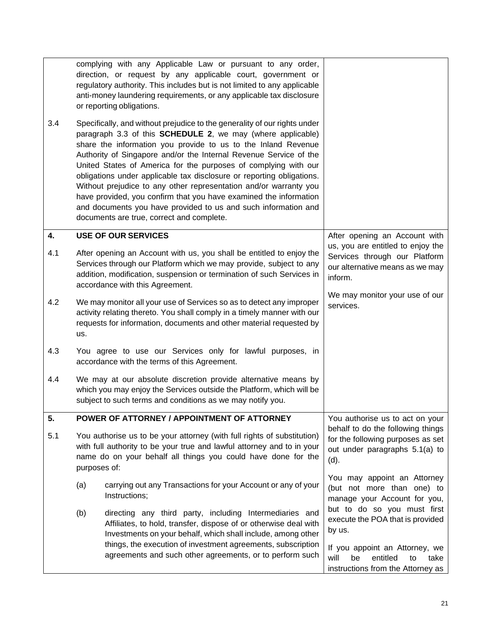<span id="page-22-2"></span><span id="page-22-1"></span><span id="page-22-0"></span>

|     |                                                                                                                                                                                                                                    | complying with any Applicable Law or pursuant to any order,<br>direction, or request by any applicable court, government or<br>regulatory authority. This includes but is not limited to any applicable<br>anti-money laundering requirements, or any applicable tax disclosure<br>or reporting obligations.                                                                                                                                                                                                                                                                                                                                                                                |                                                                                                                  |  |
|-----|------------------------------------------------------------------------------------------------------------------------------------------------------------------------------------------------------------------------------------|---------------------------------------------------------------------------------------------------------------------------------------------------------------------------------------------------------------------------------------------------------------------------------------------------------------------------------------------------------------------------------------------------------------------------------------------------------------------------------------------------------------------------------------------------------------------------------------------------------------------------------------------------------------------------------------------|------------------------------------------------------------------------------------------------------------------|--|
| 3.4 |                                                                                                                                                                                                                                    | Specifically, and without prejudice to the generality of our rights under<br>paragraph 3.3 of this <b>SCHEDULE 2</b> , we may (where applicable)<br>share the information you provide to us to the Inland Revenue<br>Authority of Singapore and/or the Internal Revenue Service of the<br>United States of America for the purposes of complying with our<br>obligations under applicable tax disclosure or reporting obligations.<br>Without prejudice to any other representation and/or warranty you<br>have provided, you confirm that you have examined the information<br>and documents you have provided to us and such information and<br>documents are true, correct and complete. |                                                                                                                  |  |
| 4.  |                                                                                                                                                                                                                                    | <b>USE OF OUR SERVICES</b>                                                                                                                                                                                                                                                                                                                                                                                                                                                                                                                                                                                                                                                                  | After opening an Account with                                                                                    |  |
| 4.1 |                                                                                                                                                                                                                                    | After opening an Account with us, you shall be entitled to enjoy the<br>Services through our Platform which we may provide, subject to any<br>addition, modification, suspension or termination of such Services in<br>accordance with this Agreement.                                                                                                                                                                                                                                                                                                                                                                                                                                      | us, you are entitled to enjoy the<br>Services through our Platform<br>our alternative means as we may<br>inform. |  |
| 4.2 | us.                                                                                                                                                                                                                                | We may monitor all your use of Services so as to detect any improper<br>activity relating thereto. You shall comply in a timely manner with our<br>requests for information, documents and other material requested by                                                                                                                                                                                                                                                                                                                                                                                                                                                                      | We may monitor your use of our<br>services.                                                                      |  |
| 4.3 |                                                                                                                                                                                                                                    | You agree to use our Services only for lawful purposes, in<br>accordance with the terms of this Agreement.                                                                                                                                                                                                                                                                                                                                                                                                                                                                                                                                                                                  |                                                                                                                  |  |
| 4.4 |                                                                                                                                                                                                                                    | We may at our absolute discretion provide alternative means by<br>which you may enjoy the Services outside the Platform, which will be<br>subject to such terms and conditions as we may notify you.                                                                                                                                                                                                                                                                                                                                                                                                                                                                                        |                                                                                                                  |  |
| 5.  |                                                                                                                                                                                                                                    | POWER OF ATTORNEY / APPOINTMENT OF ATTORNEY                                                                                                                                                                                                                                                                                                                                                                                                                                                                                                                                                                                                                                                 | You authorise us to act on your                                                                                  |  |
| 5.1 | You authorise us to be your attorney (with full rights of substitution)<br>with full authority to be your true and lawful attorney and to in your<br>name do on your behalf all things you could have done for the<br>purposes of: |                                                                                                                                                                                                                                                                                                                                                                                                                                                                                                                                                                                                                                                                                             | behalf to do the following things<br>for the following purposes as set<br>out under paragraphs 5.1(a) to<br>(d). |  |
|     | (a)                                                                                                                                                                                                                                | carrying out any Transactions for your Account or any of your<br>Instructions;                                                                                                                                                                                                                                                                                                                                                                                                                                                                                                                                                                                                              | You may appoint an Attorney<br>(but not more than one) to<br>manage your Account for you,                        |  |
|     | (b)                                                                                                                                                                                                                                | directing any third party, including Intermediaries and<br>Affiliates, to hold, transfer, dispose of or otherwise deal with<br>Investments on your behalf, which shall include, among other<br>things, the execution of investment agreements, subscription                                                                                                                                                                                                                                                                                                                                                                                                                                 | but to do so you must first<br>execute the POA that is provided<br>by us.<br>If you appoint an Attorney, we      |  |
|     |                                                                                                                                                                                                                                    | agreements and such other agreements, or to perform such                                                                                                                                                                                                                                                                                                                                                                                                                                                                                                                                                                                                                                    | will<br>be<br>entitled<br>take<br>to<br>instructions from the Attorney as                                        |  |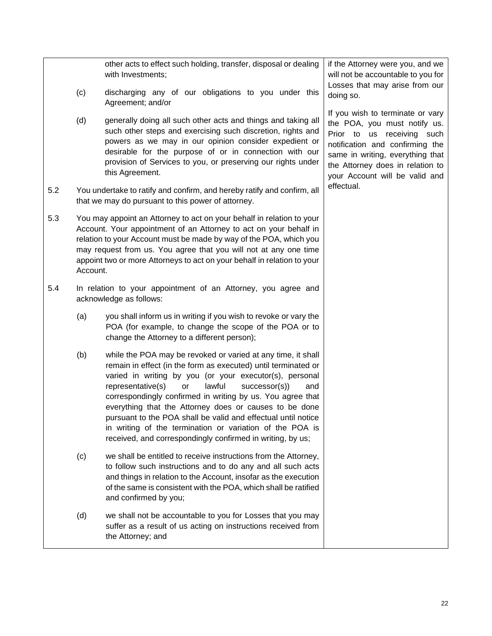<span id="page-23-0"></span>

|     | (c)      | other acts to effect such holding, transfer, disposal or dealing<br>with Investments;<br>discharging any of our obligations to you under this                                                                                                                                                                                                                                                                                                                                                                                                                            | if the Attorney were you, and we<br>will not be accountable to you for<br>Losses that may arise from our                                                                                                                                    |
|-----|----------|--------------------------------------------------------------------------------------------------------------------------------------------------------------------------------------------------------------------------------------------------------------------------------------------------------------------------------------------------------------------------------------------------------------------------------------------------------------------------------------------------------------------------------------------------------------------------|---------------------------------------------------------------------------------------------------------------------------------------------------------------------------------------------------------------------------------------------|
|     |          | Agreement; and/or                                                                                                                                                                                                                                                                                                                                                                                                                                                                                                                                                        | doing so.                                                                                                                                                                                                                                   |
|     | (d)      | generally doing all such other acts and things and taking all<br>such other steps and exercising such discretion, rights and<br>powers as we may in our opinion consider expedient or<br>desirable for the purpose of or in connection with our<br>provision of Services to you, or preserving our rights under<br>this Agreement.                                                                                                                                                                                                                                       | If you wish to terminate or vary<br>the POA, you must notify us.<br>Prior to us receiving such<br>notification and confirming the<br>same in writing, everything that<br>the Attorney does in relation to<br>your Account will be valid and |
| 5.2 |          | You undertake to ratify and confirm, and hereby ratify and confirm, all<br>that we may do pursuant to this power of attorney.                                                                                                                                                                                                                                                                                                                                                                                                                                            | effectual.                                                                                                                                                                                                                                  |
| 5.3 | Account. | You may appoint an Attorney to act on your behalf in relation to your<br>Account. Your appointment of an Attorney to act on your behalf in<br>relation to your Account must be made by way of the POA, which you<br>may request from us. You agree that you will not at any one time<br>appoint two or more Attorneys to act on your behalf in relation to your                                                                                                                                                                                                          |                                                                                                                                                                                                                                             |
| 5.4 |          | In relation to your appointment of an Attorney, you agree and<br>acknowledge as follows:                                                                                                                                                                                                                                                                                                                                                                                                                                                                                 |                                                                                                                                                                                                                                             |
|     | (a)      | you shall inform us in writing if you wish to revoke or vary the<br>POA (for example, to change the scope of the POA or to<br>change the Attorney to a different person);                                                                                                                                                                                                                                                                                                                                                                                                |                                                                                                                                                                                                                                             |
|     | (b)      | while the POA may be revoked or varied at any time, it shall<br>remain in effect (in the form as executed) until terminated or<br>varied in writing by you (or your executor(s), personal<br>representative(s)<br>lawful<br>successor(s)<br>or<br>and<br>correspondingly confirmed in writing by us. You agree that<br>everything that the Attorney does or causes to be done<br>pursuant to the POA shall be valid and effectual until notice<br>in writing of the termination or variation of the POA is<br>received, and correspondingly confirmed in writing, by us; |                                                                                                                                                                                                                                             |
|     | (c)      | we shall be entitled to receive instructions from the Attorney,<br>to follow such instructions and to do any and all such acts<br>and things in relation to the Account, insofar as the execution<br>of the same is consistent with the POA, which shall be ratified<br>and confirmed by you;                                                                                                                                                                                                                                                                            |                                                                                                                                                                                                                                             |
|     | (d)      | we shall not be accountable to you for Losses that you may<br>suffer as a result of us acting on instructions received from<br>the Attorney; and                                                                                                                                                                                                                                                                                                                                                                                                                         |                                                                                                                                                                                                                                             |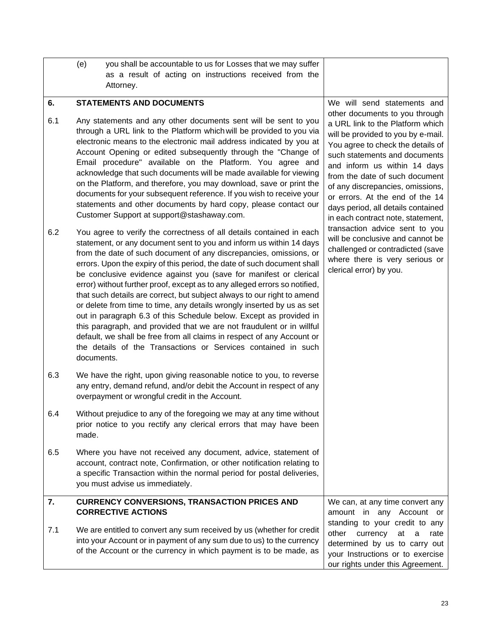<span id="page-24-2"></span><span id="page-24-1"></span><span id="page-24-0"></span>

|           | (e)<br>you shall be accountable to us for Losses that we may suffer<br>as a result of acting on instructions received from the<br>Attorney.                                                                                                                                                                                                                                                                                                                                                                                                                                                                                                                                                                                                                                                                                                                                                                  |                                                                                                                                                                                                                                                                                                                                                                                                                                   |
|-----------|--------------------------------------------------------------------------------------------------------------------------------------------------------------------------------------------------------------------------------------------------------------------------------------------------------------------------------------------------------------------------------------------------------------------------------------------------------------------------------------------------------------------------------------------------------------------------------------------------------------------------------------------------------------------------------------------------------------------------------------------------------------------------------------------------------------------------------------------------------------------------------------------------------------|-----------------------------------------------------------------------------------------------------------------------------------------------------------------------------------------------------------------------------------------------------------------------------------------------------------------------------------------------------------------------------------------------------------------------------------|
|           |                                                                                                                                                                                                                                                                                                                                                                                                                                                                                                                                                                                                                                                                                                                                                                                                                                                                                                              |                                                                                                                                                                                                                                                                                                                                                                                                                                   |
| 6.<br>6.1 | <b>STATEMENTS AND DOCUMENTS</b><br>Any statements and any other documents sent will be sent to you<br>through a URL link to the Platform which will be provided to you via<br>electronic means to the electronic mail address indicated by you at<br>Account Opening or edited subsequently through the "Change of<br>Email procedure" available on the Platform. You agree and<br>acknowledge that such documents will be made available for viewing<br>on the Platform, and therefore, you may download, save or print the<br>documents for your subsequent reference. If you wish to receive your<br>statements and other documents by hard copy, please contact our<br>Customer Support at support@stashaway.com.                                                                                                                                                                                        | We will send statements and<br>other documents to you through<br>a URL link to the Platform which<br>will be provided to you by e-mail.<br>You agree to check the details of<br>such statements and documents<br>and inform us within 14 days<br>from the date of such document<br>of any discrepancies, omissions,<br>or errors. At the end of the 14<br>days period, all details contained<br>in each contract note, statement, |
| 6.2       | You agree to verify the correctness of all details contained in each<br>statement, or any document sent to you and inform us within 14 days<br>from the date of such document of any discrepancies, omissions, or<br>errors. Upon the expiry of this period, the date of such document shall<br>be conclusive evidence against you (save for manifest or clerical<br>error) without further proof, except as to any alleged errors so notified,<br>that such details are correct, but subject always to our right to amend<br>or delete from time to time, any details wrongly inserted by us as set<br>out in paragraph 6.3 of this Schedule below. Except as provided in<br>this paragraph, and provided that we are not fraudulent or in willful<br>default, we shall be free from all claims in respect of any Account or<br>the details of the Transactions or Services contained in such<br>documents. | transaction advice sent to you<br>will be conclusive and cannot be<br>challenged or contradicted (save<br>where there is very serious or<br>clerical error) by you.                                                                                                                                                                                                                                                               |
| 6.3       | We have the right, upon giving reasonable notice to you, to reverse<br>any entry, demand refund, and/or debit the Account in respect of any<br>overpayment or wrongful credit in the Account.                                                                                                                                                                                                                                                                                                                                                                                                                                                                                                                                                                                                                                                                                                                |                                                                                                                                                                                                                                                                                                                                                                                                                                   |
| 6.4       | Without prejudice to any of the foregoing we may at any time without<br>prior notice to you rectify any clerical errors that may have been<br>made.                                                                                                                                                                                                                                                                                                                                                                                                                                                                                                                                                                                                                                                                                                                                                          |                                                                                                                                                                                                                                                                                                                                                                                                                                   |
| 6.5       | Where you have not received any document, advice, statement of<br>account, contract note, Confirmation, or other notification relating to<br>a specific Transaction within the normal period for postal deliveries,<br>you must advise us immediately.                                                                                                                                                                                                                                                                                                                                                                                                                                                                                                                                                                                                                                                       |                                                                                                                                                                                                                                                                                                                                                                                                                                   |
| 7.        | <b>CURRENCY CONVERSIONS, TRANSACTION PRICES AND</b><br><b>CORRECTIVE ACTIONS</b>                                                                                                                                                                                                                                                                                                                                                                                                                                                                                                                                                                                                                                                                                                                                                                                                                             | We can, at any time convert any<br>amount in any Account or                                                                                                                                                                                                                                                                                                                                                                       |
| 7.1       | We are entitled to convert any sum received by us (whether for credit<br>into your Account or in payment of any sum due to us) to the currency<br>of the Account or the currency in which payment is to be made, as                                                                                                                                                                                                                                                                                                                                                                                                                                                                                                                                                                                                                                                                                          | standing to your credit to any<br>currency<br>other<br>at<br>a<br>rate<br>determined by us to carry out<br>your Instructions or to exercise<br>our rights under this Agreement.                                                                                                                                                                                                                                                   |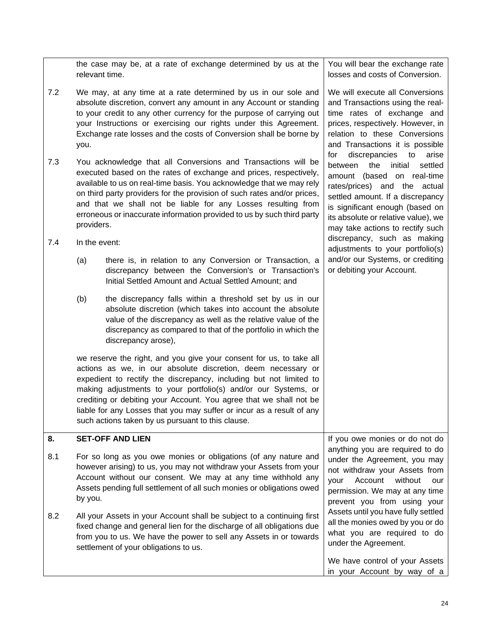<span id="page-25-0"></span>

|     | relevant time.                                                                                                                                                                                                                                                                                                                                                                                                                                 | the case may be, at a rate of exchange determined by us at the                                                                                                                                                                                                                                                                                                                                                                                                                  | You will bear the exchange rate<br>losses and costs of Conversion.                                                                                                                                                                                |
|-----|------------------------------------------------------------------------------------------------------------------------------------------------------------------------------------------------------------------------------------------------------------------------------------------------------------------------------------------------------------------------------------------------------------------------------------------------|---------------------------------------------------------------------------------------------------------------------------------------------------------------------------------------------------------------------------------------------------------------------------------------------------------------------------------------------------------------------------------------------------------------------------------------------------------------------------------|---------------------------------------------------------------------------------------------------------------------------------------------------------------------------------------------------------------------------------------------------|
| 7.2 | you.                                                                                                                                                                                                                                                                                                                                                                                                                                           | We may, at any time at a rate determined by us in our sole and<br>absolute discretion, convert any amount in any Account or standing<br>to your credit to any other currency for the purpose of carrying out<br>your Instructions or exercising our rights under this Agreement.<br>Exchange rate losses and the costs of Conversion shall be borne by                                                                                                                          | We will execute all Conversions<br>and Transactions using the real-<br>time rates of exchange and<br>prices, respectively. However, in<br>relation to these Conversions<br>and Transactions it is possible<br>discrepancies<br>to<br>for<br>arise |
| 7.3 | You acknowledge that all Conversions and Transactions will be<br>executed based on the rates of exchange and prices, respectively,<br>available to us on real-time basis. You acknowledge that we may rely<br>on third party providers for the provision of such rates and/or prices,<br>and that we shall not be liable for any Losses resulting from<br>erroneous or inaccurate information provided to us by such third party<br>providers. | the<br>initial<br>settled<br>between<br>amount (based on real-time<br>rates/prices) and the actual<br>settled amount. If a discrepancy<br>is significant enough (based on<br>its absolute or relative value), we<br>may take actions to rectify such                                                                                                                                                                                                                            |                                                                                                                                                                                                                                                   |
| 7.4 | In the event:                                                                                                                                                                                                                                                                                                                                                                                                                                  |                                                                                                                                                                                                                                                                                                                                                                                                                                                                                 | discrepancy, such as making<br>adjustments to your portfolio(s)                                                                                                                                                                                   |
|     | (a)                                                                                                                                                                                                                                                                                                                                                                                                                                            | there is, in relation to any Conversion or Transaction, a<br>discrepancy between the Conversion's or Transaction's<br>Initial Settled Amount and Actual Settled Amount; and                                                                                                                                                                                                                                                                                                     | and/or our Systems, or crediting<br>or debiting your Account.                                                                                                                                                                                     |
|     | (b)                                                                                                                                                                                                                                                                                                                                                                                                                                            | the discrepancy falls within a threshold set by us in our<br>absolute discretion (which takes into account the absolute<br>value of the discrepancy as well as the relative value of the<br>discrepancy as compared to that of the portfolio in which the<br>discrepancy arose),                                                                                                                                                                                                |                                                                                                                                                                                                                                                   |
|     |                                                                                                                                                                                                                                                                                                                                                                                                                                                | we reserve the right, and you give your consent for us, to take all<br>actions as we, in our absolute discretion, deem necessary or<br>expedient to rectify the discrepancy, including but not limited to<br>making adjustments to your portfolio(s) and/or our Systems, or<br>crediting or debiting your Account. You agree that we shall not be<br>liable for any Losses that you may suffer or incur as a result of any<br>such actions taken by us pursuant to this clause. |                                                                                                                                                                                                                                                   |
| 8.  |                                                                                                                                                                                                                                                                                                                                                                                                                                                | <b>SET-OFF AND LIEN</b>                                                                                                                                                                                                                                                                                                                                                                                                                                                         | If you owe monies or do not do                                                                                                                                                                                                                    |
| 8.1 | by you.                                                                                                                                                                                                                                                                                                                                                                                                                                        | For so long as you owe monies or obligations (of any nature and<br>however arising) to us, you may not withdraw your Assets from your<br>Account without our consent. We may at any time withhold any<br>Assets pending full settlement of all such monies or obligations owed                                                                                                                                                                                                  | anything you are required to do<br>under the Agreement, you may<br>not withdraw your Assets from<br>Account<br>without<br>your<br>our<br>permission. We may at any time<br>prevent you from using your                                            |
| 8.2 |                                                                                                                                                                                                                                                                                                                                                                                                                                                | All your Assets in your Account shall be subject to a continuing first<br>fixed change and general lien for the discharge of all obligations due<br>from you to us. We have the power to sell any Assets in or towards<br>settlement of your obligations to us.                                                                                                                                                                                                                 | Assets until you have fully settled<br>all the monies owed by you or do<br>what you are required to do<br>under the Agreement.                                                                                                                    |
|     |                                                                                                                                                                                                                                                                                                                                                                                                                                                |                                                                                                                                                                                                                                                                                                                                                                                                                                                                                 | We have control of your Assets<br>in your Account by way of a                                                                                                                                                                                     |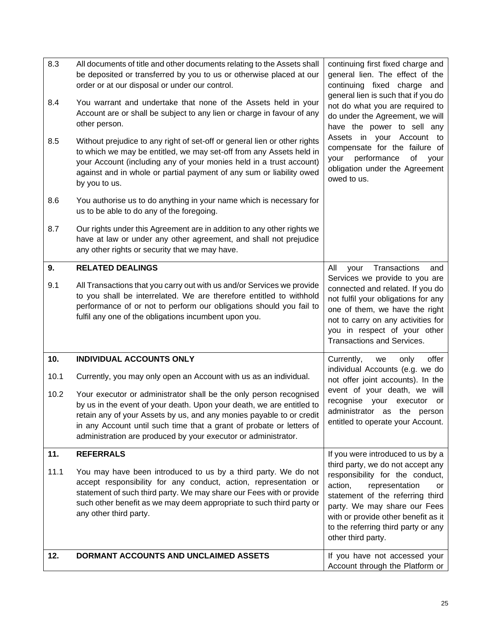<span id="page-26-3"></span><span id="page-26-2"></span><span id="page-26-1"></span><span id="page-26-0"></span>

| 8.3  | All documents of title and other documents relating to the Assets shall<br>be deposited or transferred by you to us or otherwise placed at our                                                                                                                                                                                                                | continuing first fixed charge and<br>general lien. The effect of the                                                                                                                                                                            |
|------|---------------------------------------------------------------------------------------------------------------------------------------------------------------------------------------------------------------------------------------------------------------------------------------------------------------------------------------------------------------|-------------------------------------------------------------------------------------------------------------------------------------------------------------------------------------------------------------------------------------------------|
| 8.4  | order or at our disposal or under our control.<br>You warrant and undertake that none of the Assets held in your                                                                                                                                                                                                                                              | continuing fixed charge and<br>general lien is such that if you do<br>not do what you are required to                                                                                                                                           |
|      | Account are or shall be subject to any lien or charge in favour of any<br>other person.                                                                                                                                                                                                                                                                       | do under the Agreement, we will<br>have the power to sell any                                                                                                                                                                                   |
| 8.5  | Without prejudice to any right of set-off or general lien or other rights<br>to which we may be entitled, we may set-off from any Assets held in<br>your Account (including any of your monies held in a trust account)<br>against and in whole or partial payment of any sum or liability owed<br>by you to us.                                              | Assets in your Account to<br>compensate for the failure of<br>performance<br>of<br>your<br>your<br>obligation under the Agreement<br>owed to us.                                                                                                |
| 8.6  | You authorise us to do anything in your name which is necessary for<br>us to be able to do any of the foregoing.                                                                                                                                                                                                                                              |                                                                                                                                                                                                                                                 |
| 8.7  | Our rights under this Agreement are in addition to any other rights we<br>have at law or under any other agreement, and shall not prejudice<br>any other rights or security that we may have.                                                                                                                                                                 |                                                                                                                                                                                                                                                 |
| 9.   | <b>RELATED DEALINGS</b>                                                                                                                                                                                                                                                                                                                                       | All<br>Transactions<br>your<br>and                                                                                                                                                                                                              |
| 9.1  | All Transactions that you carry out with us and/or Services we provide<br>to you shall be interrelated. We are therefore entitled to withhold<br>performance of or not to perform our obligations should you fail to<br>fulfil any one of the obligations incumbent upon you.                                                                                 | Services we provide to you are<br>connected and related. If you do<br>not fulfil your obligations for any<br>one of them, we have the right<br>not to carry on any activities for<br>you in respect of your other<br>Transactions and Services. |
| 10.  | <b>INDIVIDUAL ACCOUNTS ONLY</b>                                                                                                                                                                                                                                                                                                                               | Currently,<br>offer<br>we<br>only                                                                                                                                                                                                               |
| 10.1 | Currently, you may only open an Account with us as an individual.                                                                                                                                                                                                                                                                                             | individual Accounts (e.g. we do<br>not offer joint accounts). In the                                                                                                                                                                            |
| 10.2 | Your executor or administrator shall be the only person recognised<br>by us in the event of your death. Upon your death, we are entitled to<br>retain any of your Assets by us, and any monies payable to or credit<br>in any Account until such time that a grant of probate or letters of<br>administration are produced by your executor or administrator. | event of your death, we will<br>recognise your<br>executor<br>or<br>administrator as the<br>person<br>entitled to operate your Account.                                                                                                         |
| 11.  | <b>REFERRALS</b>                                                                                                                                                                                                                                                                                                                                              | If you were introduced to us by a<br>third party, we do not accept any                                                                                                                                                                          |
| 11.1 | You may have been introduced to us by a third party. We do not<br>accept responsibility for any conduct, action, representation or<br>statement of such third party. We may share our Fees with or provide<br>such other benefit as we may deem appropriate to such third party or<br>any other third party.                                                  | responsibility for the conduct,<br>action,<br>representation<br>or<br>statement of the referring third<br>party. We may share our Fees<br>with or provide other benefit as it<br>to the referring third party or any<br>other third party.      |
| 12.  | DORMANT ACCOUNTS AND UNCLAIMED ASSETS                                                                                                                                                                                                                                                                                                                         | If you have not accessed your<br>Account through the Platform or                                                                                                                                                                                |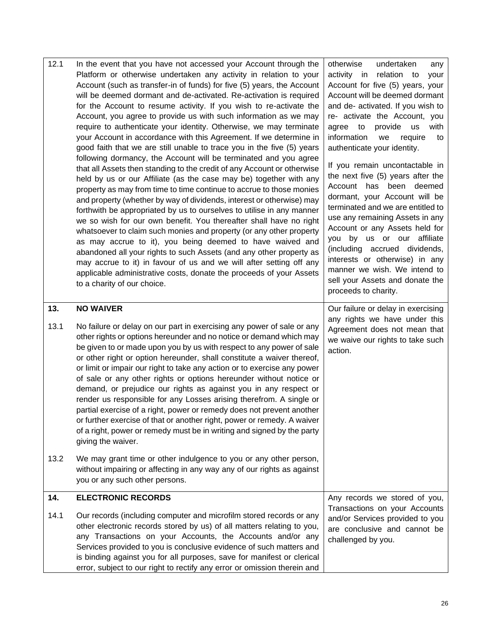<span id="page-27-1"></span><span id="page-27-0"></span>

| 12.1                | In the event that you have not accessed your Account through the<br>Platform or otherwise undertaken any activity in relation to your<br>Account (such as transfer-in of funds) for five (5) years, the Account<br>will be deemed dormant and de-activated. Re-activation is required<br>for the Account to resume activity. If you wish to re-activate the<br>Account, you agree to provide us with such information as we may<br>require to authenticate your identity. Otherwise, we may terminate<br>your Account in accordance with this Agreement. If we determine in<br>good faith that we are still unable to trace you in the five (5) years<br>following dormancy, the Account will be terminated and you agree<br>that all Assets then standing to the credit of any Account or otherwise<br>held by us or our Affiliate (as the case may be) together with any<br>property as may from time to time continue to accrue to those monies<br>and property (whether by way of dividends, interest or otherwise) may<br>forthwith be appropriated by us to ourselves to utilise in any manner<br>we so wish for our own benefit. You thereafter shall have no right<br>whatsoever to claim such monies and property (or any other property<br>as may accrue to it), you being deemed to have waived and<br>abandoned all your rights to such Assets (and any other property as<br>may accrue to it) in favour of us and we will after setting off any<br>applicable administrative costs, donate the proceeds of your Assets<br>to a charity of our choice. | otherwise<br>undertaken<br>any<br>activity in<br>relation to<br>your<br>Account for five (5) years, your<br>Account will be deemed dormant<br>and de- activated. If you wish to<br>re- activate the Account, you<br>to<br>provide<br>with<br>agree<br>us<br>information<br>require<br>we<br>to<br>authenticate your identity.<br>If you remain uncontactable in<br>the next five (5) years after the<br>Account<br>has<br>been<br>deemed<br>dormant, your Account will be<br>terminated and we are entitled to<br>use any remaining Assets in any<br>Account or any Assets held for<br>you by us or our affiliate<br>(including accrued dividends,<br>interests or otherwise) in any<br>manner we wish. We intend to<br>sell your Assets and donate the<br>proceeds to charity. |
|---------------------|--------------------------------------------------------------------------------------------------------------------------------------------------------------------------------------------------------------------------------------------------------------------------------------------------------------------------------------------------------------------------------------------------------------------------------------------------------------------------------------------------------------------------------------------------------------------------------------------------------------------------------------------------------------------------------------------------------------------------------------------------------------------------------------------------------------------------------------------------------------------------------------------------------------------------------------------------------------------------------------------------------------------------------------------------------------------------------------------------------------------------------------------------------------------------------------------------------------------------------------------------------------------------------------------------------------------------------------------------------------------------------------------------------------------------------------------------------------------------------------------------------------------------------------------------------------------|---------------------------------------------------------------------------------------------------------------------------------------------------------------------------------------------------------------------------------------------------------------------------------------------------------------------------------------------------------------------------------------------------------------------------------------------------------------------------------------------------------------------------------------------------------------------------------------------------------------------------------------------------------------------------------------------------------------------------------------------------------------------------------|
| 13.<br>13.1<br>13.2 | <b>NO WAIVER</b><br>No failure or delay on our part in exercising any power of sale or any<br>other rights or options hereunder and no notice or demand which may<br>be given to or made upon you by us with respect to any power of sale<br>or other right or option hereunder, shall constitute a waiver thereof,<br>or limit or impair our right to take any action or to exercise any power<br>of sale or any other rights or options hereunder without notice or<br>demand, or prejudice our rights as against you in any respect or<br>render us responsible for any Losses arising therefrom. A single or<br>partial exercise of a right, power or remedy does not prevent another<br>or further exercise of that or another right, power or remedy. A waiver<br>of a right, power or remedy must be in writing and signed by the party<br>giving the waiver.<br>We may grant time or other indulgence to you or any other person,<br>without impairing or affecting in any way any of our rights as against<br>you or any such other persons.                                                                                                                                                                                                                                                                                                                                                                                                                                                                                                              | Our failure or delay in exercising<br>any rights we have under this<br>Agreement does not mean that<br>we waive our rights to take such<br>action.                                                                                                                                                                                                                                                                                                                                                                                                                                                                                                                                                                                                                              |
| 14.                 | <b>ELECTRONIC RECORDS</b>                                                                                                                                                                                                                                                                                                                                                                                                                                                                                                                                                                                                                                                                                                                                                                                                                                                                                                                                                                                                                                                                                                                                                                                                                                                                                                                                                                                                                                                                                                                                          | Any records we stored of you,                                                                                                                                                                                                                                                                                                                                                                                                                                                                                                                                                                                                                                                                                                                                                   |
| 14.1                | Our records (including computer and microfilm stored records or any<br>other electronic records stored by us) of all matters relating to you,<br>any Transactions on your Accounts, the Accounts and/or any<br>Services provided to you is conclusive evidence of such matters and<br>is binding against you for all purposes, save for manifest or clerical<br>error, subject to our right to rectify any error or omission therein and                                                                                                                                                                                                                                                                                                                                                                                                                                                                                                                                                                                                                                                                                                                                                                                                                                                                                                                                                                                                                                                                                                                           | Transactions on your Accounts<br>and/or Services provided to you<br>are conclusive and cannot be<br>challenged by you.                                                                                                                                                                                                                                                                                                                                                                                                                                                                                                                                                                                                                                                          |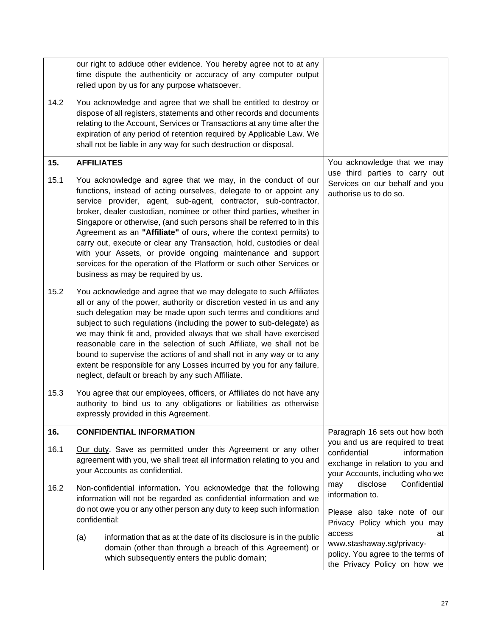<span id="page-28-1"></span><span id="page-28-0"></span>

|      | our right to adduce other evidence. You hereby agree not to at any<br>time dispute the authenticity or accuracy of any computer output<br>relied upon by us for any purpose whatsoever.                                                                                                                                                                                                                                                                                                                                                                                                                                                                                             |                                                                                                                                                |
|------|-------------------------------------------------------------------------------------------------------------------------------------------------------------------------------------------------------------------------------------------------------------------------------------------------------------------------------------------------------------------------------------------------------------------------------------------------------------------------------------------------------------------------------------------------------------------------------------------------------------------------------------------------------------------------------------|------------------------------------------------------------------------------------------------------------------------------------------------|
| 14.2 | You acknowledge and agree that we shall be entitled to destroy or<br>dispose of all registers, statements and other records and documents<br>relating to the Account, Services or Transactions at any time after the<br>expiration of any period of retention required by Applicable Law. We<br>shall not be liable in any way for such destruction or disposal.                                                                                                                                                                                                                                                                                                                    |                                                                                                                                                |
| 15.  | <b>AFFILIATES</b>                                                                                                                                                                                                                                                                                                                                                                                                                                                                                                                                                                                                                                                                   | You acknowledge that we may                                                                                                                    |
| 15.1 | You acknowledge and agree that we may, in the conduct of our<br>functions, instead of acting ourselves, delegate to or appoint any<br>service provider, agent, sub-agent, contractor, sub-contractor,<br>broker, dealer custodian, nominee or other third parties, whether in<br>Singapore or otherwise, (and such persons shall be referred to in this<br>Agreement as an "Affiliate" of ours, where the context permits) to<br>carry out, execute or clear any Transaction, hold, custodies or deal<br>with your Assets, or provide ongoing maintenance and support<br>services for the operation of the Platform or such other Services or<br>business as may be required by us. | use third parties to carry out<br>Services on our behalf and you<br>authorise us to do so.                                                     |
| 15.2 | You acknowledge and agree that we may delegate to such Affiliates<br>all or any of the power, authority or discretion vested in us and any<br>such delegation may be made upon such terms and conditions and<br>subject to such regulations (including the power to sub-delegate) as<br>we may think fit and, provided always that we shall have exercised<br>reasonable care in the selection of such Affiliate, we shall not be<br>bound to supervise the actions of and shall not in any way or to any<br>extent be responsible for any Losses incurred by you for any failure,<br>neglect, default or breach by any such Affiliate.                                             |                                                                                                                                                |
| 15.3 | You agree that our employees, officers, or Affiliates do not have any<br>authority to bind us to any obligations or liabilities as otherwise<br>expressly provided in this Agreement.                                                                                                                                                                                                                                                                                                                                                                                                                                                                                               |                                                                                                                                                |
| 16.  | <b>CONFIDENTIAL INFORMATION</b>                                                                                                                                                                                                                                                                                                                                                                                                                                                                                                                                                                                                                                                     | Paragraph 16 sets out how both                                                                                                                 |
| 16.1 | Our duty. Save as permitted under this Agreement or any other<br>agreement with you, we shall treat all information relating to you and<br>your Accounts as confidential.                                                                                                                                                                                                                                                                                                                                                                                                                                                                                                           | you and us are required to treat<br>confidential<br>information<br>exchange in relation to you and<br>your Accounts, including who we          |
| 16.2 | Non-confidential information. You acknowledge that the following<br>information will not be regarded as confidential information and we<br>do not owe you or any other person any duty to keep such information<br>confidential:                                                                                                                                                                                                                                                                                                                                                                                                                                                    | disclose<br>Confidential<br>may<br>information to.<br>Please also take note of our                                                             |
|      | information that as at the date of its disclosure is in the public<br>(a)<br>domain (other than through a breach of this Agreement) or<br>which subsequently enters the public domain;                                                                                                                                                                                                                                                                                                                                                                                                                                                                                              | Privacy Policy which you may<br>access<br>at<br>www.stashaway.sg/privacy-<br>policy. You agree to the terms of<br>the Privacy Policy on how we |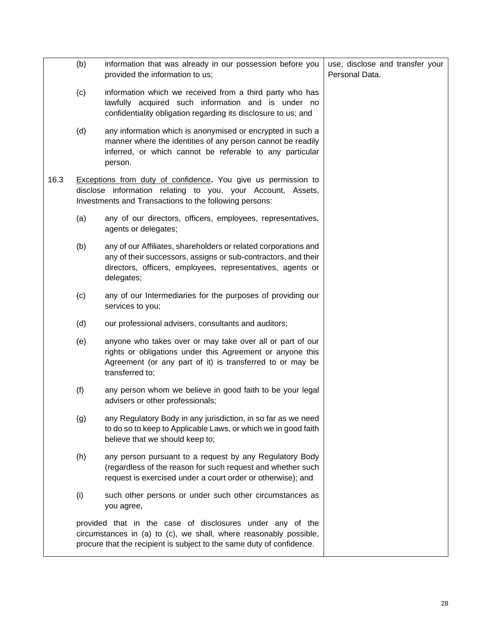|      | (b) | information that was already in our possession before you<br>provided the information to us;                                                                                                                  | use, disclose and transfer your<br>Personal Data. |
|------|-----|---------------------------------------------------------------------------------------------------------------------------------------------------------------------------------------------------------------|---------------------------------------------------|
|      | (c) | information which we received from a third party who has<br>lawfully acquired such information and is under no<br>confidentiality obligation regarding its disclosure to us; and                              |                                                   |
|      | (d) | any information which is anonymised or encrypted in such a<br>manner where the identities of any person cannot be readily<br>inferred, or which cannot be referable to any particular<br>person.              |                                                   |
| 16.3 |     | <b>Exceptions from duty of confidence.</b> You give us permission to<br>disclose information relating to you, your Account, Assets,<br>Investments and Transactions to the following persons:                 |                                                   |
|      | (a) | any of our directors, officers, employees, representatives,<br>agents or delegates;                                                                                                                           |                                                   |
|      | (b) | any of our Affiliates, shareholders or related corporations and<br>any of their successors, assigns or sub-contractors, and their<br>directors, officers, employees, representatives, agents or<br>delegates; |                                                   |
|      | (c) | any of our Intermediaries for the purposes of providing our<br>services to you;                                                                                                                               |                                                   |
|      | (d) | our professional advisers, consultants and auditors;                                                                                                                                                          |                                                   |
|      | (e) | anyone who takes over or may take over all or part of our<br>rights or obligations under this Agreement or anyone this<br>Agreement (or any part of it) is transferred to or may be<br>transferred to;        |                                                   |
|      | (f) | any person whom we believe in good faith to be your legal<br>advisers or other professionals;                                                                                                                 |                                                   |
|      | (g) | any Regulatory Body in any jurisdiction, in so far as we need<br>to do so to keep to Applicable Laws, or which we in good faith<br>believe that we should keep to;                                            |                                                   |
|      | (h) | any person pursuant to a request by any Regulatory Body<br>(regardless of the reason for such request and whether such<br>request is exercised under a court order or otherwise); and                         |                                                   |
|      | (i) | such other persons or under such other circumstances as<br>you agree,                                                                                                                                         |                                                   |
|      |     | provided that in the case of disclosures under any of the<br>circumstances in (a) to (c), we shall, where reasonably possible,<br>procure that the recipient is subject to the same duty of confidence.       |                                                   |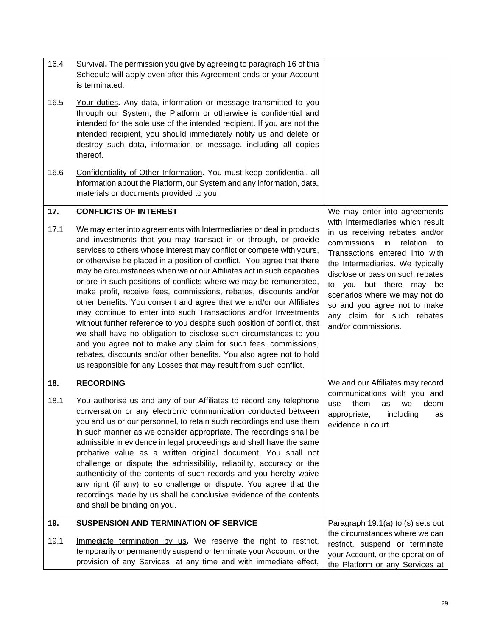<span id="page-30-3"></span><span id="page-30-2"></span><span id="page-30-1"></span><span id="page-30-0"></span>

| 16.4 | Survival. The permission you give by agreeing to paragraph 16 of this<br>Schedule will apply even after this Agreement ends or your Account<br>is terminated.                                                                                                                                                                                                                                                                                                                                                                                                                                                                                                                                                                                                                                                                                                                                                                                                                                                             |                                                                                                                                                                                                                                                                                                                                                                      |
|------|---------------------------------------------------------------------------------------------------------------------------------------------------------------------------------------------------------------------------------------------------------------------------------------------------------------------------------------------------------------------------------------------------------------------------------------------------------------------------------------------------------------------------------------------------------------------------------------------------------------------------------------------------------------------------------------------------------------------------------------------------------------------------------------------------------------------------------------------------------------------------------------------------------------------------------------------------------------------------------------------------------------------------|----------------------------------------------------------------------------------------------------------------------------------------------------------------------------------------------------------------------------------------------------------------------------------------------------------------------------------------------------------------------|
| 16.5 | Your duties. Any data, information or message transmitted to you<br>through our System, the Platform or otherwise is confidential and<br>intended for the sole use of the intended recipient. If you are not the<br>intended recipient, you should immediately notify us and delete or<br>destroy such data, information or message, including all copies<br>thereof.                                                                                                                                                                                                                                                                                                                                                                                                                                                                                                                                                                                                                                                     |                                                                                                                                                                                                                                                                                                                                                                      |
| 16.6 | Confidentiality of Other Information. You must keep confidential, all<br>information about the Platform, our System and any information, data,<br>materials or documents provided to you.                                                                                                                                                                                                                                                                                                                                                                                                                                                                                                                                                                                                                                                                                                                                                                                                                                 |                                                                                                                                                                                                                                                                                                                                                                      |
| 17.  | <b>CONFLICTS OF INTEREST</b>                                                                                                                                                                                                                                                                                                                                                                                                                                                                                                                                                                                                                                                                                                                                                                                                                                                                                                                                                                                              | We may enter into agreements                                                                                                                                                                                                                                                                                                                                         |
| 17.1 | We may enter into agreements with Intermediaries or deal in products<br>and investments that you may transact in or through, or provide<br>services to others whose interest may conflict or compete with yours,<br>or otherwise be placed in a position of conflict. You agree that there<br>may be circumstances when we or our Affiliates act in such capacities<br>or are in such positions of conflicts where we may be remunerated,<br>make profit, receive fees, commissions, rebates, discounts and/or<br>other benefits. You consent and agree that we and/or our Affiliates<br>may continue to enter into such Transactions and/or Investments<br>without further reference to you despite such position of conflict, that<br>we shall have no obligation to disclose such circumstances to you<br>and you agree not to make any claim for such fees, commissions,<br>rebates, discounts and/or other benefits. You also agree not to hold<br>us responsible for any Losses that may result from such conflict. | with Intermediaries which result<br>in us receiving rebates and/or<br>commissions<br>in<br>relation<br>to<br>Transactions entered into with<br>the Intermediaries. We typically<br>disclose or pass on such rebates<br>to you but there may be<br>scenarios where we may not do<br>so and you agree not to make<br>any claim for such rebates<br>and/or commissions. |
| 18.  | <b>RECORDING</b>                                                                                                                                                                                                                                                                                                                                                                                                                                                                                                                                                                                                                                                                                                                                                                                                                                                                                                                                                                                                          | We and our Affiliates may record                                                                                                                                                                                                                                                                                                                                     |
| 18.1 | You authorise us and any of our Affiliates to record any telephone<br>conversation or any electronic communication conducted between<br>you and us or our personnel, to retain such recordings and use them<br>in such manner as we consider appropriate. The recordings shall be<br>admissible in evidence in legal proceedings and shall have the same<br>probative value as a written original document. You shall not<br>challenge or dispute the admissibility, reliability, accuracy or the<br>authenticity of the contents of such records and you hereby waive<br>any right (if any) to so challenge or dispute. You agree that the<br>recordings made by us shall be conclusive evidence of the contents<br>and shall be binding on you.                                                                                                                                                                                                                                                                         | communications with you and<br>them<br>deem<br>use<br>as<br>we<br>including<br>appropriate,<br>as<br>evidence in court.                                                                                                                                                                                                                                              |
| 19.  | <b>SUSPENSION AND TERMINATION OF SERVICE</b>                                                                                                                                                                                                                                                                                                                                                                                                                                                                                                                                                                                                                                                                                                                                                                                                                                                                                                                                                                              | Paragraph 19.1(a) to (s) sets out                                                                                                                                                                                                                                                                                                                                    |
| 19.1 | Immediate termination by us. We reserve the right to restrict,<br>temporarily or permanently suspend or terminate your Account, or the<br>provision of any Services, at any time and with immediate effect,                                                                                                                                                                                                                                                                                                                                                                                                                                                                                                                                                                                                                                                                                                                                                                                                               | the circumstances where we can<br>restrict, suspend or terminate<br>your Account, or the operation of<br>the Platform or any Services at                                                                                                                                                                                                                             |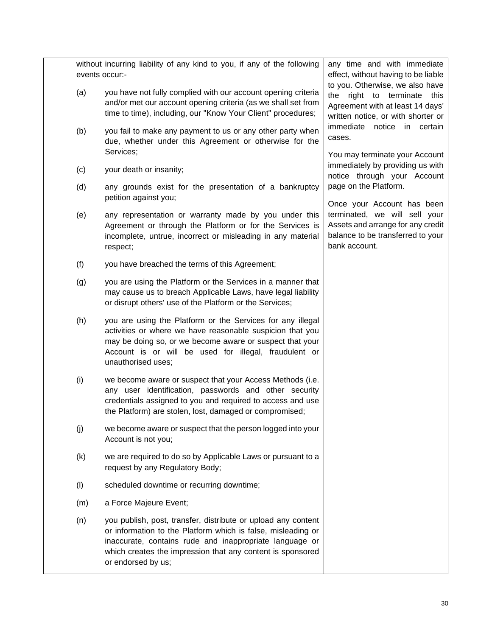without incurring liability of any kind to you, if any of the following events occur:-

- <span id="page-31-0"></span>(a) you have not fully complied with our account opening criteria and/or met our account opening criteria (as we shall set from time to time), including, our "Know Your Client" procedures;
- (b) you fail to make any payment to us or any other party when due, whether under this Agreement or otherwise for the Services;
- (c) your death or insanity;
- (d) any grounds exist for the presentation of a bankruptcy petition against you;
- (e) any representation or warranty made by you under this Agreement or through the Platform or for the Services is incomplete, untrue, incorrect or misleading in any material respect;
- (f) you have breached the terms of this Agreement;
- (g) you are using the Platform or the Services in a manner that may cause us to breach Applicable Laws, have legal liability or disrupt others' use of the Platform or the Services;
- (h) you are using the Platform or the Services for any illegal activities or where we have reasonable suspicion that you may be doing so, or we become aware or suspect that your Account is or will be used for illegal, fraudulent or unauthorised uses;
- (i) we become aware or suspect that your Access Methods (i.e. any user identification, passwords and other security credentials assigned to you and required to access and use the Platform) are stolen, lost, damaged or compromised;
- (j) we become aware or suspect that the person logged into your Account is not you;
- (k) we are required to do so by Applicable Laws or pursuant to a request by any Regulatory Body;
- (l) scheduled downtime or recurring downtime;
- <span id="page-31-1"></span>(m) a Force Majeure Event;
- (n) you publish, post, transfer, distribute or upload any content or information to the Platform which is false, misleading or inaccurate, contains rude and inappropriate language or which creates the impression that any content is sponsored or endorsed by us;

any time and with immediate effect, without having to be liable to you. Otherwise, we also have the right to terminate this Agreement with at least 14 days' written notice, or with shorter or immediate notice in certain cases.

You may terminate your Account immediately by providing us with notice through your Account page on the Platform.

Once your Account has been terminated, we will sell your Assets and arrange for any credit balance to be transferred to your bank account.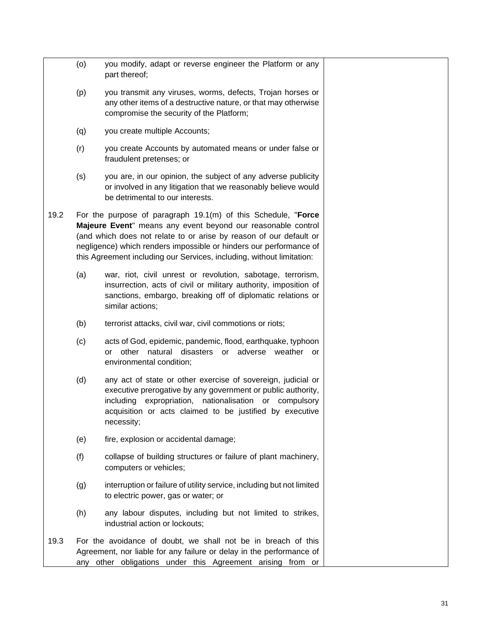<span id="page-32-0"></span>

|      | (o)                                                                                                                                                                                                                                                                                                                                                | you modify, adapt or reverse engineer the Platform or any<br>part thereof;                                                                                                                                                                                       |  |
|------|----------------------------------------------------------------------------------------------------------------------------------------------------------------------------------------------------------------------------------------------------------------------------------------------------------------------------------------------------|------------------------------------------------------------------------------------------------------------------------------------------------------------------------------------------------------------------------------------------------------------------|--|
|      | (p)                                                                                                                                                                                                                                                                                                                                                | you transmit any viruses, worms, defects, Trojan horses or<br>any other items of a destructive nature, or that may otherwise<br>compromise the security of the Platform;                                                                                         |  |
|      | (q)                                                                                                                                                                                                                                                                                                                                                | you create multiple Accounts;                                                                                                                                                                                                                                    |  |
|      | (r)                                                                                                                                                                                                                                                                                                                                                | you create Accounts by automated means or under false or<br>fraudulent pretenses; or                                                                                                                                                                             |  |
|      | (s)                                                                                                                                                                                                                                                                                                                                                | you are, in our opinion, the subject of any adverse publicity<br>or involved in any litigation that we reasonably believe would<br>be detrimental to our interests.                                                                                              |  |
| 19.2 | For the purpose of paragraph 19.1(m) of this Schedule, "Force<br>Majeure Event" means any event beyond our reasonable control<br>(and which does not relate to or arise by reason of our default or<br>negligence) which renders impossible or hinders our performance of<br>this Agreement including our Services, including, without limitation: |                                                                                                                                                                                                                                                                  |  |
|      | (a)                                                                                                                                                                                                                                                                                                                                                | war, riot, civil unrest or revolution, sabotage, terrorism,<br>insurrection, acts of civil or military authority, imposition of<br>sanctions, embargo, breaking off of diplomatic relations or<br>similar actions;                                               |  |
|      | (b)                                                                                                                                                                                                                                                                                                                                                | terrorist attacks, civil war, civil commotions or riots;                                                                                                                                                                                                         |  |
|      | (c)                                                                                                                                                                                                                                                                                                                                                | acts of God, epidemic, pandemic, flood, earthquake, typhoon<br>other natural<br>disasters or adverse<br>weather<br>or<br>or<br>environmental condition;                                                                                                          |  |
|      | (d)                                                                                                                                                                                                                                                                                                                                                | any act of state or other exercise of sovereign, judicial or<br>executive prerogative by any government or public authority,<br>including expropriation, nationalisation or compulsory<br>acquisition or acts claimed to be justified by executive<br>necessity; |  |
|      | (e)                                                                                                                                                                                                                                                                                                                                                | fire, explosion or accidental damage;                                                                                                                                                                                                                            |  |
|      | (f)                                                                                                                                                                                                                                                                                                                                                | collapse of building structures or failure of plant machinery,<br>computers or vehicles;                                                                                                                                                                         |  |
|      | (g)                                                                                                                                                                                                                                                                                                                                                | interruption or failure of utility service, including but not limited<br>to electric power, gas or water; or                                                                                                                                                     |  |
|      | (h)                                                                                                                                                                                                                                                                                                                                                | any labour disputes, including but not limited to strikes,<br>industrial action or lockouts;                                                                                                                                                                     |  |
| 19.3 |                                                                                                                                                                                                                                                                                                                                                    | For the avoidance of doubt, we shall not be in breach of this<br>Agreement, nor liable for any failure or delay in the performance of<br>any other obligations under this Agreement arising from or                                                              |  |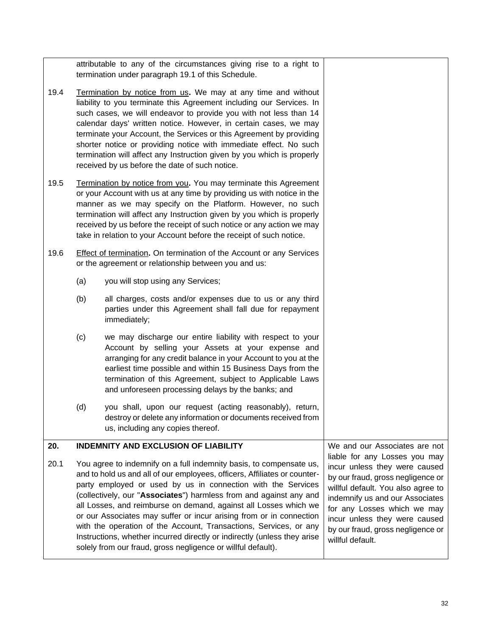<span id="page-33-0"></span>

|      |                                                                                                                                                                                                                                                                                                                                                                                                                                                                                                                                                                                                                                                    | attributable to any of the circumstances giving rise to a right to<br>termination under paragraph 19.1 of this Schedule.                                                                                                                                                                                                                                                                                                                                                                                                                               |                                                                                                                                                                                                                                                                                                       |
|------|----------------------------------------------------------------------------------------------------------------------------------------------------------------------------------------------------------------------------------------------------------------------------------------------------------------------------------------------------------------------------------------------------------------------------------------------------------------------------------------------------------------------------------------------------------------------------------------------------------------------------------------------------|--------------------------------------------------------------------------------------------------------------------------------------------------------------------------------------------------------------------------------------------------------------------------------------------------------------------------------------------------------------------------------------------------------------------------------------------------------------------------------------------------------------------------------------------------------|-------------------------------------------------------------------------------------------------------------------------------------------------------------------------------------------------------------------------------------------------------------------------------------------------------|
| 19.4 |                                                                                                                                                                                                                                                                                                                                                                                                                                                                                                                                                                                                                                                    | Termination by notice from us. We may at any time and without<br>liability to you terminate this Agreement including our Services. In<br>such cases, we will endeavor to provide you with not less than 14<br>calendar days' written notice. However, in certain cases, we may<br>terminate your Account, the Services or this Agreement by providing<br>shorter notice or providing notice with immediate effect. No such<br>termination will affect any Instruction given by you which is properly<br>received by us before the date of such notice. |                                                                                                                                                                                                                                                                                                       |
| 19.5 |                                                                                                                                                                                                                                                                                                                                                                                                                                                                                                                                                                                                                                                    | Termination by notice from you. You may terminate this Agreement<br>or your Account with us at any time by providing us with notice in the<br>manner as we may specify on the Platform. However, no such<br>termination will affect any Instruction given by you which is properly<br>received by us before the receipt of such notice or any action we may<br>take in relation to your Account before the receipt of such notice.                                                                                                                     |                                                                                                                                                                                                                                                                                                       |
| 19.6 |                                                                                                                                                                                                                                                                                                                                                                                                                                                                                                                                                                                                                                                    | <b>Effect of termination.</b> On termination of the Account or any Services<br>or the agreement or relationship between you and us:                                                                                                                                                                                                                                                                                                                                                                                                                    |                                                                                                                                                                                                                                                                                                       |
|      | (a)<br>you will stop using any Services;                                                                                                                                                                                                                                                                                                                                                                                                                                                                                                                                                                                                           |                                                                                                                                                                                                                                                                                                                                                                                                                                                                                                                                                        |                                                                                                                                                                                                                                                                                                       |
|      | (b)<br>all charges, costs and/or expenses due to us or any third<br>parties under this Agreement shall fall due for repayment<br>immediately;                                                                                                                                                                                                                                                                                                                                                                                                                                                                                                      |                                                                                                                                                                                                                                                                                                                                                                                                                                                                                                                                                        |                                                                                                                                                                                                                                                                                                       |
|      | (c)<br>we may discharge our entire liability with respect to your<br>Account by selling your Assets at your expense and<br>arranging for any credit balance in your Account to you at the<br>earliest time possible and within 15 Business Days from the<br>termination of this Agreement, subject to Applicable Laws<br>and unforeseen processing delays by the banks; and                                                                                                                                                                                                                                                                        |                                                                                                                                                                                                                                                                                                                                                                                                                                                                                                                                                        |                                                                                                                                                                                                                                                                                                       |
|      | (d)                                                                                                                                                                                                                                                                                                                                                                                                                                                                                                                                                                                                                                                | you shall, upon our request (acting reasonably), return,<br>destroy or delete any information or documents received from<br>us, including any copies thereof.                                                                                                                                                                                                                                                                                                                                                                                          |                                                                                                                                                                                                                                                                                                       |
| 20.  |                                                                                                                                                                                                                                                                                                                                                                                                                                                                                                                                                                                                                                                    | <b>INDEMNITY AND EXCLUSION OF LIABILITY</b>                                                                                                                                                                                                                                                                                                                                                                                                                                                                                                            | We and our Associates are not                                                                                                                                                                                                                                                                         |
| 20.1 | You agree to indemnify on a full indemnity basis, to compensate us,<br>and to hold us and all of our employees, officers, Affiliates or counter-<br>party employed or used by us in connection with the Services<br>(collectively, our "Associates") harmless from and against any and<br>all Losses, and reimburse on demand, against all Losses which we<br>or our Associates may suffer or incur arising from or in connection<br>with the operation of the Account, Transactions, Services, or any<br>Instructions, whether incurred directly or indirectly (unless they arise<br>solely from our fraud, gross negligence or willful default). |                                                                                                                                                                                                                                                                                                                                                                                                                                                                                                                                                        | liable for any Losses you may<br>incur unless they were caused<br>by our fraud, gross negligence or<br>willful default. You also agree to<br>indemnify us and our Associates<br>for any Losses which we may<br>incur unless they were caused<br>by our fraud, gross negligence or<br>willful default. |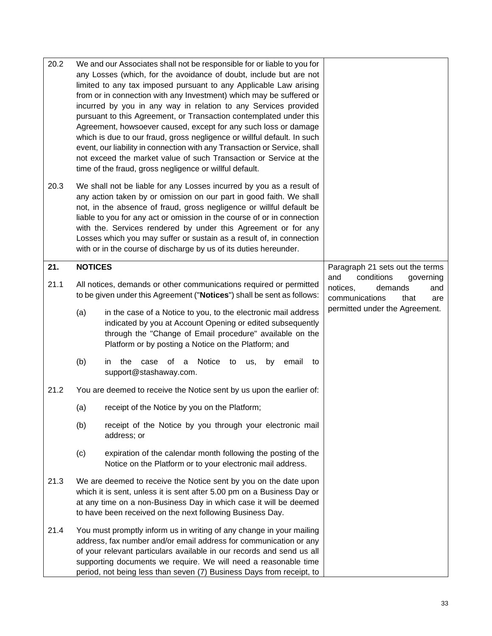<span id="page-34-0"></span>

| 20.2 |                                                                                                                                                                                                                                                                              | We and our Associates shall not be responsible for or liable to you for<br>any Losses (which, for the avoidance of doubt, include but are not<br>limited to any tax imposed pursuant to any Applicable Law arising<br>from or in connection with any Investment) which may be suffered or<br>incurred by you in any way in relation to any Services provided<br>pursuant to this Agreement, or Transaction contemplated under this<br>Agreement, howsoever caused, except for any such loss or damage<br>which is due to our fraud, gross negligence or willful default. In such<br>event, our liability in connection with any Transaction or Service, shall<br>not exceed the market value of such Transaction or Service at the<br>time of the fraud, gross negligence or willful default. |                                                                                               |
|------|------------------------------------------------------------------------------------------------------------------------------------------------------------------------------------------------------------------------------------------------------------------------------|-----------------------------------------------------------------------------------------------------------------------------------------------------------------------------------------------------------------------------------------------------------------------------------------------------------------------------------------------------------------------------------------------------------------------------------------------------------------------------------------------------------------------------------------------------------------------------------------------------------------------------------------------------------------------------------------------------------------------------------------------------------------------------------------------|-----------------------------------------------------------------------------------------------|
| 20.3 |                                                                                                                                                                                                                                                                              | We shall not be liable for any Losses incurred by you as a result of<br>any action taken by or omission on our part in good faith. We shall<br>not, in the absence of fraud, gross negligence or willful default be<br>liable to you for any act or omission in the course of or in connection<br>with the. Services rendered by under this Agreement or for any<br>Losses which you may suffer or sustain as a result of, in connection<br>with or in the course of discharge by us of its duties hereunder.                                                                                                                                                                                                                                                                                 |                                                                                               |
| 21.  | <b>NOTICES</b>                                                                                                                                                                                                                                                               |                                                                                                                                                                                                                                                                                                                                                                                                                                                                                                                                                                                                                                                                                                                                                                                               | Paragraph 21 sets out the terms                                                               |
| 21.1 |                                                                                                                                                                                                                                                                              | All notices, demands or other communications required or permitted<br>to be given under this Agreement ("Notices") shall be sent as follows:                                                                                                                                                                                                                                                                                                                                                                                                                                                                                                                                                                                                                                                  | conditions<br>and<br>governing<br>notices,<br>demands<br>and<br>communications<br>that<br>are |
|      | (a)                                                                                                                                                                                                                                                                          | in the case of a Notice to you, to the electronic mail address<br>indicated by you at Account Opening or edited subsequently<br>through the "Change of Email procedure" available on the<br>Platform or by posting a Notice on the Platform; and                                                                                                                                                                                                                                                                                                                                                                                                                                                                                                                                              | permitted under the Agreement.                                                                |
|      | (b)                                                                                                                                                                                                                                                                          | Notice<br>the<br>email<br>case<br>οf<br>to<br>us,<br>by<br>in.<br>- a<br>to<br>support@stashaway.com.                                                                                                                                                                                                                                                                                                                                                                                                                                                                                                                                                                                                                                                                                         |                                                                                               |
| 21.2 |                                                                                                                                                                                                                                                                              | You are deemed to receive the Notice sent by us upon the earlier of:                                                                                                                                                                                                                                                                                                                                                                                                                                                                                                                                                                                                                                                                                                                          |                                                                                               |
|      | (a)                                                                                                                                                                                                                                                                          | receipt of the Notice by you on the Platform;                                                                                                                                                                                                                                                                                                                                                                                                                                                                                                                                                                                                                                                                                                                                                 |                                                                                               |
|      | (b)                                                                                                                                                                                                                                                                          | receipt of the Notice by you through your electronic mail<br>address; or                                                                                                                                                                                                                                                                                                                                                                                                                                                                                                                                                                                                                                                                                                                      |                                                                                               |
|      | (c)                                                                                                                                                                                                                                                                          | expiration of the calendar month following the posting of the<br>Notice on the Platform or to your electronic mail address.                                                                                                                                                                                                                                                                                                                                                                                                                                                                                                                                                                                                                                                                   |                                                                                               |
| 21.3 | We are deemed to receive the Notice sent by you on the date upon<br>which it is sent, unless it is sent after 5.00 pm on a Business Day or<br>at any time on a non-Business Day in which case it will be deemed<br>to have been received on the next following Business Day. |                                                                                                                                                                                                                                                                                                                                                                                                                                                                                                                                                                                                                                                                                                                                                                                               |                                                                                               |
| 21.4 |                                                                                                                                                                                                                                                                              | You must promptly inform us in writing of any change in your mailing<br>address, fax number and/or email address for communication or any<br>of your relevant particulars available in our records and send us all<br>supporting documents we require. We will need a reasonable time<br>period, not being less than seven (7) Business Days from receipt, to                                                                                                                                                                                                                                                                                                                                                                                                                                 |                                                                                               |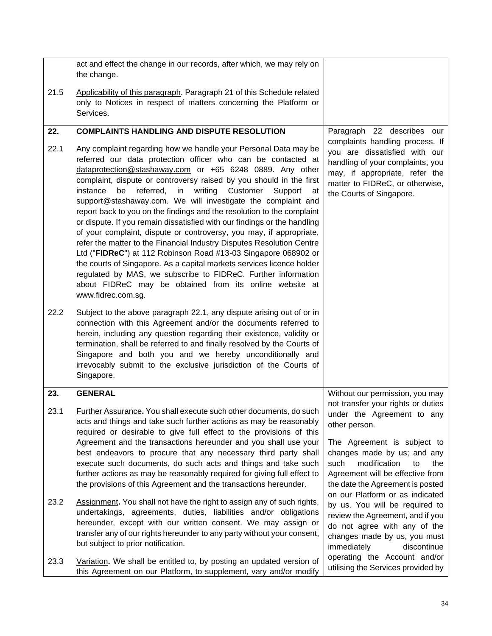<span id="page-35-2"></span><span id="page-35-1"></span><span id="page-35-0"></span>

|      | act and effect the change in our records, after which, we may rely on<br>the change.                                                                                                                                                                                                                                                                                                                                                                                                                                                                                                                                                                                                                                                                                                                                                                                                                                                                                                                               |                                                                                                                                                                                                       |
|------|--------------------------------------------------------------------------------------------------------------------------------------------------------------------------------------------------------------------------------------------------------------------------------------------------------------------------------------------------------------------------------------------------------------------------------------------------------------------------------------------------------------------------------------------------------------------------------------------------------------------------------------------------------------------------------------------------------------------------------------------------------------------------------------------------------------------------------------------------------------------------------------------------------------------------------------------------------------------------------------------------------------------|-------------------------------------------------------------------------------------------------------------------------------------------------------------------------------------------------------|
| 21.5 | Applicability of this paragraph. Paragraph 21 of this Schedule related<br>only to Notices in respect of matters concerning the Platform or<br>Services.                                                                                                                                                                                                                                                                                                                                                                                                                                                                                                                                                                                                                                                                                                                                                                                                                                                            |                                                                                                                                                                                                       |
| 22.  | <b>COMPLAINTS HANDLING AND DISPUTE RESOLUTION</b>                                                                                                                                                                                                                                                                                                                                                                                                                                                                                                                                                                                                                                                                                                                                                                                                                                                                                                                                                                  | Paragraph 22 describes our                                                                                                                                                                            |
| 22.1 | Any complaint regarding how we handle your Personal Data may be<br>referred our data protection officer who can be contacted at<br>dataprotection@stashaway.com or +65 6248 0889. Any other<br>complaint, dispute or controversy raised by you should in the first<br>be<br>referred,<br>writing<br>Customer<br>instance<br>in<br>Support<br>at<br>support@stashaway.com. We will investigate the complaint and<br>report back to you on the findings and the resolution to the complaint<br>or dispute. If you remain dissatisfied with our findings or the handling<br>of your complaint, dispute or controversy, you may, if appropriate,<br>refer the matter to the Financial Industry Disputes Resolution Centre<br>Ltd ("FIDReC") at 112 Robinson Road #13-03 Singapore 068902 or<br>the courts of Singapore. As a capital markets services licence holder<br>regulated by MAS, we subscribe to FIDReC. Further information<br>about FIDReC may be obtained from its online website at<br>www.fidrec.com.sg. | complaints handling process. If<br>you are dissatisfied with our<br>handling of your complaints, you<br>may, if appropriate, refer the<br>matter to FIDReC, or otherwise,<br>the Courts of Singapore. |
| 22.2 | Subject to the above paragraph 22.1, any dispute arising out of or in<br>connection with this Agreement and/or the documents referred to<br>herein, including any question regarding their existence, validity or<br>termination, shall be referred to and finally resolved by the Courts of<br>Singapore and both you and we hereby unconditionally and<br>irrevocably submit to the exclusive jurisdiction of the Courts of<br>Singapore.                                                                                                                                                                                                                                                                                                                                                                                                                                                                                                                                                                        |                                                                                                                                                                                                       |
| 23.  | <b>GENERAL</b>                                                                                                                                                                                                                                                                                                                                                                                                                                                                                                                                                                                                                                                                                                                                                                                                                                                                                                                                                                                                     | Without our permission, you may                                                                                                                                                                       |
| 23.1 | Further Assurance. You shall execute such other documents, do such<br>acts and things and take such further actions as may be reasonably<br>required or desirable to give full effect to the provisions of this<br>Agreement and the transactions hereunder and you shall use your<br>best endeavors to procure that any necessary third party shall<br>execute such documents, do such acts and things and take such                                                                                                                                                                                                                                                                                                                                                                                                                                                                                                                                                                                              | not transfer your rights or duties<br>under the Agreement to any<br>other person.<br>The Agreement is subject to<br>changes made by us; and any<br>modification<br>such<br>to<br>the                  |
|      | further actions as may be reasonably required for giving full effect to<br>the provisions of this Agreement and the transactions hereunder.                                                                                                                                                                                                                                                                                                                                                                                                                                                                                                                                                                                                                                                                                                                                                                                                                                                                        | Agreement will be effective from<br>the date the Agreement is posted                                                                                                                                  |
| 23.2 | Assignment. You shall not have the right to assign any of such rights,<br>undertakings, agreements, duties, liabilities and/or obligations<br>hereunder, except with our written consent. We may assign or<br>transfer any of our rights hereunder to any party without your consent,<br>but subject to prior notification.                                                                                                                                                                                                                                                                                                                                                                                                                                                                                                                                                                                                                                                                                        | on our Platform or as indicated<br>by us. You will be required to<br>review the Agreement, and if you<br>do not agree with any of the<br>changes made by us, you must<br>immediately<br>discontinue   |
| 23.3 | Variation. We shall be entitled to, by posting an updated version of<br>this Agreement on our Platform, to supplement, vary and/or modify                                                                                                                                                                                                                                                                                                                                                                                                                                                                                                                                                                                                                                                                                                                                                                                                                                                                          | operating the Account and/or<br>utilising the Services provided by                                                                                                                                    |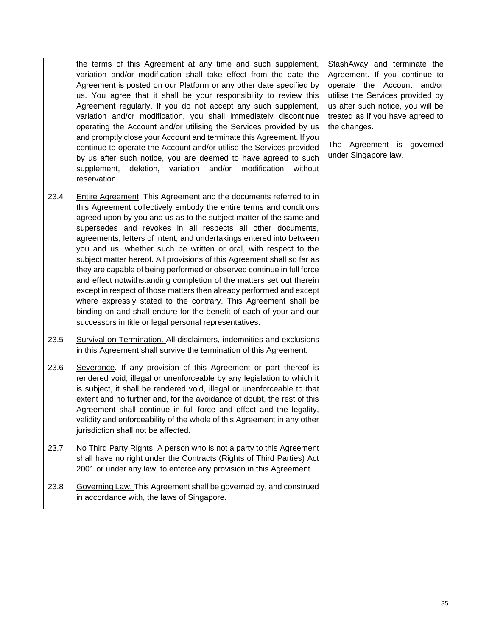the terms of this Agreement at any time and such supplement, variation and/or modification shall take effect from the date the Agreement is posted on our Platform or any other date specified by us. You agree that it shall be your responsibility to review this Agreement regularly. If you do not accept any such supplement, variation and/or modification, you shall immediately discontinue operating the Account and/or utilising the Services provided by us and promptly close your Account and terminate this Agreement. If you continue to operate the Account and/or utilise the Services provided by us after such notice, you are deemed to have agreed to such supplement, deletion, variation and/or modification without reservation.

- 23.4 Entire Agreement. This Agreement and the documents referred to in this Agreement collectively embody the entire terms and conditions agreed upon by you and us as to the subject matter of the same and supersedes and revokes in all respects all other documents, agreements, letters of intent, and undertakings entered into between you and us, whether such be written or oral, with respect to the subject matter hereof. All provisions of this Agreement shall so far as they are capable of being performed or observed continue in full force and effect notwithstanding completion of the matters set out therein except in respect of those matters then already performed and except where expressly stated to the contrary. This Agreement shall be binding on and shall endure for the benefit of each of your and our successors in title or legal personal representatives.
- 23.5 Survival on Termination. All disclaimers, indemnities and exclusions in this Agreement shall survive the termination of this Agreement.
- 23.6 Severance. If any provision of this Agreement or part thereof is rendered void, illegal or unenforceable by any legislation to which it is subject, it shall be rendered void, illegal or unenforceable to that extent and no further and, for the avoidance of doubt, the rest of this Agreement shall continue in full force and effect and the legality, validity and enforceability of the whole of this Agreement in any other jurisdiction shall not be affected.
- 23.7 No Third Party Rights. A person who is not a party to this Agreement shall have no right under the Contracts (Rights of Third Parties) Act 2001 or under any law, to enforce any provision in this Agreement.
- 23.8 Governing Law. This Agreement shall be governed by, and construed in accordance with, the laws of Singapore.

StashAway and terminate the Agreement. If you continue to operate the Account and/or utilise the Services provided by us after such notice, you will be treated as if you have agreed to the changes.

The Agreement is governed under Singapore law.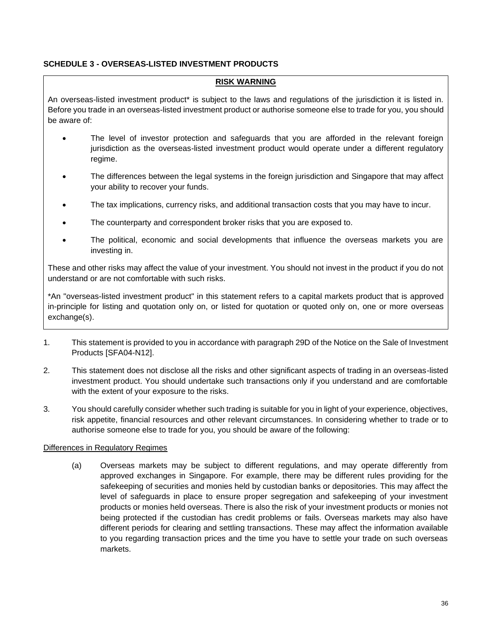### <span id="page-37-1"></span><span id="page-37-0"></span>**SCHEDULE 3 - OVERSEAS-LISTED INVESTMENT PRODUCTS**

#### **RISK WARNING**

An overseas-listed investment product\* is subject to the laws and regulations of the jurisdiction it is listed in. Before you trade in an overseas-listed investment product or authorise someone else to trade for you, you should be aware of:

- The level of investor protection and safeguards that you are afforded in the relevant foreign jurisdiction as the overseas-listed investment product would operate under a different regulatory regime.
- The differences between the legal systems in the foreign jurisdiction and Singapore that may affect your ability to recover your funds.
- The tax implications, currency risks, and additional transaction costs that you may have to incur.
- The counterparty and correspondent broker risks that you are exposed to.
- The political, economic and social developments that influence the overseas markets you are investing in.

These and other risks may affect the value of your investment. You should not invest in the product if you do not understand or are not comfortable with such risks.

\*An "overseas-listed investment product" in this statement refers to a capital markets product that is approved in-principle for listing and quotation only on, or listed for quotation or quoted only on, one or more overseas exchange(s).

- 1. This statement is provided to you in accordance with paragraph 29D of the Notice on the Sale of Investment Products [SFA04-N12].
- 2. This statement does not disclose all the risks and other significant aspects of trading in an overseas-listed investment product. You should undertake such transactions only if you understand and are comfortable with the extent of your exposure to the risks.
- 3. You should carefully consider whether such trading is suitable for you in light of your experience, objectives, risk appetite, financial resources and other relevant circumstances. In considering whether to trade or to authorise someone else to trade for you, you should be aware of the following:

#### Differences in Regulatory Regimes

(a) Overseas markets may be subject to different regulations, and may operate differently from approved exchanges in Singapore. For example, there may be different rules providing for the safekeeping of securities and monies held by custodian banks or depositories. This may affect the level of safeguards in place to ensure proper segregation and safekeeping of your investment products or monies held overseas. There is also the risk of your investment products or monies not being protected if the custodian has credit problems or fails. Overseas markets may also have different periods for clearing and settling transactions. These may affect the information available to you regarding transaction prices and the time you have to settle your trade on such overseas markets.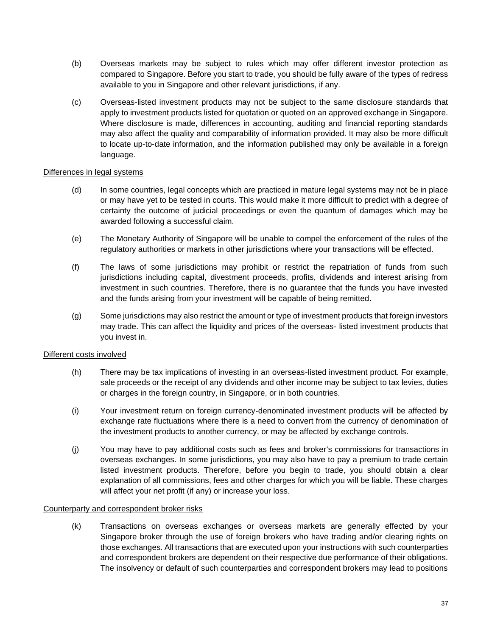- (b) Overseas markets may be subject to rules which may offer different investor protection as compared to Singapore. Before you start to trade, you should be fully aware of the types of redress available to you in Singapore and other relevant jurisdictions, if any.
- (c) Overseas-listed investment products may not be subject to the same disclosure standards that apply to investment products listed for quotation or quoted on an approved exchange in Singapore. Where disclosure is made, differences in accounting, auditing and financial reporting standards may also affect the quality and comparability of information provided. It may also be more difficult to locate up-to-date information, and the information published may only be available in a foreign language.

#### Differences in legal systems

- (d) In some countries, legal concepts which are practiced in mature legal systems may not be in place or may have yet to be tested in courts. This would make it more difficult to predict with a degree of certainty the outcome of judicial proceedings or even the quantum of damages which may be awarded following a successful claim.
- (e) The Monetary Authority of Singapore will be unable to compel the enforcement of the rules of the regulatory authorities or markets in other jurisdictions where your transactions will be effected.
- (f) The laws of some jurisdictions may prohibit or restrict the repatriation of funds from such jurisdictions including capital, divestment proceeds, profits, dividends and interest arising from investment in such countries. Therefore, there is no guarantee that the funds you have invested and the funds arising from your investment will be capable of being remitted.
- (g) Some jurisdictions may also restrict the amount or type of investment products that foreign investors may trade. This can affect the liquidity and prices of the overseas- listed investment products that you invest in.

#### Different costs involved

- (h) There may be tax implications of investing in an overseas-listed investment product. For example, sale proceeds or the receipt of any dividends and other income may be subject to tax levies, duties or charges in the foreign country, in Singapore, or in both countries.
- (i) Your investment return on foreign currency-denominated investment products will be affected by exchange rate fluctuations where there is a need to convert from the currency of denomination of the investment products to another currency, or may be affected by exchange controls.
- (j) You may have to pay additional costs such as fees and broker's commissions for transactions in overseas exchanges. In some jurisdictions, you may also have to pay a premium to trade certain listed investment products. Therefore, before you begin to trade, you should obtain a clear explanation of all commissions, fees and other charges for which you will be liable. These charges will affect your net profit (if any) or increase your loss.

#### Counterparty and correspondent broker risks

(k) Transactions on overseas exchanges or overseas markets are generally effected by your Singapore broker through the use of foreign brokers who have trading and/or clearing rights on those exchanges. All transactions that are executed upon your instructions with such counterparties and correspondent brokers are dependent on their respective due performance of their obligations. The insolvency or default of such counterparties and correspondent brokers may lead to positions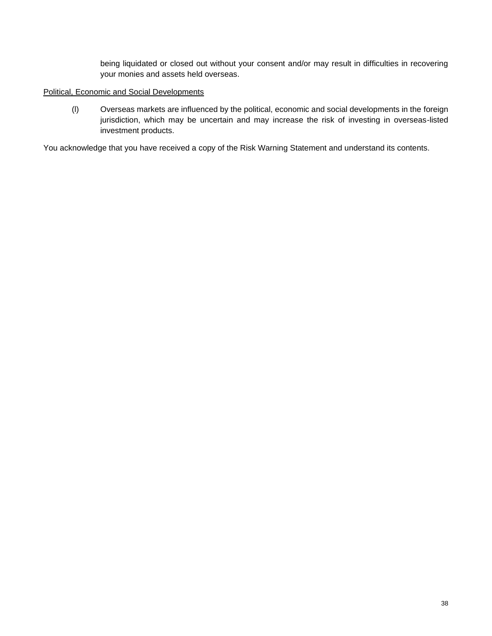being liquidated or closed out without your consent and/or may result in difficulties in recovering your monies and assets held overseas.

#### Political, Economic and Social Developments

(l) Overseas markets are influenced by the political, economic and social developments in the foreign jurisdiction, which may be uncertain and may increase the risk of investing in overseas-listed investment products.

You acknowledge that you have received a copy of the Risk Warning Statement and understand its contents.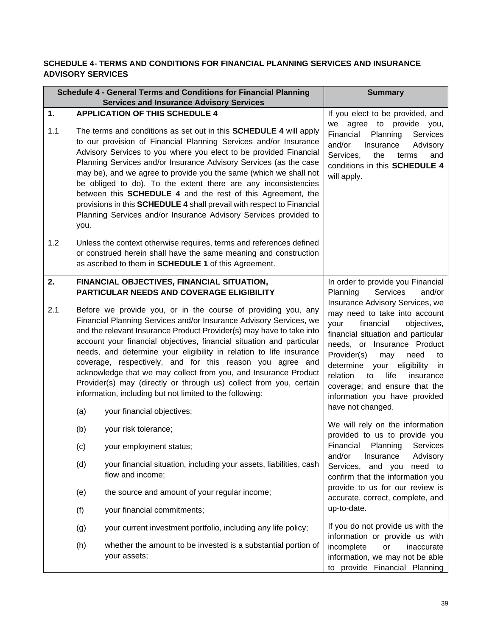### <span id="page-40-0"></span>**SCHEDULE 4- TERMS AND CONDITIONS FOR FINANCIAL PLANNING SERVICES AND INSURANCE ADVISORY SERVICES**

<span id="page-40-2"></span><span id="page-40-1"></span>

|     |                                                                                            | Schedule 4 - General Terms and Conditions for Financial Planning                                                                                                                                                                                                                                                                                                                                                                                                                                                                                                                                                                                            | <b>Summary</b>                                                                                                                                                                                                                                                                                                                                                               |
|-----|--------------------------------------------------------------------------------------------|-------------------------------------------------------------------------------------------------------------------------------------------------------------------------------------------------------------------------------------------------------------------------------------------------------------------------------------------------------------------------------------------------------------------------------------------------------------------------------------------------------------------------------------------------------------------------------------------------------------------------------------------------------------|------------------------------------------------------------------------------------------------------------------------------------------------------------------------------------------------------------------------------------------------------------------------------------------------------------------------------------------------------------------------------|
| 1.  |                                                                                            | <b>Services and Insurance Advisory Services</b><br><b>APPLICATION OF THIS SCHEDULE 4</b>                                                                                                                                                                                                                                                                                                                                                                                                                                                                                                                                                                    | If you elect to be provided, and                                                                                                                                                                                                                                                                                                                                             |
| 1.1 | you.                                                                                       | The terms and conditions as set out in this <b>SCHEDULE 4</b> will apply<br>to our provision of Financial Planning Services and/or Insurance<br>Advisory Services to you where you elect to be provided Financial<br>Planning Services and/or Insurance Advisory Services (as the case<br>may be), and we agree to provide you the same (which we shall not<br>be obliged to do). To the extent there are any inconsistencies<br>between this <b>SCHEDULE 4</b> and the rest of this Agreement, the<br>provisions in this SCHEDULE 4 shall prevail with respect to Financial<br>Planning Services and/or Insurance Advisory Services provided to            | agree to provide<br>we<br>you,<br>Financial<br>Planning<br>Services<br>and/or<br>Insurance<br>Advisory<br>Services,<br>the<br>terms<br>and<br>conditions in this SCHEDULE 4<br>will apply.                                                                                                                                                                                   |
| 1.2 |                                                                                            | Unless the context otherwise requires, terms and references defined<br>or construed herein shall have the same meaning and construction<br>as ascribed to them in <b>SCHEDULE 1</b> of this Agreement.                                                                                                                                                                                                                                                                                                                                                                                                                                                      |                                                                                                                                                                                                                                                                                                                                                                              |
| 2.  |                                                                                            | FINANCIAL OBJECTIVES, FINANCIAL SITUATION,<br>PARTICULAR NEEDS AND COVERAGE ELIGIBILITY                                                                                                                                                                                                                                                                                                                                                                                                                                                                                                                                                                     | In order to provide you Financial<br>Planning<br>Services<br>and/or                                                                                                                                                                                                                                                                                                          |
| 2.1 | (a)                                                                                        | Before we provide you, or in the course of providing you, any<br>Financial Planning Services and/or Insurance Advisory Services, we<br>and the relevant Insurance Product Provider(s) may have to take into<br>account your financial objectives, financial situation and particular<br>needs, and determine your eligibility in relation to life insurance<br>coverage, respectively, and for this reason you agree and<br>acknowledge that we may collect from you, and Insurance Product<br>Provider(s) may (directly or through us) collect from you, certain<br>information, including but not limited to the following:<br>your financial objectives; | Insurance Advisory Services, we<br>may need to take into account<br>financial<br>your<br>objectives,<br>financial situation and particular<br>needs, or Insurance Product<br>Provider(s)<br>may<br>need<br>to<br>determine your eligibility in<br>relation<br>life<br>to<br>insurance<br>coverage; and ensure that the<br>information you have provided<br>have not changed. |
|     | (b)                                                                                        | your risk tolerance;                                                                                                                                                                                                                                                                                                                                                                                                                                                                                                                                                                                                                                        | We will rely on the information<br>provided to us to provide you                                                                                                                                                                                                                                                                                                             |
|     | (c)                                                                                        | your employment status;                                                                                                                                                                                                                                                                                                                                                                                                                                                                                                                                                                                                                                     | Financial Planning Services                                                                                                                                                                                                                                                                                                                                                  |
|     | (d)                                                                                        | your financial situation, including your assets, liabilities, cash<br>flow and income;                                                                                                                                                                                                                                                                                                                                                                                                                                                                                                                                                                      | and/or<br>Insurance<br>Advisory<br>and you<br>Services,<br>need to<br>confirm that the information you                                                                                                                                                                                                                                                                       |
|     | (e)<br>the source and amount of your regular income;<br>(f)<br>your financial commitments; |                                                                                                                                                                                                                                                                                                                                                                                                                                                                                                                                                                                                                                                             | provide to us for our review is<br>accurate, correct, complete, and                                                                                                                                                                                                                                                                                                          |
|     |                                                                                            |                                                                                                                                                                                                                                                                                                                                                                                                                                                                                                                                                                                                                                                             | up-to-date.                                                                                                                                                                                                                                                                                                                                                                  |
|     | (g)                                                                                        | your current investment portfolio, including any life policy;                                                                                                                                                                                                                                                                                                                                                                                                                                                                                                                                                                                               | If you do not provide us with the<br>information or provide us with                                                                                                                                                                                                                                                                                                          |
|     | (h)                                                                                        | whether the amount to be invested is a substantial portion of<br>your assets;                                                                                                                                                                                                                                                                                                                                                                                                                                                                                                                                                                               | incomplete<br>inaccurate<br>or<br>information, we may not be able<br>to provide Financial Planning                                                                                                                                                                                                                                                                           |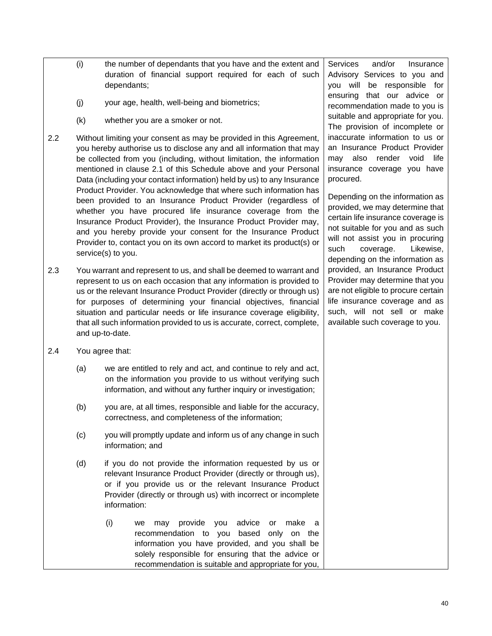- (i) the number of dependants that you have and the extent and duration of financial support required for each of such dependants;
- (j) your age, health, well-being and biometrics;
- (k) whether you are a smoker or not.
- 2.2 Without limiting your consent as may be provided in this Agreement, you hereby authorise us to disclose any and all information that may be collected from you (including, without limitation, the information mentioned in clause 2.1 of this Schedule above and your Personal Data (including your contact information) held by us) to any Insurance Product Provider. You acknowledge that where such information has been provided to an Insurance Product Provider (regardless of whether you have procured life insurance coverage from the Insurance Product Provider), the Insurance Product Provider may, and you hereby provide your consent for the Insurance Product Provider to, contact you on its own accord to market its product(s) or service(s) to you.
- 2.3 You warrant and represent to us, and shall be deemed to warrant and represent to us on each occasion that any information is provided to us or the relevant Insurance Product Provider (directly or through us) for purposes of determining your financial objectives, financial situation and particular needs or life insurance coverage eligibility, that all such information provided to us is accurate, correct, complete, and up-to-date.
- 2.4 You agree that:
	- (a) we are entitled to rely and act, and continue to rely and act, on the information you provide to us without verifying such information, and without any further inquiry or investigation;
	- (b) you are, at all times, responsible and liable for the accuracy, correctness, and completeness of the information;
	- (c) you will promptly update and inform us of any change in such information; and
	- (d) if you do not provide the information requested by us or relevant Insurance Product Provider (directly or through us), or if you provide us or the relevant Insurance Product Provider (directly or through us) with incorrect or incomplete information:
		- (i) we may provide you advice or make a recommendation to you based only on the information you have provided, and you shall be solely responsible for ensuring that the advice or recommendation is suitable and appropriate for you,

Services and/or Insurance Advisory Services to you and you will be responsible for ensuring that our advice or recommendation made to you is suitable and appropriate for you. The provision of incomplete or inaccurate information to us or an Insurance Product Provider may also render void life insurance coverage you have procured.

Depending on the information as provided, we may determine that certain life insurance coverage is not suitable for you and as such will not assist you in procuring such coverage. Likewise, depending on the information as provided, an Insurance Product Provider may determine that you are not eligible to procure certain life insurance coverage and as such, will not sell or make available such coverage to you.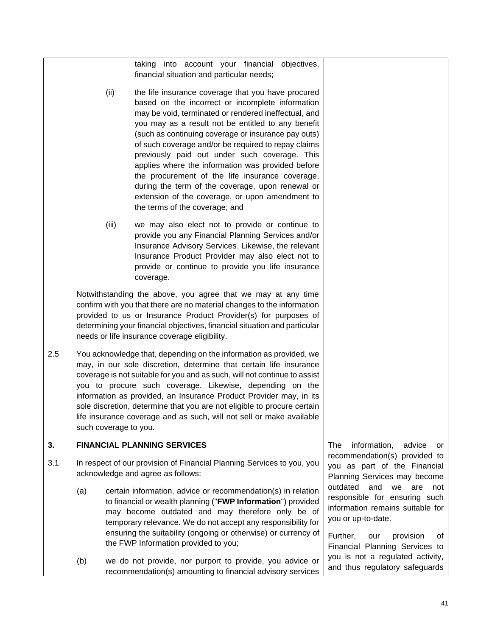<span id="page-42-0"></span>

|      |                                                                                                             |       | taking into account your financial objectives,<br>financial situation and particular needs;                                                                                                                                                                                                                                                                                                                                                                                                                                                                                                                                          |                                                                                                                                                                   |
|------|-------------------------------------------------------------------------------------------------------------|-------|--------------------------------------------------------------------------------------------------------------------------------------------------------------------------------------------------------------------------------------------------------------------------------------------------------------------------------------------------------------------------------------------------------------------------------------------------------------------------------------------------------------------------------------------------------------------------------------------------------------------------------------|-------------------------------------------------------------------------------------------------------------------------------------------------------------------|
| (ii) |                                                                                                             |       | the life insurance coverage that you have procured<br>based on the incorrect or incomplete information<br>may be void, terminated or rendered ineffectual, and<br>you may as a result not be entitled to any benefit<br>(such as continuing coverage or insurance pay outs)<br>of such coverage and/or be required to repay claims<br>previously paid out under such coverage. This<br>applies where the information was provided before<br>the procurement of the life insurance coverage,<br>during the term of the coverage, upon renewal or<br>extension of the coverage, or upon amendment to<br>the terms of the coverage; and |                                                                                                                                                                   |
|      |                                                                                                             | (iii) | we may also elect not to provide or continue to<br>provide you any Financial Planning Services and/or<br>Insurance Advisory Services. Likewise, the relevant<br>Insurance Product Provider may also elect not to<br>provide or continue to provide you life insurance<br>coverage.                                                                                                                                                                                                                                                                                                                                                   |                                                                                                                                                                   |
|      |                                                                                                             |       | Notwithstanding the above, you agree that we may at any time<br>confirm with you that there are no material changes to the information<br>provided to us or Insurance Product Provider(s) for purposes of<br>determining your financial objectives, financial situation and particular<br>needs or life insurance coverage eligibility.                                                                                                                                                                                                                                                                                              |                                                                                                                                                                   |
| 2.5  | such coverage to you.                                                                                       |       | You acknowledge that, depending on the information as provided, we<br>may, in our sole discretion, determine that certain life insurance<br>coverage is not suitable for you and as such, will not continue to assist<br>you to procure such coverage. Likewise, depending on the<br>information as provided, an Insurance Product Provider may, in its<br>sole discretion, determine that you are not eligible to procure certain<br>life insurance coverage and as such, will not sell or make available                                                                                                                           |                                                                                                                                                                   |
| 3.   |                                                                                                             |       | <b>FINANCIAL PLANNING SERVICES</b>                                                                                                                                                                                                                                                                                                                                                                                                                                                                                                                                                                                                   | The<br>information,<br>advice<br>or                                                                                                                               |
| 3.1  | In respect of our provision of Financial Planning Services to you, you<br>acknowledge and agree as follows: |       |                                                                                                                                                                                                                                                                                                                                                                                                                                                                                                                                                                                                                                      | recommendation(s) provided to<br>you as part of the Financial<br>Planning Services may become                                                                     |
|      | (a)                                                                                                         |       | certain information, advice or recommendation(s) in relation<br>to financial or wealth planning ("FWP Information") provided<br>may become outdated and may therefore only be of<br>temporary relevance. We do not accept any responsibility for<br>ensuring the suitability (ongoing or otherwise) or currency of                                                                                                                                                                                                                                                                                                                   | outdated and<br>we<br>are<br>not<br>responsible for ensuring such<br>information remains suitable for<br>you or up-to-date.<br>Further,<br>0f<br>provision<br>our |
|      |                                                                                                             |       | the FWP Information provided to you;                                                                                                                                                                                                                                                                                                                                                                                                                                                                                                                                                                                                 | Financial Planning Services to<br>you is not a regulated activity,                                                                                                |
|      | (b)                                                                                                         |       | we do not provide, nor purport to provide, you advice or<br>recommendation(s) amounting to financial advisory services                                                                                                                                                                                                                                                                                                                                                                                                                                                                                                               | and thus regulatory safeguards                                                                                                                                    |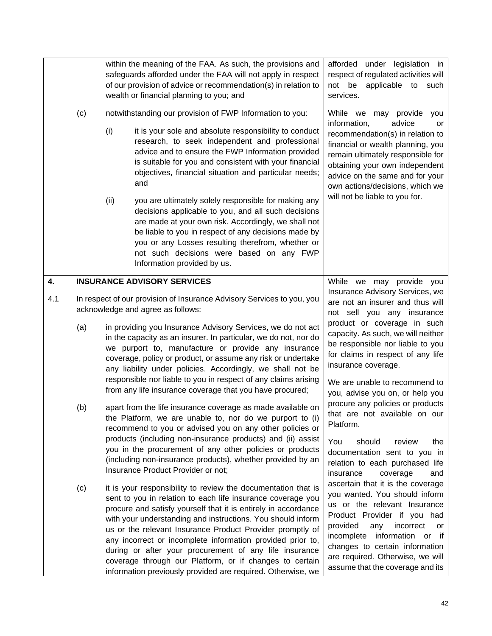<span id="page-43-0"></span>

|     |     | within the meaning of the FAA. As such, the provisions and<br>safeguards afforded under the FAA will not apply in respect<br>of our provision of advice or recommendation(s) in relation to<br>wealth or financial planning to you; and |                                                                                                                                                                                                                                                                                                                                                                                                                                                                                                                                                                              | afforded under legislation in<br>respect of regulated activities will<br>applicable to<br>not be<br>such<br>services.                                                                                                                                                                                                |  |
|-----|-----|-----------------------------------------------------------------------------------------------------------------------------------------------------------------------------------------------------------------------------------------|------------------------------------------------------------------------------------------------------------------------------------------------------------------------------------------------------------------------------------------------------------------------------------------------------------------------------------------------------------------------------------------------------------------------------------------------------------------------------------------------------------------------------------------------------------------------------|----------------------------------------------------------------------------------------------------------------------------------------------------------------------------------------------------------------------------------------------------------------------------------------------------------------------|--|
|     | (c) |                                                                                                                                                                                                                                         | notwithstanding our provision of FWP Information to you:                                                                                                                                                                                                                                                                                                                                                                                                                                                                                                                     | While we may provide<br>you                                                                                                                                                                                                                                                                                          |  |
|     |     | (i)                                                                                                                                                                                                                                     | it is your sole and absolute responsibility to conduct<br>research, to seek independent and professional<br>advice and to ensure the FWP Information provided<br>is suitable for you and consistent with your financial<br>objectives, financial situation and particular needs;<br>and                                                                                                                                                                                                                                                                                      | information,<br>advice<br>or<br>recommendation(s) in relation to<br>financial or wealth planning, you<br>remain ultimately responsible for<br>obtaining your own independent<br>advice on the same and for your<br>own actions/decisions, which we                                                                   |  |
|     |     | (ii)                                                                                                                                                                                                                                    | you are ultimately solely responsible for making any<br>decisions applicable to you, and all such decisions<br>are made at your own risk. Accordingly, we shall not<br>be liable to you in respect of any decisions made by<br>you or any Losses resulting therefrom, whether or<br>not such decisions were based on any FWP<br>Information provided by us.                                                                                                                                                                                                                  | will not be liable to you for.                                                                                                                                                                                                                                                                                       |  |
| 4.  |     |                                                                                                                                                                                                                                         | <b>INSURANCE ADVISORY SERVICES</b>                                                                                                                                                                                                                                                                                                                                                                                                                                                                                                                                           | While<br>we may provide you<br>Insurance Advisory Services, we<br>are not an insurer and thus will<br>not sell you any insurance                                                                                                                                                                                     |  |
| 4.1 |     |                                                                                                                                                                                                                                         | In respect of our provision of Insurance Advisory Services to you, you<br>acknowledge and agree as follows:                                                                                                                                                                                                                                                                                                                                                                                                                                                                  |                                                                                                                                                                                                                                                                                                                      |  |
|     | (a) |                                                                                                                                                                                                                                         | in providing you Insurance Advisory Services, we do not act<br>in the capacity as an insurer. In particular, we do not, nor do<br>we purport to, manufacture or provide any insurance<br>coverage, policy or product, or assume any risk or undertake<br>any liability under policies. Accordingly, we shall not be<br>responsible nor liable to you in respect of any claims arising<br>from any life insurance coverage that you have procured;                                                                                                                            | product or coverage in such<br>capacity. As such, we will neither<br>be responsible nor liable to you<br>for claims in respect of any life<br>insurance coverage.<br>We are unable to recommend to<br>you, advise you on, or help you                                                                                |  |
|     | (b) |                                                                                                                                                                                                                                         | apart from the life insurance coverage as made available on<br>the Platform, we are unable to, nor do we purport to (i)<br>recommend to you or advised you on any other policies or                                                                                                                                                                                                                                                                                                                                                                                          | procure any policies or products<br>that are not available on our<br>Platform.                                                                                                                                                                                                                                       |  |
|     |     |                                                                                                                                                                                                                                         | products (including non-insurance products) and (ii) assist<br>you in the procurement of any other policies or products<br>(including non-insurance products), whether provided by an<br>Insurance Product Provider or not;                                                                                                                                                                                                                                                                                                                                                  | You<br>should<br>review<br>the<br>documentation sent to you in<br>relation to each purchased life<br>insurance<br>coverage<br>and                                                                                                                                                                                    |  |
|     | (c) |                                                                                                                                                                                                                                         | it is your responsibility to review the documentation that is<br>sent to you in relation to each life insurance coverage you<br>procure and satisfy yourself that it is entirely in accordance<br>with your understanding and instructions. You should inform<br>us or the relevant Insurance Product Provider promptly of<br>any incorrect or incomplete information provided prior to,<br>during or after your procurement of any life insurance<br>coverage through our Platform, or if changes to certain<br>information previously provided are required. Otherwise, we | ascertain that it is the coverage<br>you wanted. You should inform<br>us or the relevant Insurance<br>Product Provider if you had<br>provided<br>any<br>incorrect<br>or<br>information or if<br>incomplete<br>changes to certain information<br>are required. Otherwise, we will<br>assume that the coverage and its |  |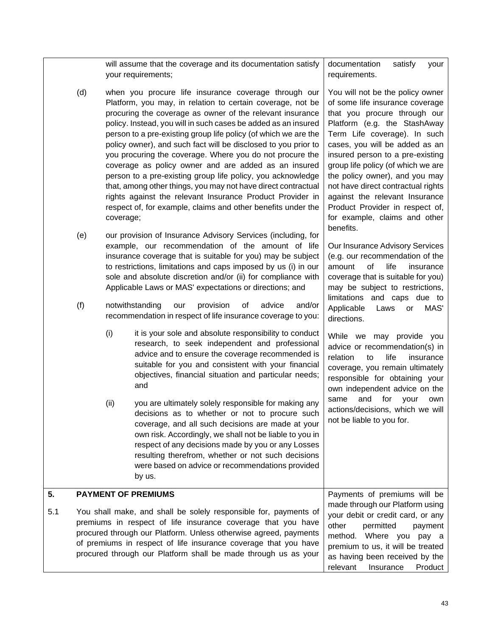<span id="page-44-0"></span>

|     |                                                                                                                                                                                                                                                                                                                                           |           | will assume that the coverage and its documentation satisfy<br>your requirements;                                                                                                                                                                                                                                                                                                                                                                                                                                                                                                                                                                                                                                                                                       | documentation<br>satisfy<br>your<br>requirements.                                                                                                                                                                                                                                                                                                                                                                                                             |
|-----|-------------------------------------------------------------------------------------------------------------------------------------------------------------------------------------------------------------------------------------------------------------------------------------------------------------------------------------------|-----------|-------------------------------------------------------------------------------------------------------------------------------------------------------------------------------------------------------------------------------------------------------------------------------------------------------------------------------------------------------------------------------------------------------------------------------------------------------------------------------------------------------------------------------------------------------------------------------------------------------------------------------------------------------------------------------------------------------------------------------------------------------------------------|---------------------------------------------------------------------------------------------------------------------------------------------------------------------------------------------------------------------------------------------------------------------------------------------------------------------------------------------------------------------------------------------------------------------------------------------------------------|
|     | (d)                                                                                                                                                                                                                                                                                                                                       | coverage; | when you procure life insurance coverage through our<br>Platform, you may, in relation to certain coverage, not be<br>procuring the coverage as owner of the relevant insurance<br>policy. Instead, you will in such cases be added as an insured<br>person to a pre-existing group life policy (of which we are the<br>policy owner), and such fact will be disclosed to you prior to<br>you procuring the coverage. Where you do not procure the<br>coverage as policy owner and are added as an insured<br>person to a pre-existing group life policy, you acknowledge<br>that, among other things, you may not have direct contractual<br>rights against the relevant Insurance Product Provider in<br>respect of, for example, claims and other benefits under the | You will not be the policy owner<br>of some life insurance coverage<br>that you procure through our<br>Platform (e.g. the StashAway<br>Term Life coverage). In such<br>cases, you will be added as an<br>insured person to a pre-existing<br>group life policy (of which we are<br>the policy owner), and you may<br>not have direct contractual rights<br>against the relevant Insurance<br>Product Provider in respect of,<br>for example, claims and other |
|     | (e)                                                                                                                                                                                                                                                                                                                                       |           | our provision of Insurance Advisory Services (including, for<br>example, our recommendation of the amount of life<br>insurance coverage that is suitable for you) may be subject<br>to restrictions, limitations and caps imposed by us (i) in our<br>sole and absolute discretion and/or (ii) for compliance with<br>Applicable Laws or MAS' expectations or directions; and                                                                                                                                                                                                                                                                                                                                                                                           | benefits.<br>Our Insurance Advisory Services<br>(e.g. our recommendation of the<br>of<br>life<br>amount<br>insurance<br>coverage that is suitable for you)<br>may be subject to restrictions,<br>limitations and caps due to                                                                                                                                                                                                                                  |
|     | (f)                                                                                                                                                                                                                                                                                                                                       |           | notwithstanding<br>provision<br>of<br>advice<br>and/or<br>our<br>recommendation in respect of life insurance coverage to you:                                                                                                                                                                                                                                                                                                                                                                                                                                                                                                                                                                                                                                           | Applicable<br>MAS'<br>Laws<br>or<br>directions.                                                                                                                                                                                                                                                                                                                                                                                                               |
|     |                                                                                                                                                                                                                                                                                                                                           | (i)       | it is your sole and absolute responsibility to conduct<br>research, to seek independent and professional<br>advice and to ensure the coverage recommended is<br>suitable for you and consistent with your financial<br>objectives, financial situation and particular needs;<br>and                                                                                                                                                                                                                                                                                                                                                                                                                                                                                     | While we may provide you<br>advice or recommendation(s) in<br>relation<br>life<br>to<br>insurance<br>coverage, you remain ultimately<br>responsible for obtaining your<br>own independent advice on the                                                                                                                                                                                                                                                       |
|     |                                                                                                                                                                                                                                                                                                                                           | (ii)      | you are ultimately solely responsible for making any<br>decisions as to whether or not to procure such<br>coverage, and all such decisions are made at your<br>own risk. Accordingly, we shall not be liable to you in<br>respect of any decisions made by you or any Losses<br>resulting therefrom, whether or not such decisions<br>were based on advice or recommendations provided<br>by us.                                                                                                                                                                                                                                                                                                                                                                        | for<br>and<br>your<br>same<br>own<br>actions/decisions, which we will<br>not be liable to you for.                                                                                                                                                                                                                                                                                                                                                            |
| 5.  |                                                                                                                                                                                                                                                                                                                                           |           | <b>PAYMENT OF PREMIUMS</b>                                                                                                                                                                                                                                                                                                                                                                                                                                                                                                                                                                                                                                                                                                                                              | Payments of premiums will be                                                                                                                                                                                                                                                                                                                                                                                                                                  |
| 5.1 | You shall make, and shall be solely responsible for, payments of<br>premiums in respect of life insurance coverage that you have<br>procured through our Platform. Unless otherwise agreed, payments<br>of premiums in respect of life insurance coverage that you have<br>procured through our Platform shall be made through us as your |           |                                                                                                                                                                                                                                                                                                                                                                                                                                                                                                                                                                                                                                                                                                                                                                         | made through our Platform using<br>your debit or credit card, or any<br>other<br>permitted<br>payment<br>method. Where you<br>pay a<br>premium to us, it will be treated<br>as having been received by the<br>relevant<br>Insurance<br>Product                                                                                                                                                                                                                |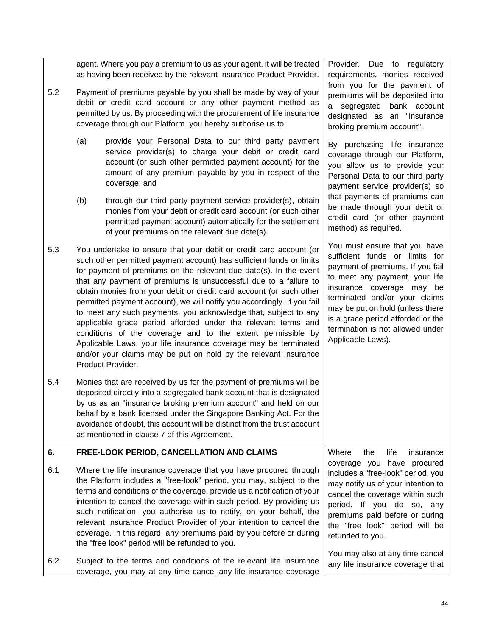<span id="page-45-0"></span>

|     |                                                                                                                                                                                                                                                                                                                                                                                                                                                                                                                                                                                                                                                                                                                                                                                                     | agent. Where you pay a premium to us as your agent, it will be treated<br>as having been received by the relevant Insurance Product Provider.                                                                                                                                                                                                                                                                  | Provider. Due to regulatory<br>requirements, monies received<br>from you for the payment of                                                                                                                                                                                                                                           |  |
|-----|-----------------------------------------------------------------------------------------------------------------------------------------------------------------------------------------------------------------------------------------------------------------------------------------------------------------------------------------------------------------------------------------------------------------------------------------------------------------------------------------------------------------------------------------------------------------------------------------------------------------------------------------------------------------------------------------------------------------------------------------------------------------------------------------------------|----------------------------------------------------------------------------------------------------------------------------------------------------------------------------------------------------------------------------------------------------------------------------------------------------------------------------------------------------------------------------------------------------------------|---------------------------------------------------------------------------------------------------------------------------------------------------------------------------------------------------------------------------------------------------------------------------------------------------------------------------------------|--|
| 5.2 |                                                                                                                                                                                                                                                                                                                                                                                                                                                                                                                                                                                                                                                                                                                                                                                                     | Payment of premiums payable by you shall be made by way of your<br>debit or credit card account or any other payment method as<br>permitted by us. By proceeding with the procurement of life insurance<br>coverage through our Platform, you hereby authorise us to:                                                                                                                                          | premiums will be deposited into<br>a segregated bank account<br>designated as an "insurance<br>broking premium account".                                                                                                                                                                                                              |  |
|     | (a)                                                                                                                                                                                                                                                                                                                                                                                                                                                                                                                                                                                                                                                                                                                                                                                                 | provide your Personal Data to our third party payment<br>service provider(s) to charge your debit or credit card<br>account (or such other permitted payment account) for the<br>amount of any premium payable by you in respect of the<br>coverage; and                                                                                                                                                       | By purchasing life insurance<br>coverage through our Platform,<br>you allow us to provide your<br>Personal Data to our third party<br>payment service provider(s) so                                                                                                                                                                  |  |
|     | (b)                                                                                                                                                                                                                                                                                                                                                                                                                                                                                                                                                                                                                                                                                                                                                                                                 | through our third party payment service provider(s), obtain<br>monies from your debit or credit card account (or such other<br>permitted payment account) automatically for the settlement<br>of your premiums on the relevant due date(s).                                                                                                                                                                    | that payments of premiums can<br>be made through your debit or<br>credit card (or other payment<br>method) as required.                                                                                                                                                                                                               |  |
| 5.3 | You undertake to ensure that your debit or credit card account (or<br>such other permitted payment account) has sufficient funds or limits<br>for payment of premiums on the relevant due date(s). In the event<br>that any payment of premiums is unsuccessful due to a failure to<br>obtain monies from your debit or credit card account (or such other<br>permitted payment account), we will notify you accordingly. If you fail<br>to meet any such payments, you acknowledge that, subject to any<br>applicable grace period afforded under the relevant terms and<br>conditions of the coverage and to the extent permissible by<br>Applicable Laws, your life insurance coverage may be terminated<br>and/or your claims may be put on hold by the relevant Insurance<br>Product Provider. |                                                                                                                                                                                                                                                                                                                                                                                                                | You must ensure that you have<br>sufficient funds or limits for<br>payment of premiums. If you fail<br>to meet any payment, your life<br>insurance coverage may be<br>terminated and/or your claims<br>may be put on hold (unless there<br>is a grace period afforded or the<br>termination is not allowed under<br>Applicable Laws). |  |
| 5.4 |                                                                                                                                                                                                                                                                                                                                                                                                                                                                                                                                                                                                                                                                                                                                                                                                     | Monies that are received by us for the payment of premiums will be<br>deposited directly into a segregated bank account that is designated<br>by us as an "insurance broking premium account" and held on our<br>behalf by a bank licensed under the Singapore Banking Act. For the<br>avoidance of doubt, this account will be distinct from the trust account<br>as mentioned in clause 7 of this Agreement. |                                                                                                                                                                                                                                                                                                                                       |  |
| 6.  |                                                                                                                                                                                                                                                                                                                                                                                                                                                                                                                                                                                                                                                                                                                                                                                                     | FREE-LOOK PERIOD, CANCELLATION AND CLAIMS                                                                                                                                                                                                                                                                                                                                                                      | Where<br>life<br>the<br>insurance                                                                                                                                                                                                                                                                                                     |  |
| 6.1 | Where the life insurance coverage that you have procured through<br>the Platform includes a "free-look" period, you may, subject to the<br>terms and conditions of the coverage, provide us a notification of your<br>intention to cancel the coverage within such period. By providing us<br>such notification, you authorise us to notify, on your behalf, the<br>relevant Insurance Product Provider of your intention to cancel the<br>coverage. In this regard, any premiums paid by you before or during<br>the "free look" period will be refunded to you.                                                                                                                                                                                                                                   |                                                                                                                                                                                                                                                                                                                                                                                                                | coverage you have procured<br>includes a "free-look" period, you<br>may notify us of your intention to<br>cancel the coverage within such<br>period. If you do so, any<br>premiums paid before or during<br>the "free look" period will be<br>refunded to you.                                                                        |  |
| 6.2 | Subject to the terms and conditions of the relevant life insurance<br>coverage, you may at any time cancel any life insurance coverage                                                                                                                                                                                                                                                                                                                                                                                                                                                                                                                                                                                                                                                              |                                                                                                                                                                                                                                                                                                                                                                                                                | You may also at any time cancel<br>any life insurance coverage that                                                                                                                                                                                                                                                                   |  |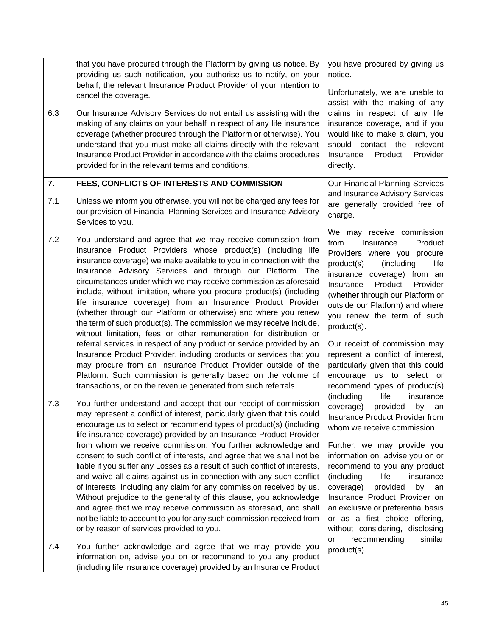<span id="page-46-0"></span>

|     | that you have procured through the Platform by giving us notice. By<br>providing us such notification, you authorise us to notify, on your<br>behalf, the relevant Insurance Product Provider of your intention to<br>cancel the coverage.                                                                                                                                                                                                                                                                                                                                                                                                                                                  | you have procured by giving us<br>notice.<br>Unfortunately, we are unable to                                                                                                                                                                                                                                                                         |
|-----|---------------------------------------------------------------------------------------------------------------------------------------------------------------------------------------------------------------------------------------------------------------------------------------------------------------------------------------------------------------------------------------------------------------------------------------------------------------------------------------------------------------------------------------------------------------------------------------------------------------------------------------------------------------------------------------------|------------------------------------------------------------------------------------------------------------------------------------------------------------------------------------------------------------------------------------------------------------------------------------------------------------------------------------------------------|
| 6.3 | Our Insurance Advisory Services do not entail us assisting with the<br>making of any claims on your behalf in respect of any life insurance<br>coverage (whether procured through the Platform or otherwise). You<br>understand that you must make all claims directly with the relevant<br>Insurance Product Provider in accordance with the claims procedures<br>provided for in the relevant terms and conditions.                                                                                                                                                                                                                                                                       | assist with the making of any<br>claims in respect of any life<br>insurance coverage, and if you<br>would like to make a claim, you<br>should contact the relevant<br>Provider<br>Insurance<br>Product<br>directly.                                                                                                                                  |
| 7.  | FEES, CONFLICTS OF INTERESTS AND COMMISSION                                                                                                                                                                                                                                                                                                                                                                                                                                                                                                                                                                                                                                                 | Our Financial Planning Services                                                                                                                                                                                                                                                                                                                      |
| 7.1 | Unless we inform you otherwise, you will not be charged any fees for<br>our provision of Financial Planning Services and Insurance Advisory<br>Services to you.                                                                                                                                                                                                                                                                                                                                                                                                                                                                                                                             | and Insurance Advisory Services<br>are generally provided free of<br>charge.                                                                                                                                                                                                                                                                         |
| 7.2 | You understand and agree that we may receive commission from<br>Insurance Product Providers whose product(s) (including life<br>insurance coverage) we make available to you in connection with the<br>Insurance Advisory Services and through our Platform. The<br>circumstances under which we may receive commission as aforesaid<br>include, without limitation, where you procure product(s) (including<br>life insurance coverage) from an Insurance Product Provider<br>(whether through our Platform or otherwise) and where you renew<br>the term of such product(s). The commission we may receive include,<br>without limitation, fees or other remuneration for distribution or | We may receive commission<br>from<br>Product<br>Insurance<br>Providers where you procure<br>product(s)<br>(including<br>life<br>insurance coverage) from an<br>Product<br>Insurance<br>Provider<br>(whether through our Platform or<br>outside our Platform) and where<br>you renew the term of such<br>product(s).                                  |
|     | referral services in respect of any product or service provided by an<br>Insurance Product Provider, including products or services that you<br>may procure from an Insurance Product Provider outside of the<br>Platform. Such commission is generally based on the volume of<br>transactions, or on the revenue generated from such referrals.                                                                                                                                                                                                                                                                                                                                            | Our receipt of commission may<br>represent a conflict of interest,<br>particularly given that this could<br>encourage us to select or<br>recommend types of product(s)                                                                                                                                                                               |
| 7.3 | You further understand and accept that our receipt of commission<br>may represent a conflict of interest, particularly given that this could<br>encourage us to select or recommend types of product(s) (including<br>life insurance coverage) provided by an Insurance Product Provider                                                                                                                                                                                                                                                                                                                                                                                                    | (including<br>life<br>insurance<br>coverage)<br>provided<br>by<br>an<br>Insurance Product Provider from<br>whom we receive commission.                                                                                                                                                                                                               |
|     | from whom we receive commission. You further acknowledge and<br>consent to such conflict of interests, and agree that we shall not be<br>liable if you suffer any Losses as a result of such conflict of interests,<br>and waive all claims against us in connection with any such conflict<br>of interests, including any claim for any commission received by us.<br>Without prejudice to the generality of this clause, you acknowledge<br>and agree that we may receive commission as aforesaid, and shall<br>not be liable to account to you for any such commission received from<br>or by reason of services provided to you.                                                        | Further, we may provide you<br>information on, advise you on or<br>recommend to you any product<br>(including<br>life<br>insurance<br>coverage)<br>provided<br>by<br>an<br>Insurance Product Provider on<br>an exclusive or preferential basis<br>or as a first choice offering,<br>without considering, disclosing<br>recommending<br>similar<br>or |
| 7.4 | You further acknowledge and agree that we may provide you<br>information on, advise you on or recommend to you any product<br>(including life insurance coverage) provided by an Insurance Product                                                                                                                                                                                                                                                                                                                                                                                                                                                                                          | product(s).                                                                                                                                                                                                                                                                                                                                          |